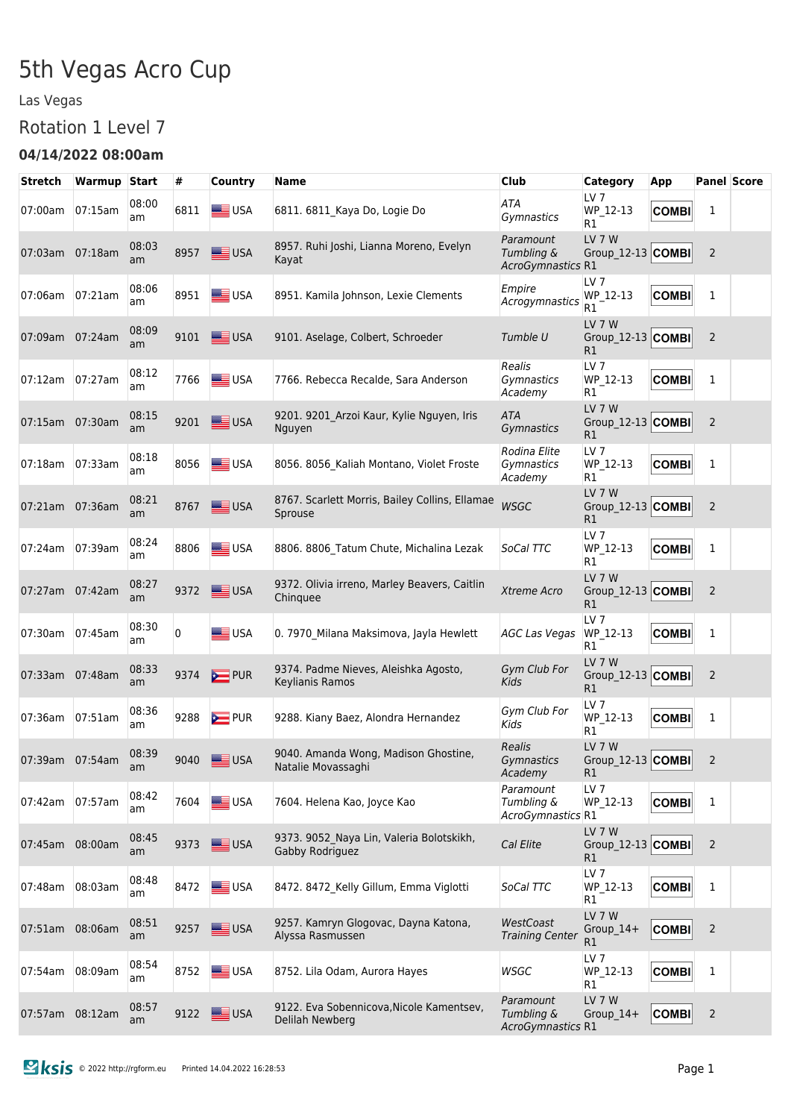# 5th Vegas Acro Cup

#### Las Vegas

#### Rotation 1 Level 7

#### **04/14/2022 08:00am**

| Stretch         | <b>Warmup Start</b> |             | #    | Country        | <b>Name</b>                                                 | <b>Club</b>                                  | Category                                 | App          |                | <b>Panel Score</b> |
|-----------------|---------------------|-------------|------|----------------|-------------------------------------------------------------|----------------------------------------------|------------------------------------------|--------------|----------------|--------------------|
| 07:00am         | 07:15am             | 08:00<br>am | 6811 | <b>SEE</b> USA | 6811. 6811_Kaya Do, Logie Do                                | ATA<br>Gymnastics                            | LV 7<br>WP 12-13<br>R1                   | <b>COMBI</b> | 1              |                    |
| 07:03am         | 07:18am             | 08:03<br>am | 8957 | USA            | 8957. Ruhi Joshi, Lianna Moreno, Evelyn<br>Kayat            | Paramount<br>Tumbling &<br>AcroGymnastics R1 | <b>LV 7 W</b><br>Group_12-13 COMBI       |              | 2              |                    |
| 07:06am         | 07:21am             | 08:06<br>am | 8951 | USA            | 8951. Kamila Johnson, Lexie Clements                        | Empire<br>Acrogymnastics                     | LV 7<br>WP_12-13<br>R1                   | <b>COMBI</b> | 1              |                    |
| 07:09am         | 07:24am             | 08:09<br>am | 9101 | USA            | 9101. Aselage, Colbert, Schroeder                           | Tumble U                                     | LV 7 W<br>Group_12-13 COMBI<br>R1        |              | 2              |                    |
| 07:12am         | 07:27am             | 08:12<br>am | 7766 | USA            | 7766. Rebecca Recalde, Sara Anderson                        | Realis<br>Gymnastics<br>Academy              | LV <sub>7</sub><br>WP 12-13<br>R1        | <b>COMBI</b> | 1              |                    |
| 07:15am         | 07:30am             | 08:15<br>am | 9201 | USA            | 9201. 9201_Arzoi Kaur, Kylie Nguyen, Iris<br>Nguyen         | <b>ATA</b><br>Gymnastics                     | LV 7 W<br>Group_12-13 COMBI<br>R1        |              | $\overline{2}$ |                    |
| 07:18am         | 07:33am             | 08:18<br>am | 8056 | <b>SEE USA</b> | 8056. 8056_Kaliah Montano, Violet Froste                    | Rodina Elite<br>Gymnastics<br>Academy        | LV <sub>7</sub><br>WP_12-13<br>R1        | <b>COMBI</b> | 1              |                    |
| 07:21am         | 07:36am             | 08:21<br>am | 8767 | USA            | 8767. Scarlett Morris, Bailey Collins, Ellamae<br>Sprouse   | <b>WSGC</b>                                  | <b>LV 7 W</b><br>Group_12-13 COMBI<br>R1 |              | $\overline{2}$ |                    |
| 07:24am         | 07:39am             | 08:24<br>am | 8806 | USA            | 8806. 8806_Tatum Chute, Michalina Lezak                     | SoCal TTC                                    | LV <sub>7</sub><br>WP_12-13<br>R1        | <b>COMBI</b> | 1              |                    |
| 07:27am         | 07:42am             | 08:27<br>am | 9372 | USA            | 9372. Olivia irreno, Marley Beavers, Caitlin<br>Chinguee    | Xtreme Acro                                  | <b>LV 7 W</b><br>Group_12-13 COMBI<br>R1 |              | $\overline{2}$ |                    |
| 07:30am         | 07:45am             | 08:30<br>am | 0    | USA            | 0. 7970 Milana Maksimova, Jayla Hewlett                     | <b>AGC Las Vegas</b>                         | LV 7<br>WP_12-13<br>R1                   | <b>COMBI</b> | 1              |                    |
| 07:33am         | 07:48am             | 08:33<br>am | 9374 | PUR            | 9374. Padme Nieves, Aleishka Agosto,<br>Keylianis Ramos     | Gym Club For<br>Kids                         | LV 7 W<br>Group_12-13 COMBI<br>R1        |              | $\overline{2}$ |                    |
| 07:36am         | 07:51am             | 08:36<br>am | 9288 | $\sum$ PUR     | 9288. Kiany Baez, Alondra Hernandez                         | Gym Club For<br>Kids                         | LV <sub>7</sub><br>WP_12-13<br>R1        | <b>COMBI</b> | 1              |                    |
| 07:39am 07:54am |                     | 08:39<br>am | 9040 | <b>SEE</b> USA | 9040. Amanda Wong, Madison Ghostine,<br>Natalie Movassaghi  | Realis<br>Gymnastics<br>Academy              | <b>LV 7 W</b><br>Group_12-13 COMBI<br>R1 |              | 2              |                    |
| 07:42am         | 07:57am             | 08:42<br>am | 7604 | <b>SEE</b> USA | 7604. Helena Kao, Joyce Kao                                 | Paramount<br>Tumbling &<br>AcroGymnastics R1 | LV <sub>7</sub><br>WP_12-13              | <b>COMBI</b> | 1              |                    |
| 07:45am         | 08:00am             | 08:45<br>am | 9373 | USA            | 9373. 9052_Naya Lin, Valeria Bolotskikh,<br>Gabby Rodriguez | Cal Elite                                    | LV 7 W<br>Group_12-13 COMBI<br>R1        |              | $\overline{2}$ |                    |
| 07:48am         | 08:03am             | 08:48<br>am | 8472 | USA            | 8472. 8472 Kelly Gillum, Emma Viglotti                      | SoCal TTC                                    | LV <sub>7</sub><br>WP_12-13<br>R1        | <b>COMBI</b> | 1              |                    |
| 07:51am         | 08:06am             | 08:51<br>am | 9257 | <b>SEE USA</b> | 9257. Kamryn Glogovac, Dayna Katona,<br>Alyssa Rasmussen    | WestCoast<br><b>Training Center</b>          | <b>LV 7 W</b><br>Group_14+<br>R1         | <b>COMBI</b> | $\overline{c}$ |                    |
| 07:54am         | 08:09am             | 08:54<br>am | 8752 | <b>SEE</b> USA | 8752. Lila Odam, Aurora Hayes                               | WSGC                                         | LV <sub>7</sub><br>WP_12-13<br>R1        | <b>COMBI</b> | 1              |                    |
| 07:57am         | 08:12am             | 08:57<br>am | 9122 | USA            | 9122. Eva Sobennicova, Nicole Kamentsev,<br>Delilah Newberg | Paramount<br>Tumbling &<br>AcroGymnastics R1 | <b>LV 7 W</b><br>$Group_14+$             | <b>COMBI</b> | 2              |                    |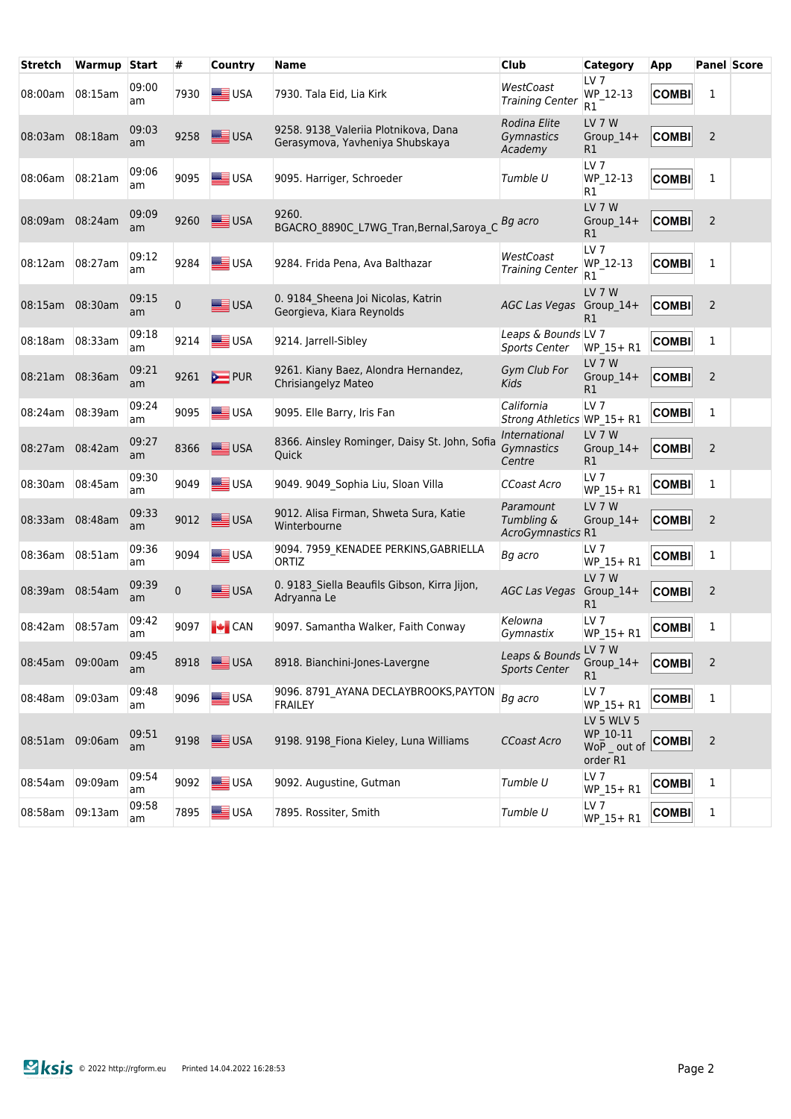| Stretch         | Warmup  | <b>Start</b> | #    | <b>Country</b>               | <b>Name</b>                                                             | <b>Club</b>                                  | <b>Category</b>                                  | App          | <b>Panel Score</b> |  |
|-----------------|---------|--------------|------|------------------------------|-------------------------------------------------------------------------|----------------------------------------------|--------------------------------------------------|--------------|--------------------|--|
| 08:00am         | 08:15am | 09:00<br>am  | 7930 | USA                          | 7930. Tala Eid, Lia Kirk                                                | WestCoast<br><b>Training Center</b>          | LV <sub>7</sub><br>WP 12-13<br>R1                | <b>COMBI</b> | 1                  |  |
| 08:03am         | 08:18am | 09:03<br>am  | 9258 | USA                          | 9258. 9138 Valeriia Plotnikova, Dana<br>Gerasymova, Yavheniya Shubskaya | Rodina Elite<br>Gymnastics<br>Academy        | LV 7 W<br>Group 14+<br>R1                        | <b>COMBI</b> | $\overline{2}$     |  |
| 08:06am         | 08:21am | 09:06<br>am  | 9095 | USA                          | 9095. Harriger, Schroeder                                               | Tumble U                                     | LV <sub>7</sub><br>WP_12-13<br>R1                | <b>COMBI</b> | 1                  |  |
| 08:09am         | 08:24am | 09:09<br>am  | 9260 | USA                          | 9260.<br>BGACRO 8890C L7WG Tran, Bernal, Saroya C                       | Bg acro                                      | LV <sub>7</sub> W<br>Group $14+$<br>R1           | <b>COMBI</b> | 2                  |  |
| 08:12am         | 08:27am | 09:12<br>am  | 9284 | USA                          | 9284. Frida Pena, Ava Balthazar                                         | WestCoast<br><b>Training Center</b>          | LV <sub>7</sub><br>WP 12-13<br>R1                | <b>COMBI</b> | 1                  |  |
| 08:15am         | 08:30am | 09:15<br>am  | 0    | USA                          | 0. 9184 Sheena Joi Nicolas, Katrin<br>Georgieva, Kiara Reynolds         | AGC Las Vegas Group_14+                      | LV 7 W<br>R1                                     | <b>COMBI</b> | $\overline{2}$     |  |
| 08:18am         | 08:33am | 09:18<br>am  | 9214 | USA                          | 9214. Jarrell-Sibley                                                    | Leaps & Bounds LV 7<br><b>Sports Center</b>  | WP_15+R1                                         | <b>COMBI</b> | 1                  |  |
| 08:21am         | 08:36am | 09:21<br>am  | 9261 | $\sum$ PUR                   | 9261. Kiany Baez, Alondra Hernandez,<br>Chrisiangelyz Mateo             | Gym Club For<br>Kids                         | LV <sub>7</sub> W<br>Group_14+<br>R1             | <b>COMBI</b> | $\overline{2}$     |  |
| 08:24am         | 08:39am | 09:24<br>am  | 9095 | USA                          | 9095. Elle Barry, Iris Fan                                              | California<br>Strong Athletics WP_15+ R1     | LV <sub>7</sub>                                  | <b>COMBI</b> | 1                  |  |
| 08:27am         | 08:42am | 09:27<br>am  | 8366 | <b>SEE USA</b>               | 8366. Ainsley Rominger, Daisy St. John, Sofia<br>Quick                  | International<br>Gymnastics<br>Centre        | LV 7 W<br>$Group_14+$<br>R1                      | <b>COMBI</b> | $\overline{2}$     |  |
| 08:30am         | 08:45am | 09:30<br>am  | 9049 | USA                          | 9049. 9049 Sophia Liu, Sloan Villa                                      | CCoast Acro                                  | LV <sub>7</sub><br>WP_15+R1                      | <b>COMBI</b> | 1                  |  |
| 08:33am         | 08:48am | 09:33<br>am  | 9012 | USA                          | 9012. Alisa Firman, Shweta Sura, Katie<br>Winterbourne                  | Paramount<br>Tumbling &<br>AcroGymnastics R1 | LV 7 W<br>$Group_14+$                            | <b>COMBI</b> | $\overline{2}$     |  |
| 08:36am         | 08:51am | 09:36<br>am  | 9094 | USA                          | 9094. 7959_KENADEE PERKINS, GABRIELLA<br>ORTIZ                          | Bg acro                                      | LV <sub>7</sub><br>WP_15+R1                      | <b>COMBI</b> | 1                  |  |
| 08:39am         | 08:54am | 09:39<br>am  | 0    | USA                          | 0. 9183_Siella Beaufils Gibson, Kirra Jijon,<br>Adryanna Le             | AGC Las Vegas                                | <b>LV 7 W</b><br>$Group_14+$<br>R1               | <b>COMBI</b> | $\overline{2}$     |  |
| 08:42am         | 08:57am | 09:42<br>am  | 9097 | $\left  \bullet \right $ CAN | 9097. Samantha Walker, Faith Conway                                     | Kelowna<br>Gymnastix                         | LV <sub>7</sub><br>WP_15+R1                      | <b>COMBI</b> | 1                  |  |
| 08:45am 09:00am |         | 09:45<br>am  |      | 8918 USA                     | 8918. Bianchini-Jones-Lavergne                                          | Leaps & Bounds<br><b>Sports Center</b>       | LV 7 W<br>Group_14+<br>R1                        | <b>COMBI</b> | 2                  |  |
| 08:48am         | 09:03am | 09:48<br>am  | 9096 | <b>SEE</b> USA               | 9096. 8791_AYANA DECLAYBROOKS, PAYTON<br><b>FRAILEY</b>                 | Bg acro                                      | LV 7<br>WP_15+R1                                 | <b>COMBI</b> | 1                  |  |
| 08:51am         | 09:06am | 09:51<br>am  | 9198 | USA                          | 9198. 9198_Fiona Kieley, Luna Williams                                  | CCoast Acro                                  | LV 5 WLV 5<br>WP_10-11<br>WoP out of<br>order R1 | <b>COMBI</b> | 2                  |  |
| 08:54am         | 09:09am | 09:54<br>am  | 9092 | USA                          | 9092. Augustine, Gutman                                                 | Tumble U                                     | LV <sub>7</sub><br>WP_15+R1                      | <b>COMBI</b> | 1                  |  |
| 08:58am         | 09:13am | 09:58<br>am  | 7895 | USA                          | 7895. Rossiter, Smith                                                   | Tumble U                                     | LV 7<br>WP 15+ R1                                | <b>COMBI</b> | 1                  |  |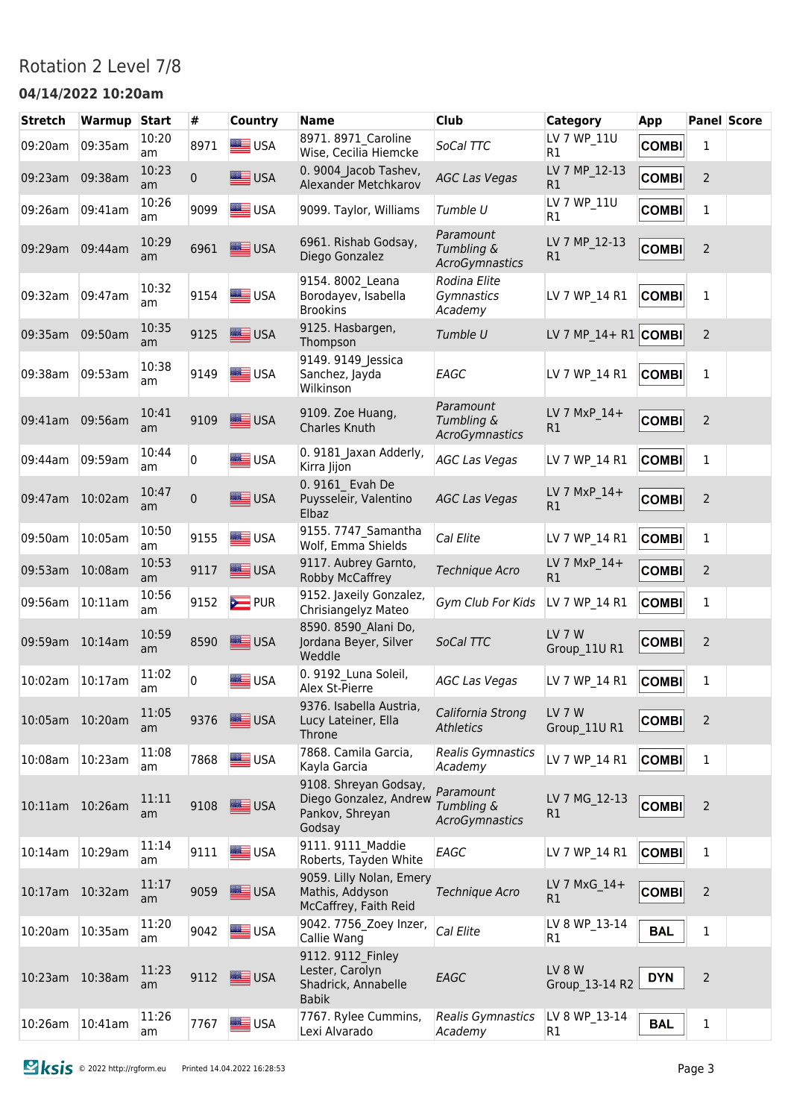#### Rotation 2 Level 7/8

#### **04/14/2022 10:20am**

| <b>Stretch</b>  | <b>Warmup</b> | <b>Start</b> | #            | <b>Country</b>     | <b>Name</b>                                                                  | <b>Club</b>                                      | <b>Category</b>               | <b>App</b>   |                | <b>Panel Score</b> |
|-----------------|---------------|--------------|--------------|--------------------|------------------------------------------------------------------------------|--------------------------------------------------|-------------------------------|--------------|----------------|--------------------|
| 09:20am         | 09:35am       | 10:20<br>am  | 8971         | <b>SIE</b> USA     | 8971. 8971 Caroline<br>Wise, Cecilia Hiemcke                                 | SoCal TTC                                        | LV 7 WP 11U<br>R1             | <b>COMBI</b> | 1              |                    |
| 09:23am         | 09:38am       | 10:23<br>am  | $\mathbf{0}$ | USA                | 0. 9004 Jacob Tashev,<br>Alexander Metchkarov                                | <b>AGC Las Vegas</b>                             | LV 7 MP_12-13<br>R1           | <b>COMBI</b> | $\overline{2}$ |                    |
| 09:26am         | 09:41am       | 10:26<br>am  | 9099         | <b>ED</b> USA      | 9099. Taylor, Williams                                                       | Tumble U                                         | LV 7 WP 11U<br>R1             | <b>COMBI</b> | $\mathbf{1}$   |                    |
| 09:29am         | 09:44am       | 10:29<br>am  | 6961         | USA                | 6961. Rishab Godsay,<br>Diego Gonzalez                                       | Paramount<br>Tumbling &<br><b>AcroGymnastics</b> | LV 7 MP_12-13<br>R1           | <b>COMBI</b> | $\overline{2}$ |                    |
| 09:32am         | 09:47am       | 10:32<br>am  | 9154         | <b>SEE</b> USA     | 9154.8002 Leana<br>Borodayev, Isabella<br><b>Brookins</b>                    | Rodina Elite<br>Gymnastics<br>Academy            | LV 7 WP 14 R1                 | <b>COMBI</b> | $\mathbf{1}$   |                    |
| 09:35am         | 09:50am       | 10:35<br>am  | 9125         | USA                | 9125. Hasbargen,<br>Thompson                                                 | Tumble U                                         | LV 7 MP $14+$ R1 COMBI        |              | $\overline{2}$ |                    |
| 09:38am         | 09:53am       | 10:38<br>am  | 9149         | USA                | 9149. 9149 Jessica<br>Sanchez, Jayda<br>Wilkinson                            | EAGC                                             | LV 7 WP 14 R1                 | <b>COMBI</b> | $\mathbf{1}$   |                    |
| 09:41am         | 09:56am       | 10:41<br>am  | 9109         | USA                | 9109. Zoe Huang,<br>Charles Knuth                                            | Paramount<br>Tumbling &<br>AcroGymnastics        | LV 7 MxP 14+<br>R1            | <b>COMBI</b> | $\overline{2}$ |                    |
| 09:44am         | 09:59am       | 10:44<br>am  | 0            | USA                | 0. 9181 Jaxan Adderly,<br>Kirra Jijon                                        | <b>AGC Las Vegas</b>                             | LV 7 WP 14 R1                 | <b>COMBI</b> | 1              |                    |
| 09:47am         | 10:02am       | 10:47<br>am  | $\mathbf{0}$ | USA                | 0.9161 Evah De<br>Puysseleir, Valentino<br>Elbaz                             | <b>AGC Las Vegas</b>                             | LV 7 MxP 14+<br>R1            | <b>COMBI</b> | 2              |                    |
| 09:50am         | 10:05am       | 10:50<br>am  | 9155         | <b>SEE</b> USA     | 9155. 7747 Samantha<br>Wolf, Emma Shields                                    | Cal Elite                                        | LV 7 WP 14 R1                 | <b>COMBI</b> | 1              |                    |
| 09:53am         | 10:08am       | 10:53<br>am  | 9117         | USA                | 9117. Aubrey Garnto,<br>Robby McCaffrey                                      | Technique Acro                                   | LV 7 MxP 14+<br>R1            | <b>COMBI</b> | 2              |                    |
| 09:56am         | 10:11am       | 10:56<br>am  | 9152         | <b>EXAMPLE</b> PUR | 9152. Jaxeily Gonzalez,<br>Chrisiangelyz Mateo                               | Gym Club For Kids                                | LV 7 WP 14 R1                 | <b>COMBI</b> | $\mathbf{1}$   |                    |
| 09:59am         | 10:14am       | 10:59<br>am  | 8590         | USA                | 8590. 8590 Alani Do,<br>Jordana Beyer, Silver<br>Weddle                      | SoCal TTC                                        | <b>LV 7 W</b><br>Group 11U R1 | <b>COMBI</b> | $\overline{2}$ |                    |
| 10:02am         | 10:17am       | 11:02<br>am  | 0            | USA                | 0. 9192 Luna Soleil,<br>Alex St-Pierre                                       | <b>AGC Las Vegas</b>                             | LV 7 WP 14 R1                 | <b>COMBI</b> | $\mathbf 1$    |                    |
| 10:05am 10:20am |               | 11:05<br>am  | 9376         | USA                | 9376. Isabella Austria,<br>Lucy Lateiner, Ella<br>Throne                     | California Strong<br><b>Athletics</b>            | LV 7 W<br>Group 11U R1        | <b>COMBI</b> | 2              |                    |
| 10:08am         | 10:23am       | 11:08<br>am  | 7868         | USA                | 7868. Camila Garcia,<br>Kayla Garcia                                         | Realis Gymnastics<br>Academy                     | LV 7 WP 14 R1                 | <b>COMBI</b> | $\mathbf{1}$   |                    |
| 10:11am 10:26am |               | 11:11<br>am  | 9108         | USA                | 9108. Shreyan Godsay,<br>Diego Gonzalez, Andrew<br>Pankov, Shreyan<br>Godsay | Paramount<br>Tumbling &<br><b>AcroGymnastics</b> | LV 7 MG 12-13<br>R1           | <b>COMBI</b> | 2              |                    |
| 10:14am         | 10:29am       | 11:14<br>am  | 9111         | USA                | 9111. 9111 Maddie<br>Roberts, Tayden White                                   | EAGC                                             | LV 7 WP 14 R1                 | <b>COMBI</b> | $\mathbf 1$    |                    |
| 10:17am 10:32am |               | 11:17<br>am  | 9059         | USA                | 9059. Lilly Nolan, Emery<br>Mathis, Addyson<br>McCaffrey, Faith Reid         | Technique Acro                                   | LV 7 MxG 14+<br>R1            | <b>COMBI</b> | $\overline{2}$ |                    |
| 10:20am         | 10:35am       | 11:20<br>am  | 9042         | USA                | 9042. 7756 Zoey Inzer,<br>Callie Wang                                        | Cal Elite                                        | LV 8 WP 13-14<br>R1           | <b>BAL</b>   | $\mathbf 1$    |                    |
| 10:23am 10:38am |               | 11:23<br>am  | 9112         | USA                | 9112. 9112 Finley<br>Lester, Carolyn<br>Shadrick, Annabelle<br><b>Babik</b>  | EAGC                                             | LV 8 W<br>Group_13-14 R2      | <b>DYN</b>   | $\overline{c}$ |                    |
| 10:26am         | 10:41am       | 11:26<br>am  | 7767         | USA                | 7767. Rylee Cummins,<br>Lexi Alvarado                                        | Realis Gymnastics<br>Academy                     | LV 8 WP_13-14<br>R1           | <b>BAL</b>   | $\mathbf{1}$   |                    |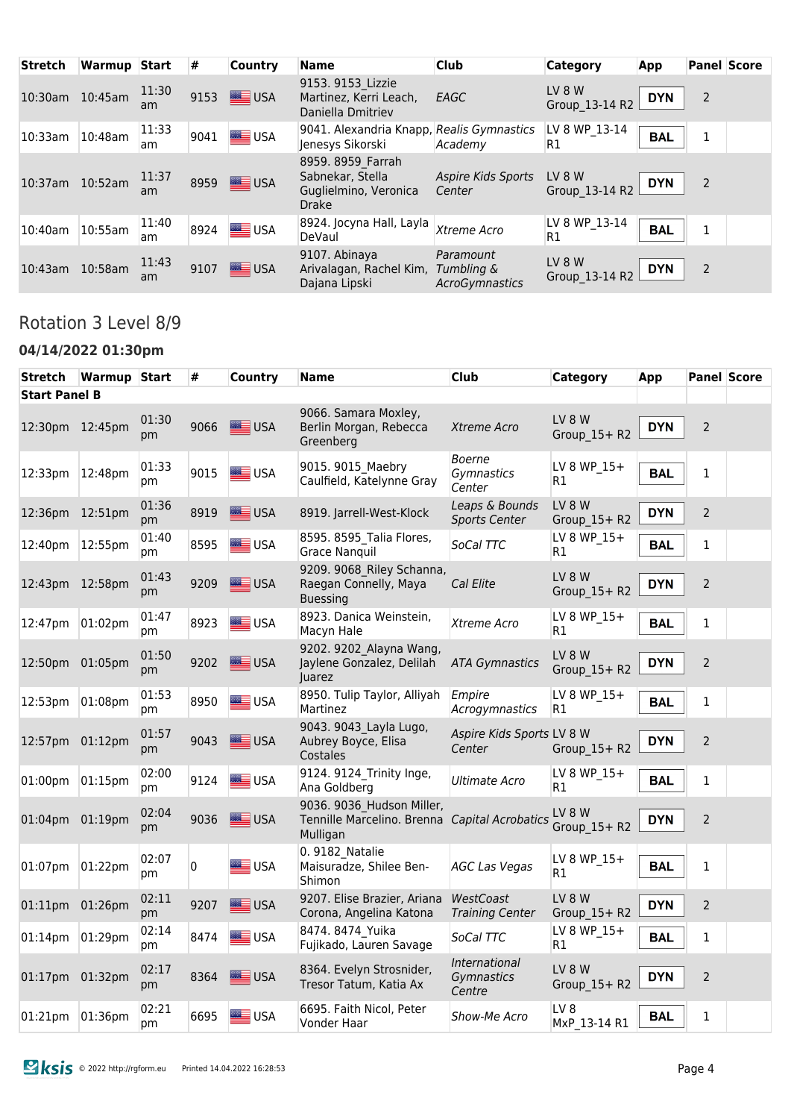| <b>Stretch</b>  | Warmup Start |             | #    | <b>Country</b> | <b>Name</b>                                                                    | <b>Club</b>                                      | <b>Category</b>          | App        |                | <b>Panel Score</b> |
|-----------------|--------------|-------------|------|----------------|--------------------------------------------------------------------------------|--------------------------------------------------|--------------------------|------------|----------------|--------------------|
| 10:30am 10:45am |              | 11:30<br>am | 9153 | <b>SEE</b> USA | 9153. 9153 Lizzie<br>Martinez, Kerri Leach,<br>Daniella Dmitriev               | EAGC                                             | LV 8 W<br>Group 13-14 R2 | <b>DYN</b> | $\overline{2}$ |                    |
| 10:33am         | $10:48$ am   | 11:33<br>am | 9041 | $\equiv$ USA   | 9041. Alexandria Knapp, Realis Gymnastics<br>Jenesys Sikorski                  | Academy                                          | LV 8 WP_13-14<br>R1      | <b>BAL</b> | 1              |                    |
| 10:37am 10:52am |              | 11:37<br>am |      | 8959 USA       | 8959. 8959 Farrah<br>Sabnekar, Stella<br>Guglielmino, Veronica<br><b>Drake</b> | Aspire Kids Sports<br>Center                     | LV 8 W<br>Group 13-14 R2 | <b>DYN</b> | $\overline{2}$ |                    |
| 10:40am         | 10:55am      | 11:40<br>am | 8924 | $\equiv$ USA   | 8924. Jocyna Hall, Layla<br>DeVaul                                             | Xtreme Acro                                      | LV 8 WP 13-14<br>R1      | <b>BAL</b> | 1              |                    |
| $10:43$ am      | 10:58am      | 11:43<br>am | 9107 | USA            | 9107. Abinaya<br>Arivalagan, Rachel Kim,<br>Dajana Lipski                      | Paramount<br>Tumbling &<br><b>AcroGymnastics</b> | LV 8 W<br>Group 13-14 R2 | <b>DYN</b> | 2              |                    |

# Rotation 3 Level 8/9

#### **04/14/2022 01:30pm**

| Stretch              | Warmup Start |             | #    | <b>Country</b>  | Name                                                                                   | <b>Club</b>                            | <b>Category</b>                 | App        |                | <b>Panel Score</b> |
|----------------------|--------------|-------------|------|-----------------|----------------------------------------------------------------------------------------|----------------------------------------|---------------------------------|------------|----------------|--------------------|
| <b>Start Panel B</b> |              |             |      |                 |                                                                                        |                                        |                                 |            |                |                    |
| 12:30pm 12:45pm      |              | 01:30<br>pm | 9066 | USA             | 9066. Samara Moxley,<br>Berlin Morgan, Rebecca<br>Greenberg                            | Xtreme Acro                            | LV 8 W<br>Group 15+ R2          | <b>DYN</b> | $\overline{2}$ |                    |
| 12:33pm              | 12:48pm      | 01:33<br>pm | 9015 | <b>SIER</b> USA | 9015. 9015 Maebry<br>Caulfield, Katelynne Gray                                         | <b>Boerne</b><br>Gymnastics<br>Center  | LV 8 WP 15+<br>R1               | <b>BAL</b> | $\mathbf{1}$   |                    |
| 12:36pm              | 12:51pm      | 01:36<br>pm | 8919 | USA             | 8919. Jarrell-West-Klock                                                               | Leaps & Bounds<br><b>Sports Center</b> | LV 8 W<br>Group $15+R2$         | <b>DYN</b> | $\overline{2}$ |                    |
| 12:40pm              | 12:55pm      | 01:40<br>pm | 8595 | USA             | 8595. 8595 Talia Flores,<br><b>Grace Nanguil</b>                                       | SoCal TTC                              | LV 8 WP 15+<br>R1               | <b>BAL</b> | 1              |                    |
| 12:43pm 12:58pm      |              | 01:43<br>pm | 9209 | USA             | 9209. 9068 Riley Schanna,<br>Raegan Connelly, Maya<br><b>Buessing</b>                  | Cal Elite                              | LV 8 W<br>Group_15+R2           | <b>DYN</b> | $\overline{2}$ |                    |
| 12:47pm              | 01:02pm      | 01:47<br>pm | 8923 | USA             | 8923. Danica Weinstein,<br>Macyn Hale                                                  | Xtreme Acro                            | LV 8 WP_15+<br>R1               | <b>BAL</b> | $\mathbf{1}$   |                    |
| 12:50pm              | 01:05pm      | 01:50<br>pm | 9202 | USA             | 9202. 9202 Alayna Wang,<br>Jaylene Gonzalez, Delilah<br>Juarez                         | <b>ATA Gymnastics</b>                  | LV 8 W<br>Group_15+ R2          | <b>DYN</b> | $\overline{2}$ |                    |
| 12:53pm              | 01:08pm      | 01:53<br>pm | 8950 | USA             | 8950. Tulip Taylor, Alliyah<br>Martinez                                                | Empire<br>Acrogymnastics               | LV 8 WP 15+<br>R1               | <b>BAL</b> | $\mathbf 1$    |                    |
| 12:57pm              | 01:12pm      | 01:57<br>pm | 9043 | <b>SEE USA</b>  | 9043. 9043 Layla Lugo,<br>Aubrey Boyce, Elisa<br>Costales                              | Aspire Kids Sports LV 8 W<br>Center    | Group 15+R2                     | <b>DYN</b> | $\overline{2}$ |                    |
| 01:00pm              | 01:15pm      | 02:00<br>pm | 9124 | USA             | 9124. 9124 Trinity Inge,<br>Ana Goldberg                                               | Ultimate Acro                          | LV 8 WP 15+<br>R1               | <b>BAL</b> | $\mathbf{1}$   |                    |
| 01:04pm              | 01:19pm      | 02:04<br>pm | 9036 | USA             | 9036. 9036 Hudson Miller,<br>Tennille Marcelino. Brenna Capital Acrobatics<br>Mulligan |                                        | LV 8 W<br>Group 15+ R2          | <b>DYN</b> | $\overline{2}$ |                    |
| 01:07pm              | 01:22pm      | 02:07<br>pm | 0    | USA             | 0. 9182 Natalie<br>Maisuradze, Shilee Ben-<br>Shimon                                   | <b>AGC Las Vegas</b>                   | LV 8 WP 15+<br>R1               | <b>BAL</b> | $\mathbf{1}$   |                    |
| 01:11pm              | 01:26pm      | 02:11<br>pm | 9207 | <b>SEE</b> USA  | 9207. Elise Brazier, Ariana<br>Corona, Angelina Katona                                 | WestCoast<br><b>Training Center</b>    | LV 8 W<br>Group 15+ R2          | <b>DYN</b> | $\overline{2}$ |                    |
| 01:14pm              | 01:29pm      | 02:14<br>pm | 8474 | USA             | 8474. 8474 Yuika<br>Fujikado, Lauren Savage                                            | SoCal TTC                              | LV 8 WP 15+<br>R1               | <b>BAL</b> | 1              |                    |
| 01:17pm 01:32pm      |              | 02:17<br>pm | 8364 | USA             | 8364. Evelyn Strosnider,<br>Tresor Tatum, Katia Ax                                     | International<br>Gymnastics<br>Centre  | LV 8 W<br>Group 15+ R2          | <b>DYN</b> | $\overline{2}$ |                    |
| 01:21pm              | 01:36pm      | 02:21<br>pm | 6695 | <b>SEE</b> USA  | 6695. Faith Nicol, Peter<br>Vonder Haar                                                | <b>Show-Me Acro</b>                    | LV <sub>8</sub><br>MxP 13-14 R1 | <b>BAL</b> | $\mathbf{1}$   |                    |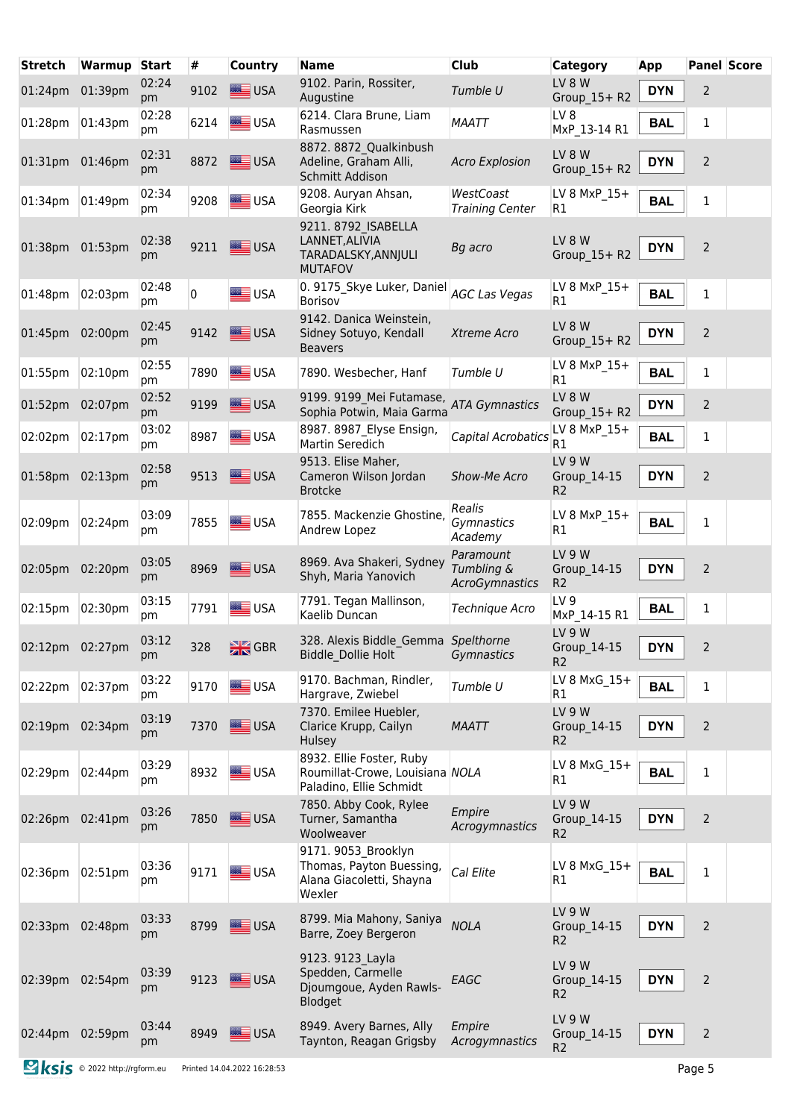| <b>Stretch</b>  | Warmup  | <b>Start</b> | #    | <b>Country</b>     | <b>Name</b>                                                                            | <b>Club</b>                               | <b>Category</b>                         | App        |                | <b>Panel Score</b> |
|-----------------|---------|--------------|------|--------------------|----------------------------------------------------------------------------------------|-------------------------------------------|-----------------------------------------|------------|----------------|--------------------|
| 01:24pm 01:39pm |         | 02:24<br>pm  | 9102 | USA                | 9102. Parin, Rossiter,<br>Augustine                                                    | Tumble U                                  | LV 8 W<br>Group_15+ R2                  | <b>DYN</b> | $\overline{2}$ |                    |
| 01:28pm 01:43pm |         | 02:28<br>pm  | 6214 | <b>SEE</b> USA     | 6214. Clara Brune, Liam<br>Rasmussen                                                   | <b>MAATT</b>                              | LV 8<br>MxP 13-14 R1                    | <b>BAL</b> | $\mathbf 1$    |                    |
| 01:31pm 01:46pm |         | 02:31<br>pm  | 8872 | USA                | 8872. 8872 Qualkinbush<br>Adeline, Graham Alli,<br>Schmitt Addison                     | <b>Acro Explosion</b>                     | LV 8 W<br>Group 15+ R2                  | <b>DYN</b> | $\overline{2}$ |                    |
| 01:34pm         | 01:49pm | 02:34<br>pm  | 9208 | <b>SIME</b> USA    | 9208. Auryan Ahsan,<br>Georgia Kirk                                                    | WestCoast<br><b>Training Center</b>       | LV 8 MxP 15+<br>R1                      | <b>BAL</b> | 1              |                    |
| 01:38pm 01:53pm |         | 02:38<br>рm  | 9211 | USA                | 9211.8792 ISABELLA<br>LANNET, ALIVIA<br>TARADALSKY, ANNJULI<br><b>MUTAFOV</b>          | Bg acro                                   | LV 8 W<br>Group 15+ R2                  | <b>DYN</b> | $\overline{2}$ |                    |
| 01:48pm         | 02:03pm | 02:48<br>рm  | 0    | USA                | 0. 9175_Skye Luker, Daniel AGC Las Vegas<br><b>Borisov</b>                             |                                           | LV 8 MxP 15+<br>R1                      | <b>BAL</b> | $\mathbf{1}$   |                    |
| 01:45pm         | 02:00pm | 02:45<br>рm  | 9142 | USA                | 9142. Danica Weinstein,<br>Sidney Sotuyo, Kendall<br><b>Beavers</b>                    | Xtreme Acro                               | LV 8 W<br>Group_15+ R2                  | <b>DYN</b> | $\overline{2}$ |                    |
| 01:55pm         | 02:10pm | 02:55<br>pm  | 7890 | USA                | 7890. Wesbecher, Hanf                                                                  | Tumble U                                  | LV 8 MxP 15+<br>R1                      | <b>BAL</b> | $\mathbf{1}$   |                    |
| 01:52pm         | 02:07pm | 02:52<br>pm  | 9199 | $\equiv$ USA       | 9199. 9199 Mei Futamase,<br>Sophia Potwin, Maia Garma                                  | <b>ATA Gymnastics</b>                     | LV 8 W<br>Group 15+ R2                  | <b>DYN</b> | $\overline{2}$ |                    |
| 02:02pm         | 02:17pm | 03:02<br>рm  | 8987 | USA                | 8987. 8987 Elyse Ensign,<br>Martin Seredich                                            | Capital Acrobatics                        | LV 8 MxP 15+<br>R1                      | <b>BAL</b> | $\mathbf 1$    |                    |
| $01:58$ pm      | 02:13pm | 02:58<br>pm  | 9513 | USA                | 9513. Elise Maher,<br>Cameron Wilson Jordan<br><b>Brotcke</b>                          | Show-Me Acro                              | LV 9 W<br>Group 14-15<br>R <sub>2</sub> | <b>DYN</b> | $\overline{2}$ |                    |
| 02:09pm         | 02:24pm | 03:09<br>pm  | 7855 | USA                | 7855. Mackenzie Ghostine,<br>Andrew Lopez                                              | Realis<br>Gymnastics<br>Academy           | LV 8 MxP 15+<br>R1                      | <b>BAL</b> | $\mathbf{1}$   |                    |
| 02:05pm 02:20pm |         | 03:05<br>pm  | 8969 | USA                | 8969. Ava Shakeri, Sydney<br>Shyh, Maria Yanovich                                      | Paramount<br>Tumbling &<br>AcroGymnastics | LV 9 W<br>Group_14-15<br>R <sub>2</sub> | <b>DYN</b> | $\overline{2}$ |                    |
| 02:15pm         | 02:30pm | 03:15<br>pm  | 7791 | USA                | 7791. Tegan Mallinson,<br>Kaelib Duncan                                                | <b>Technique Acro</b>                     | LV <sub>9</sub><br>MxP 14-15 R1         | <b>BAL</b> | 1              |                    |
| 02:12pm 02:27pm |         | 03:12<br>pm  | 328  | $\frac{N}{2N}$ GBR | 328. Alexis Biddle_Gemma Spelthorne<br>Biddle_Dollie Holt                              | Gymnastics                                | LV 9 W<br>Group_14-15<br>R <sub>2</sub> | <b>DYN</b> | 2              |                    |
| 02:22pm         | 02:37pm | 03:22<br>pm  | 9170 | USA                | 9170. Bachman, Rindler,<br>Hargrave, Zwiebel                                           | Tumble U                                  | LV 8 MxG_15+<br>R1                      | <b>BAL</b> | 1              |                    |
| 02:19pm 02:34pm |         | 03:19<br>pm  | 7370 | USA                | 7370. Emilee Huebler,<br>Clarice Krupp, Cailyn<br>Hulsey                               | <b>MAATT</b>                              | LV 9 W<br>Group 14-15<br>R <sub>2</sub> | <b>DYN</b> | $\overline{2}$ |                    |
| 02:29pm         | 02:44pm | 03:29<br>pm  | 8932 | USA                | 8932. Ellie Foster, Ruby<br>Roumillat-Crowe, Louisiana NOLA<br>Paladino, Ellie Schmidt |                                           | LV 8 MxG 15+<br>R1                      | <b>BAL</b> | $\mathbf{1}$   |                    |
| 02:26pm         | 02:41pm | 03:26<br>pm  | 7850 | USA                | 7850. Abby Cook, Rylee<br>Turner, Samantha<br>Woolweaver                               | Empire<br>Acrogymnastics                  | LV 9 W<br>Group_14-15<br>R <sub>2</sub> | <b>DYN</b> | $\overline{2}$ |                    |
| 02:36pm         | 02:51pm | 03:36<br>pm  | 9171 | <b>SEE</b> USA     | 9171. 9053 Brooklyn<br>Thomas, Payton Buessing,<br>Alana Giacoletti, Shayna<br>Wexler  | Cal Elite                                 | LV 8 MxG 15+<br>R1                      | <b>BAL</b> | $\mathbf 1$    |                    |
| 02:33pm 02:48pm |         | 03:33<br>pm  | 8799 | USA                | 8799. Mia Mahony, Saniya<br>Barre, Zoey Bergeron                                       | <b>NOLA</b>                               | LV 9 W<br>Group 14-15<br>R <sub>2</sub> | <b>DYN</b> | $\overline{2}$ |                    |
| 02:39pm 02:54pm |         | 03:39<br>pm  | 9123 | USA                | 9123. 9123 Layla<br>Spedden, Carmelle<br>Djoumgoue, Ayden Rawls-<br>Blodget            | EAGC                                      | LV 9 W<br>Group 14-15<br>R <sub>2</sub> | <b>DYN</b> | $\overline{2}$ |                    |
| 02:44pm 02:59pm |         | 03:44<br>pm  | 8949 | USA                | 8949. Avery Barnes, Ally<br>Taynton, Reagan Grigsby                                    | Empire<br>Acrogymnastics                  | LV 9 W<br>Group_14-15<br>R <sub>2</sub> | <b>DYN</b> | $\overline{2}$ |                    |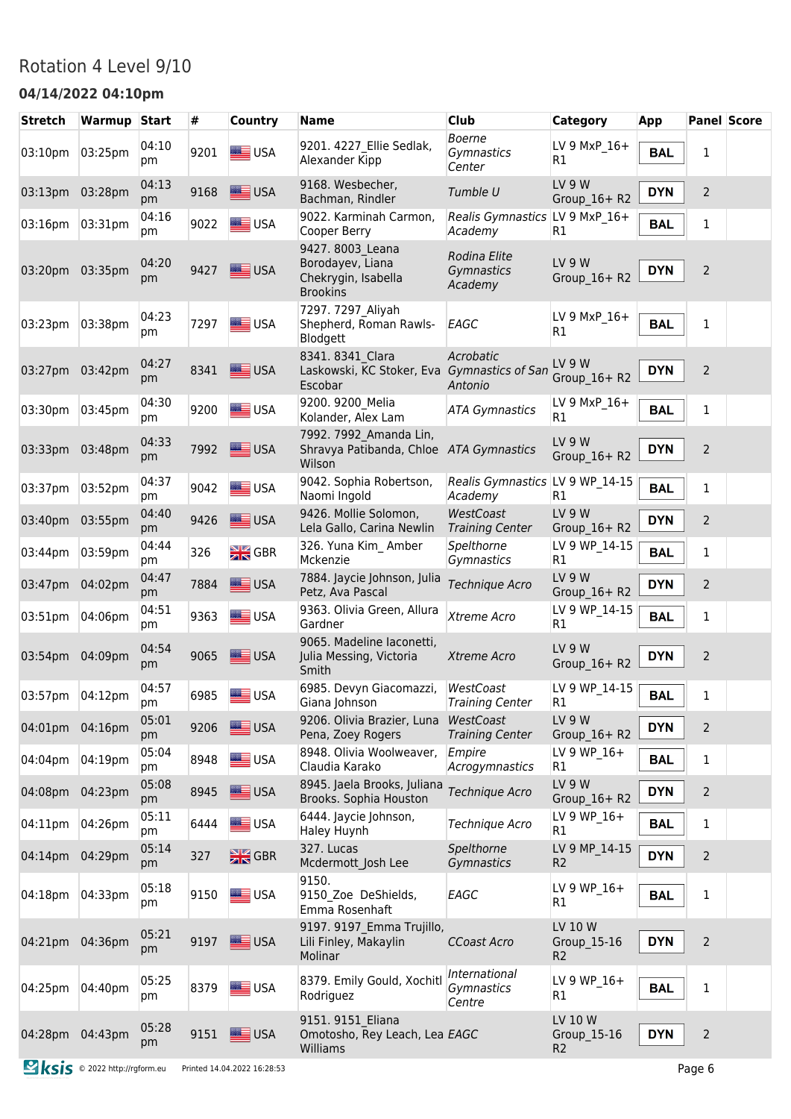#### Rotation 4 Level 9/10

#### **04/14/2022 04:10pm**

| <b>Stretch</b>  | Warmup Start |             | #    | Country            | <b>Name</b>                                                                    | <b>Club</b>                                | <b>Category</b>                          | <b>App</b> | <b>Panel Score</b> |  |
|-----------------|--------------|-------------|------|--------------------|--------------------------------------------------------------------------------|--------------------------------------------|------------------------------------------|------------|--------------------|--|
| 03:10pm         | 03:25pm      | 04:10<br>рm | 9201 | <b>SEE</b> USA     | 9201. 4227 Ellie Sedlak,<br>Alexander Kipp                                     | <b>Boerne</b><br>Gymnastics<br>Center      | LV 9 MxP 16+<br>R1                       | <b>BAL</b> | 1                  |  |
| 03:13pm         | 03:28pm      | 04:13<br>pm | 9168 | $\equiv$ USA       | 9168. Wesbecher,<br>Bachman, Rindler                                           | Tumble U                                   | <b>LV 9 W</b><br>Group_16+R2             | <b>DYN</b> | $\overline{2}$     |  |
| 03:16pm         | 03:31pm      | 04:16<br>рm | 9022 | USA                | 9022. Karminah Carmon,<br>Cooper Berry                                         | Realis Gymnastics LV 9 MxP 16+<br>Academy  | R1                                       | <b>BAL</b> | 1                  |  |
| 03:20pm 03:35pm |              | 04:20<br>pm | 9427 | USA                | 9427. 8003 Leana<br>Borodayev, Liana<br>Chekrygin, Isabella<br><b>Brookins</b> | Rodina Elite<br>Gymnastics<br>Academy      | <b>LV 9 W</b><br>Group 16+ R2            | <b>DYN</b> | $\overline{2}$     |  |
| 03:23pm         | 03:38pm      | 04:23<br>pm | 7297 | USA                | 7297. 7297 Aliyah<br>Shepherd, Roman Rawls-<br>Blodgett                        | EAGC                                       | LV 9 MxP 16+<br>R1                       | <b>BAL</b> | $\mathbf{1}$       |  |
| 03:27pm         | 03:42pm      | 04:27<br>pm | 8341 | <b>SEE</b> USA     | 8341. 8341 Clara<br>Laskowski, KC Stoker, Eva Gymnastics of San<br>Escobar     | Acrobatic<br>Antonio                       | <b>LV 9 W</b><br>Group_16+R2             | <b>DYN</b> | $\overline{2}$     |  |
| 03:30pm         | 03:45pm      | 04:30<br>pm | 9200 | <b>SEE</b> USA     | 9200. 9200 Melia<br>Kolander, Alex Lam                                         | <b>ATA Gymnastics</b>                      | LV 9 MxP_16+<br>R <sub>1</sub>           | <b>BAL</b> | 1                  |  |
| 03:33pm         | 03:48pm      | 04:33<br>pm | 7992 | <b>SEE USA</b>     | 7992. 7992 Amanda Lin,<br>Shravya Patibanda, Chloe ATA Gymnastics<br>Wilson    |                                            | LV <sub>9</sub> W<br>Group_16+R2         | <b>DYN</b> | $\overline{2}$     |  |
| 03:37pm         | 03:52pm      | 04:37<br>рm | 9042 | USA                | 9042. Sophia Robertson,<br>Naomi Ingold                                        | Realis Gymnastics LV 9 WP_14-15<br>Academy | R1                                       | <b>BAL</b> | $\mathbf{1}$       |  |
| 03:40pm         | 03:55pm      | 04:40<br>pm | 9426 | USA                | 9426. Mollie Solomon,<br>Lela Gallo, Carina Newlin                             | WestCoast<br><b>Training Center</b>        | <b>LV 9 W</b><br>Group_16+R2             | <b>DYN</b> | $\overline{2}$     |  |
| 03:44pm         | 03:59pm      | 04:44<br>рm | 326  | $\frac{N}{2N}$ GBR | 326. Yuna Kim Amber<br>Mckenzie                                                | Spelthorne<br>Gymnastics                   | LV 9 WP 14-15<br>R <sub>1</sub>          | <b>BAL</b> | 1                  |  |
| 03:47pm         | 04:02pm      | 04:47<br>pm | 7884 | USA                | 7884. Jaycie Johnson, Julia<br>Petz, Ava Pascal                                | Technique Acro                             | <b>LV 9 W</b><br>Group_ $16+R2$          | <b>DYN</b> | $\overline{2}$     |  |
| 03:51pm         | 04:06pm      | 04:51<br>pm | 9363 | <b>SIE</b> USA     | 9363. Olivia Green, Allura<br>Gardner                                          | Xtreme Acro                                | LV 9 WP 14-15<br>R1                      | <b>BAL</b> | 1                  |  |
| 03:54pm         | 04:09pm      | 04:54<br>pm | 9065 | USA                | 9065. Madeline laconetti,<br>Julia Messing, Victoria<br>Smith                  | Xtreme Acro                                | LV 9 W<br>Group_16+R2                    | <b>DYN</b> | $\overline{2}$     |  |
| 03:57pm         | 04:12pm      | 04:57<br>pm | 6985 | USA                | 6985. Devyn Giacomazzi,<br>Giana Johnson                                       | WestCoast<br><b>Training Center</b>        | LV 9 WP_14-15<br>R1                      | <b>BAL</b> | $\mathbf{1}$       |  |
| 04:01pm         | 04:16pm      | 05:01<br>pm | 9206 | USA                | 9206. Olivia Brazier, Luna<br>Pena, Zoey Rogers                                | WestCoast<br><b>Training Center</b>        | LV 9 W<br>Group $16+R2$                  | <b>DYN</b> | $\overline{2}$     |  |
| 04:04pm         | 04:19pm      | 05:04<br>pm | 8948 | USA                | 8948. Olivia Woolweaver,<br>Claudia Karako                                     | Empire<br>Acrogymnastics                   | LV 9 WP 16+<br>R1                        | <b>BAL</b> | $\mathbf 1$        |  |
| 04:08pm         | 04:23pm      | 05:08<br>pm | 8945 | USA                | 8945. Jaela Brooks, Juliana<br>Brooks. Sophia Houston                          | Technique Acro                             | <b>LV 9 W</b><br>Group_ $16+R2$          | <b>DYN</b> | $\overline{2}$     |  |
| 04:11pm         | 04:26pm      | 05:11<br>pm | 6444 | $\equiv$ USA       | 6444. Jaycie Johnson,<br>Haley Huynh                                           | Technique Acro                             | LV 9 WP 16+<br>R <sub>1</sub>            | <b>BAL</b> | $\mathbf 1$        |  |
| 04:14pm         | 04:29pm      | 05:14<br>pm | 327  | $\frac{N}{Z}$ GBR  | 327. Lucas<br>Mcdermott Josh Lee                                               | Spelthorne<br>Gymnastics                   | LV 9 MP_14-15<br>R <sub>2</sub>          | <b>DYN</b> | $\overline{2}$     |  |
| 04:18pm         | 04:33pm      | 05:18<br>pm | 9150 | <b>SEE</b> USA     | 9150.<br>9150 Zoe DeShields,<br>Emma Rosenhaft                                 | EAGC                                       | LV 9 WP 16+<br>R1                        | <b>BAL</b> | $\mathbf 1$        |  |
| 04:21pm         | 04:36pm      | 05:21<br>pm | 9197 | USA                | 9197. 9197 Emma Trujillo,<br>Lili Finley, Makaylin<br>Molinar                  | <b>CCoast Acro</b>                         | LV 10 W<br>Group_15-16<br>R <sub>2</sub> | <b>DYN</b> | $\overline{2}$     |  |
| 04:25pm         | 04:40pm      | 05:25<br>pm | 8379 | USA                | 8379. Emily Gould, Xochitl<br>Rodriguez                                        | International<br>Gymnastics<br>Centre      | LV 9 WP 16+<br>R1                        | <b>BAL</b> | $\mathbf 1$        |  |
| 04:28pm 04:43pm |              | 05:28<br>pm | 9151 | USA                | 9151. 9151 Eliana<br>Omotosho, Rey Leach, Lea EAGC<br>Williams                 |                                            | LV 10 W<br>Group_15-16<br>R <sub>2</sub> | <b>DYN</b> | $\mathbf 2$        |  |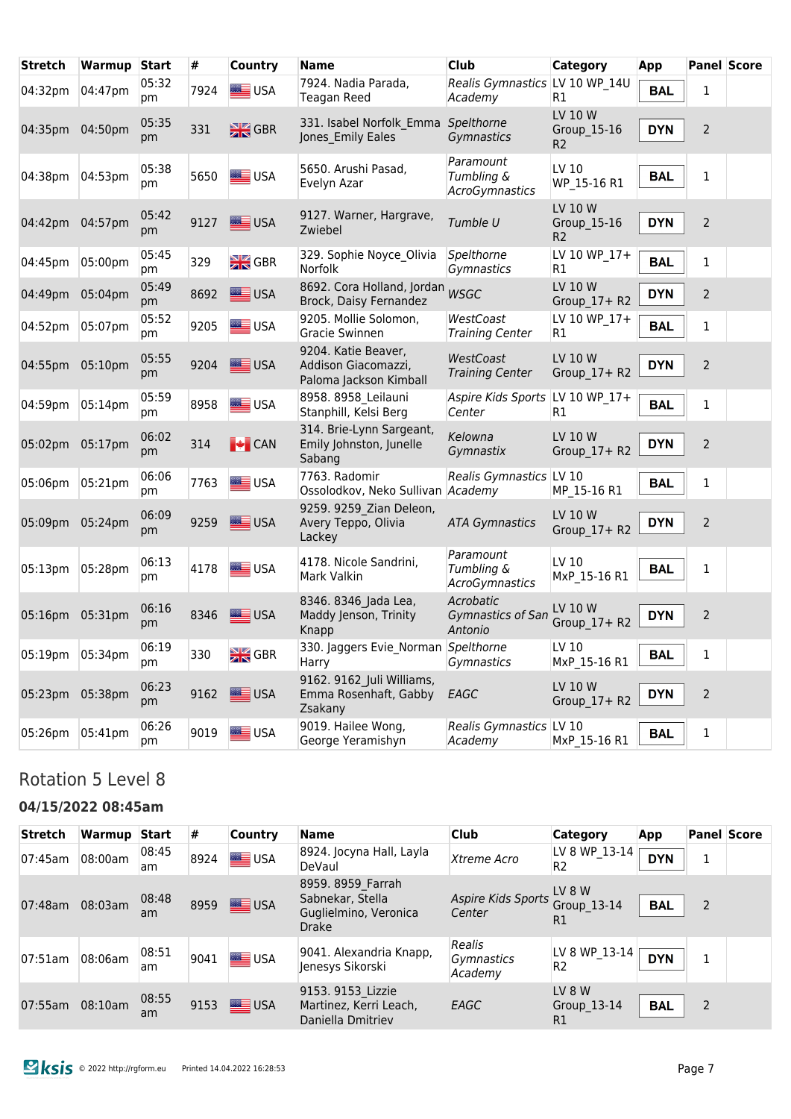| <b>Stretch</b>  | Warmup  | <b>Start</b> | #    | <b>Country</b>     | <b>Name</b>                                                          | <b>Club</b>                                      | <b>Category</b>                          | App        |                | <b>Panel Score</b> |
|-----------------|---------|--------------|------|--------------------|----------------------------------------------------------------------|--------------------------------------------------|------------------------------------------|------------|----------------|--------------------|
| 04:32pm         | 04:47pm | 05:32<br>pm  | 7924 | <b>SEE</b> USA     | 7924. Nadia Parada,<br><b>Teagan Reed</b>                            | Realis Gymnastics LV 10 WP 14U<br>Academy        | R1                                       | <b>BAL</b> | $\mathbf{1}$   |                    |
| 04:35pm         | 04:50pm | 05:35<br>pm  | 331  | $\frac{N}{2N}$ GBR | 331. Isabel Norfolk Emma<br>Jones Emily Eales                        | Spelthorne<br>Gymnastics                         | LV 10 W<br>Group_15-16<br>R <sub>2</sub> | <b>DYN</b> | $\overline{2}$ |                    |
| 04:38pm         | 04:53pm | 05:38<br>pm  | 5650 | USA                | 5650. Arushi Pasad,<br>Evelyn Azar                                   | Paramount<br>Tumbling &<br><b>AcroGymnastics</b> | LV 10<br>WP 15-16 R1                     | <b>BAL</b> | $\mathbf{1}$   |                    |
| 04:42pm         | 04:57pm | 05:42<br>pm  | 9127 | USA                | 9127. Warner, Hargrave,<br>Zwiebel                                   | Tumble U                                         | LV 10 W<br>Group 15-16<br>R <sub>2</sub> | <b>DYN</b> | 2              |                    |
| 04:45pm         | 05:00pm | 05:45<br>pm  | 329  | $\frac{N}{2N}$ GBR | 329. Sophie Noyce Olivia<br>Norfolk                                  | Spelthorne<br>Gymnastics                         | LV 10 WP 17+<br>R <sub>1</sub>           | <b>BAL</b> | 1              |                    |
| 04:49pm         | 05:04pm | 05:49<br>pm  | 8692 | USA                | 8692. Cora Holland, Jordan WSGC<br>Brock, Daisy Fernandez            |                                                  | LV 10 W<br>Group_ $17+$ R2               | <b>DYN</b> | $\overline{2}$ |                    |
| 04:52pm         | 05:07pm | 05:52<br>pm  | 9205 | <b>SIER</b> USA    | 9205. Mollie Solomon,<br>Gracie Swinnen                              | WestCoast<br><b>Training Center</b>              | LV 10 WP 17+<br>R1                       | <b>BAL</b> | 1              |                    |
| 04:55pm         | 05:10pm | 05:55<br>pm  | 9204 | USA                | 9204. Katie Beaver,<br>Addison Giacomazzi,<br>Paloma Jackson Kimball | WestCoast<br><b>Training Center</b>              | LV 10 W<br>Group 17+ R2                  | <b>DYN</b> | 2              |                    |
| 04:59pm         | 05:14pm | 05:59<br>pm  | 8958 | <b>USA</b>         | 8958. 8958 Leilauni<br>Stanphill, Kelsi Berg                         | Aspire Kids Sports LV 10 WP 17+<br>Center        | R1                                       | <b>BAL</b> | 1              |                    |
| 05:02pm         | 05:17pm | 06:02<br>pm  | 314  | $\bigcup$ CAN      | 314. Brie-Lynn Sargeant,<br>Emily Johnston, Junelle<br>Sabang        | Kelowna<br>Gymnastix                             | LV 10 W<br>Group 17+ R2                  | <b>DYN</b> | $\overline{2}$ |                    |
| 05:06pm         | 05:21pm | 06:06<br>рm  | 7763 | USA                | 7763. Radomir<br>Ossolodkov, Neko Sullivan                           | Realis Gymnastics LV 10<br>Academy               | MP_15-16 R1                              | <b>BAL</b> | $\mathbf{1}$   |                    |
| 05:09pm         | 05:24pm | 06:09<br>pm  | 9259 | USA                | 9259. 9259 Zian Deleon,<br>Avery Teppo, Olivia<br>Lackey             | <b>ATA Gymnastics</b>                            | LV 10 W<br>Group_17+ R2                  | <b>DYN</b> | $\overline{2}$ |                    |
| 05:13pm         | 05:28pm | 06:13<br>pm  | 4178 | USA                | 4178. Nicole Sandrini,<br>Mark Valkin                                | Paramount<br>Tumbling &<br><b>AcroGymnastics</b> | LV 10<br>MxP 15-16 R1                    | <b>BAL</b> | $\mathbf{1}$   |                    |
| 05:16pm         | 05:31pm | 06:16<br>pm  | 8346 | <b>SEE</b> USA     | 8346. 8346 Jada Lea,<br>Maddy Jenson, Trinity<br>Knapp               | Acrobatic<br>Gymnastics of San<br>Antonio        | LV 10 W<br>Group 17+ R2                  | <b>DYN</b> | $\overline{2}$ |                    |
| 05:19pm 05:34pm |         | 06:19<br>pm  | 330  | $\frac{N}{Z}$ GBR  | 330. Jaggers Evie_Norman Spelthorne<br>Harry                         | Gymnastics                                       | LV 10<br>MxP 15-16 R1                    | <b>BAL</b> | 1              |                    |
| 05:23pm         | 05:38pm | 06:23<br>pm  | 9162 | USA                | 9162. 9162 Juli Williams,<br>Emma Rosenhaft, Gabby<br>Zsakany        | EAGC                                             | LV 10 W<br>Group 17+ R2                  | <b>DYN</b> | $\overline{2}$ |                    |
| 05:26pm         | 05:41pm | 06:26<br>pm  | 9019 | USA                | 9019. Hailee Wong,<br>George Yeramishyn                              | Realis Gymnastics LV 10<br>Academy               | MxP 15-16 R1                             | <b>BAL</b> | $\mathbf 1$    |                    |

### Rotation 5 Level 8

#### **04/15/2022 08:45am**

| <b>Stretch</b>  | Warmup Start |             | #    | <b>Country</b>             | <b>Name</b>                                                             | <b>Club</b>                            | Category                        | App        |   | <b>Panel Score</b> |
|-----------------|--------------|-------------|------|----------------------------|-------------------------------------------------------------------------|----------------------------------------|---------------------------------|------------|---|--------------------|
| 07:45am         | 08:00am      | 08:45<br>am | 8924 | USA                        | 8924. Jocyna Hall, Layla<br>DeVaul                                      | Xtreme Acro                            | LV 8 WP 13-14<br>R <sub>2</sub> | <b>DYN</b> | 1 |                    |
| 07:48am 08:03am |              | 08:48<br>am |      | 8959 <b>Bullet</b> USA     | 8959. 8959 Farrah<br>Sabnekar, Stella<br>Guglielmino, Veronica<br>Drake | Aspire Kids Sports LV 8 W<br>Center    | Group 13-14<br>R1               | <b>BAL</b> | 2 |                    |
| 07:51am         | 08:06am      | 08:51<br>am | 9041 | USA                        | 9041. Alexandria Knapp,<br>Jenesys Sikorski                             | Realis<br><i>Gymnastics</i><br>Academy | LV 8 WP 13-14<br>R <sub>2</sub> | <b>DYN</b> | 1 |                    |
| 07:55am         | 08:10am      | 08:55<br>am |      | 9153 <b>Strategies</b> USA | 9153. 9153 Lizzie<br>Martinez, Kerri Leach,<br>Daniella Dmitriev        | EAGC                                   | LV 8 W<br>Group 13-14<br>R1     | <b>BAL</b> | 2 |                    |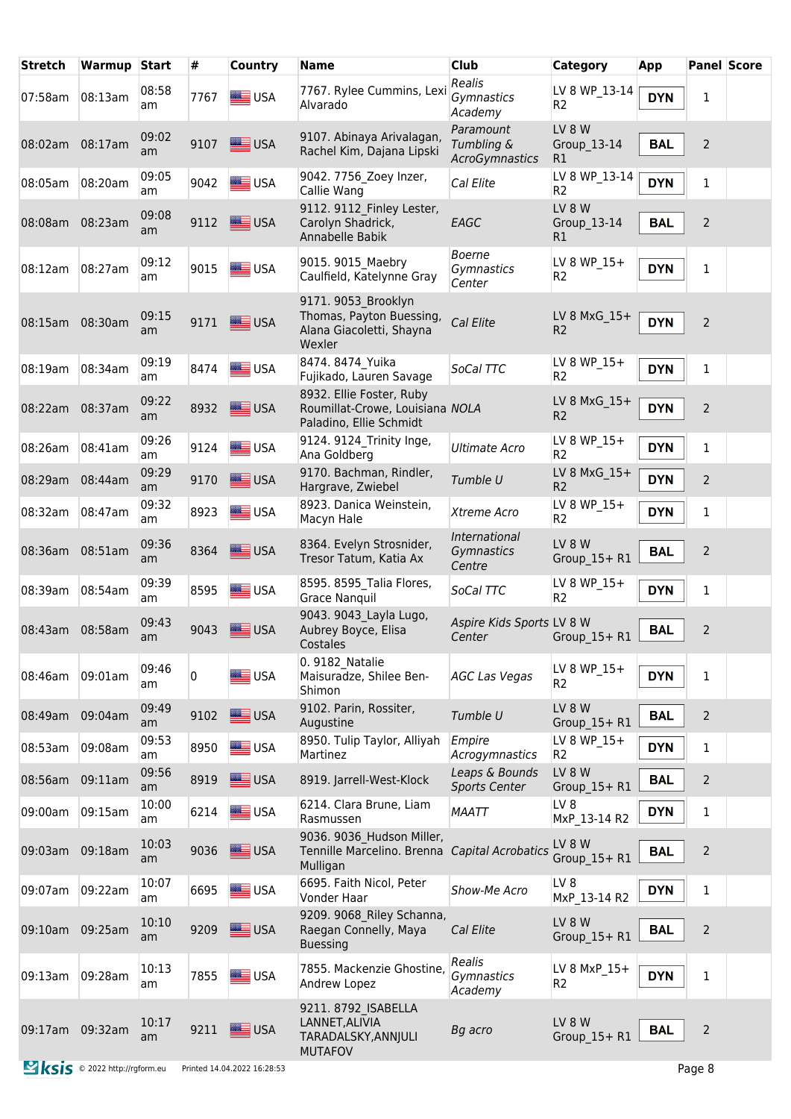| <b>Stretch</b>  | Warmup                             | Start       | #            | <b>Country</b>              | <b>Name</b>                                                                            | <b>Club</b>                               | <b>Category</b>                  | App        | <b>Panel Score</b> |  |
|-----------------|------------------------------------|-------------|--------------|-----------------------------|----------------------------------------------------------------------------------------|-------------------------------------------|----------------------------------|------------|--------------------|--|
| 07:58am         | 08:13am                            | 08:58<br>am | 7767         | <b>SEE</b> USA              | 7767. Rylee Cummins, Lexi<br>Alvarado                                                  | Realis<br>Gymnastics<br>Academy           | LV 8 WP_13-14<br>R <sub>2</sub>  | <b>DYN</b> | 1                  |  |
| 08:02am         | 08:17am                            | 09:02<br>am | 9107         | USA                         | 9107. Abinaya Arivalagan,<br>Rachel Kim, Dajana Lipski                                 | Paramount<br>Tumbling &<br>AcroGymnastics | LV 8 W<br>Group 13-14<br>R1      | <b>BAL</b> | 2                  |  |
| 08:05am         | 08:20am                            | 09:05<br>am | 9042         | <b>SIE</b> USA              | 9042. 7756 Zoey Inzer,<br>Callie Wang                                                  | Cal Elite                                 | LV 8 WP 13-14<br>R <sub>2</sub>  | <b>DYN</b> | $\mathbf 1$        |  |
| 08:08am         | 08:23am                            | 09:08<br>am | 9112         | <b>SEE USA</b>              | 9112. 9112 Finley Lester,<br>Carolyn Shadrick,<br>Annabelle Babik                      | EAGC                                      | LV 8 W<br>Group 13-14<br>R1      | <b>BAL</b> | 2                  |  |
| 08:12am         | 08:27am                            | 09:12<br>am | 9015         | USA                         | 9015. 9015 Maebry<br>Caulfield, Katelynne Gray                                         | <b>Boerne</b><br>Gymnastics<br>Center     | LV 8 WP 15+<br>R2                | <b>DYN</b> | $\mathbf{1}$       |  |
| 08:15am         | 08:30am                            | 09:15<br>am | 9171         | USA                         | 9171. 9053 Brooklyn<br>Thomas, Payton Buessing,<br>Alana Giacoletti, Shayna<br>Wexler  | Cal Elite                                 | LV 8 MxG $15+$<br>R <sub>2</sub> | <b>DYN</b> | $\overline{2}$     |  |
| 08:19am         | 08:34am                            | 09:19<br>am | 8474         | <b>SEE</b> USA              | 8474. 8474 Yuika<br>Fujikado, Lauren Savage                                            | SoCal TTC                                 | LV 8 WP 15+<br>R <sub>2</sub>    | <b>DYN</b> | $\mathbf{1}$       |  |
| 08:22am         | 08:37am                            | 09:22<br>am | 8932         | USA                         | 8932. Ellie Foster, Ruby<br>Roumillat-Crowe, Louisiana NOLA<br>Paladino, Ellie Schmidt |                                           | LV 8 MxG 15+<br>R <sub>2</sub>   | <b>DYN</b> | $\overline{2}$     |  |
| 08:26am         | 08:41am                            | 09:26<br>am | 9124         | <b>SIME</b> USA             | 9124. 9124 Trinity Inge,<br>Ana Goldberg                                               | <b>Ultimate Acro</b>                      | LV 8 WP 15+<br>R <sub>2</sub>    | <b>DYN</b> | 1                  |  |
| 08:29am         | 08:44am                            | 09:29<br>am | 9170         | USA                         | 9170. Bachman, Rindler,<br>Hargrave, Zwiebel                                           | Tumble U                                  | LV 8 MxG 15+<br>R <sub>2</sub>   | <b>DYN</b> | 2                  |  |
| 08:32am         | 08:47am                            | 09:32<br>am | 8923         | USA                         | 8923. Danica Weinstein,<br>Macyn Hale                                                  | Xtreme Acro                               | LV 8 WP_15+<br>R <sub>2</sub>    | <b>DYN</b> | 1                  |  |
| 08:36am         | 08:51am                            | 09:36<br>am | 8364         | USA                         | 8364. Evelyn Strosnider,<br>Tresor Tatum, Katia Ax                                     | International<br>Gymnastics<br>Centre     | LV 8 W<br>$Group_15+R1$          | <b>BAL</b> | $\overline{2}$     |  |
| 08:39am         | 08:54am                            | 09:39<br>am | 8595         | USA                         | 8595. 8595 Talia Flores,<br><b>Grace Nanquil</b>                                       | SoCal TTC                                 | LV 8 WP 15+<br>R <sub>2</sub>    | <b>DYN</b> | 1                  |  |
| 08:43am         | 08:58am                            | 09:43<br>am | 9043         | USA                         | 9043. 9043 Layla Lugo,<br>Aubrey Boyce, Elisa<br>Costales                              | Aspire Kids Sports LV 8 W<br>Center       | Group $15 + R1$                  | <b>BAL</b> | 2                  |  |
| 08:46am         | $ 09:01$ am                        | 09:46<br>am | $\mathbf{0}$ | <b>SASE</b> USA             | 0. 9182 Natalie<br>Maisuradze, Shilee Ben-<br>Shimon                                   | <b>AGC Las Vegas</b>                      | LV 8 WP 15+<br>R <sub>2</sub>    | <b>DYN</b> | $\mathbf{1}$       |  |
| 08:49am         | 09:04am                            | 09:49<br>am | 9102         | USA                         | 9102. Parin, Rossiter,<br>Augustine                                                    | Tumble U                                  | LV 8 W<br>$Group_15+R1$          | <b>BAL</b> | $\overline{2}$     |  |
| 08:53am         | 09:08am                            | 09:53<br>am | 8950         | USA                         | 8950. Tulip Taylor, Alliyah<br>Martinez                                                | Empire<br>Acrogymnastics                  | LV 8 WP 15+<br>R <sub>2</sub>    | <b>DYN</b> | $\mathbf{1}$       |  |
| 08:56am         | 09:11am                            | 09:56<br>am | 8919         | <b>SEE USA</b>              | 8919. Jarrell-West-Klock                                                               | Leaps & Bounds<br><b>Sports Center</b>    | LV 8 W<br>Group 15+ R1           | <b>BAL</b> | $\overline{2}$     |  |
| 09:00am         | 09:15am                            | 10:00<br>am | 6214         | <b>E</b> USA                | 6214. Clara Brune, Liam<br>Rasmussen                                                   | <b>MAATT</b>                              | LV 8<br>MxP_13-14 R2             | <b>DYN</b> | $\mathbf 1$        |  |
| 09:03am         | 09:18am                            | 10:03<br>am | 9036         | USA                         | 9036. 9036 Hudson Miller,<br>Tennille Marcelino. Brenna Capital Acrobatics<br>Mulligan |                                           | LV 8 W<br>Group_15+ R1           | <b>BAL</b> | $\overline{2}$     |  |
| 09:07am         | 09:22am                            | 10:07<br>am | 6695         | USA                         | 6695. Faith Nicol, Peter<br>Vonder Haar                                                | Show-Me Acro                              | LV <sub>8</sub><br>MxP_13-14 R2  | <b>DYN</b> | $\mathbf{1}$       |  |
| 09:10am         | 09:25am                            | 10:10<br>am | 9209         | USA                         | 9209. 9068 Riley Schanna,<br>Raegan Connelly, Maya<br><b>Buessing</b>                  | Cal Elite                                 | LV 8 W<br>Group 15+ R1           | <b>BAL</b> | $\overline{2}$     |  |
| 09:13am         | 09:28am                            | 10:13<br>am | 7855         | USA                         | 7855. Mackenzie Ghostine,<br>Andrew Lopez                                              | Realis<br>Gymnastics<br>Academy           | LV 8 MxP 15+<br>R2               | <b>DYN</b> | $\mathbf{1}$       |  |
| 09:17am 09:32am |                                    | 10:17<br>am | 9211         | $\equiv$ USA                | 9211. 8792 ISABELLA<br>LANNET, ALIVIA<br>TARADALSKY, ANNJULI<br><b>MUTAFOV</b>         | Bg acro                                   | LV 8 W<br>Group 15+ R1           | <b>BAL</b> | $\overline{2}$     |  |
|                 | <b>Sis</b> © 2022 http://rgform.eu |             |              | Printed 14.04.2022 16:28:53 |                                                                                        |                                           |                                  |            | Page 8             |  |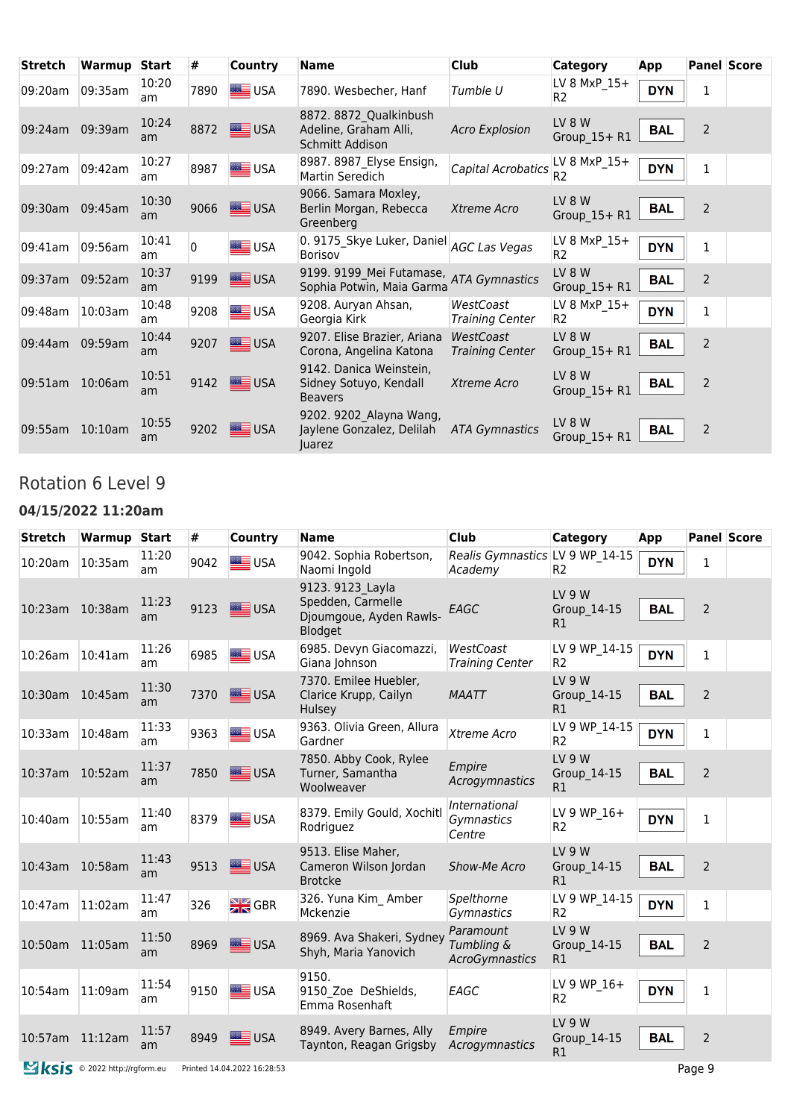| <b>Stretch</b> | Warmup     | <b>Start</b> | #        | <b>Country</b> | <b>Name</b>                                                                   | <b>Club</b>                         | <b>Category</b>                  | App        |                | <b>Panel Score</b> |
|----------------|------------|--------------|----------|----------------|-------------------------------------------------------------------------------|-------------------------------------|----------------------------------|------------|----------------|--------------------|
| 09:20am        | 09:35am    | 10:20<br>am  | 7890     | <b>SEE</b> USA | 7890. Wesbecher, Hanf                                                         | Tumble U                            | LV 8 MxP $15+$<br>R <sub>2</sub> | <b>DYN</b> | 1              |                    |
| 09:24am        | 09:39am    | 10:24<br>am  | 8872     | <b>SEE USA</b> | 8872. 8872 Qualkinbush<br>Adeline, Graham Alli,<br>Schmitt Addison            | <b>Acro Explosion</b>               | LV 8 W<br>Group $15 + R1$        | <b>BAL</b> | $\overline{2}$ |                    |
| 09:27am        | 09:42am    | 10:27<br>am  | 8987     | $\equiv$ USA   | 8987. 8987 Elyse Ensign,<br>Martin Seredich                                   | Capital Acrobatics                  | LV 8 MxP_15+<br>R <sub>2</sub>   | <b>DYN</b> | $\mathbf{1}$   |                    |
| 09:30am        | 09:45am    | 10:30<br>am  | 9066     | USA            | 9066. Samara Moxley,<br>Berlin Morgan, Rebecca<br>Greenberg                   | Xtreme Acro                         | LV 8 W<br>Group_15+R1            | <b>BAL</b> | $\overline{2}$ |                    |
| 09:41am        | 09:56am    | 10:41<br>am  | $\Omega$ | <b>SEE</b> USA | 0. 9175_Skye Luker, Daniel AGC Las Vegas<br><b>Borisov</b>                    |                                     | LV 8 MxP 15+<br>R <sub>2</sub>   | <b>DYN</b> | 1              |                    |
| 09:37am        | 09:52am    | 10:37<br>am  | 9199     | USA            | 9199. 9199 Mei Futamase, ATA Gymnastics<br>Sophia Potwin, Maia Garma          |                                     | LV 8 W<br>Group_15+R1            | <b>BAL</b> | $\overline{2}$ |                    |
| 09:48am        | 10:03am    | 10:48<br>am  | 9208     | <b>SEE</b> USA | 9208. Auryan Ahsan,<br>Georgia Kirk                                           | WestCoast<br><b>Training Center</b> | LV 8 MxP 15+<br>R <sub>2</sub>   | <b>DYN</b> | $\mathbf{1}$   |                    |
| 09:44am        | 09:59am    | 10:44<br>am  | 9207     | USA            | 9207. Elise Brazier, Ariana<br>Corona, Angelina Katona                        | WestCoast<br><b>Training Center</b> | LV 8 W<br>Group $15 + R1$        | <b>BAL</b> | $\overline{2}$ |                    |
| 09:51am        | 10:06am    | 10:51<br>am  | 9142     | USA            | 9142. Danica Weinstein,<br>Sidney Sotuyo, Kendall<br><b>Beavers</b>           | Xtreme Acro                         | LV 8 W<br>Group_15+R1            | <b>BAL</b> | $\overline{2}$ |                    |
| 09:55am        | $10:10$ am | 10:55<br>am  | 9202     | <b>SEE</b> USA | 9202. 9202 Alayna Wang,<br>Jaylene Gonzalez, Delilah ATA Gymnastics<br>Juarez |                                     | LV 8 W<br>Group $15 + R1$        | <b>BAL</b> | $\overline{2}$ |                    |

# Rotation 6 Level 9

### **04/15/2022 11:20am**

| <b>Stretch</b>  | Warmup                             | <b>Start</b> | #    | Country                     | <b>Name</b>                                                                 | <b>Club</b>                                | <b>Category</b>                    | <b>App</b> |                | <b>Panel Score</b> |
|-----------------|------------------------------------|--------------|------|-----------------------------|-----------------------------------------------------------------------------|--------------------------------------------|------------------------------------|------------|----------------|--------------------|
| 10:20am         | 10:35am                            | 11:20<br>am  | 9042 | USA                         | 9042. Sophia Robertson,<br>Naomi Ingold                                     | Realis Gymnastics LV 9 WP 14-15<br>Academy | R <sub>2</sub>                     | <b>DYN</b> | 1              |                    |
| 10:23am         | 10:38am                            | 11:23<br>am  | 9123 | <b>SEE</b> USA              | 9123. 9123 Layla<br>Spedden, Carmelle<br>Djoumgoue, Ayden Rawls-<br>Blodget | EAGC                                       | LV 9 W<br>Group 14-15<br>R1        | <b>BAL</b> | $\overline{2}$ |                    |
| 10:26am         | 10:41am                            | 11:26<br>am  | 6985 | <b>SIME</b> USA             | 6985. Devyn Giacomazzi,<br>Giana Johnson                                    | WestCoast<br><b>Training Center</b>        | LV 9 WP 14-15<br>R <sub>2</sub>    | <b>DYN</b> | $\mathbf{1}$   |                    |
| 10:30am         | 10:45am                            | 11:30<br>am  | 7370 | <b>SEE</b> USA              | 7370. Emilee Huebler,<br>Clarice Krupp, Cailyn<br>Hulsey                    | <b>MAATT</b>                               | <b>LV 9 W</b><br>Group 14-15<br>R1 | <b>BAL</b> | $\overline{2}$ |                    |
| 10:33am         | 10:48am                            | 11:33<br>am  | 9363 | <b>SEE</b> USA              | 9363. Olivia Green, Allura<br>Gardner                                       | Xtreme Acro                                | LV 9 WP_14-15<br>R <sub>2</sub>    | <b>DYN</b> | $\mathbf{1}$   |                    |
| 10:37am         | 10:52am                            | 11:37<br>am  | 7850 | USA                         | 7850. Abby Cook, Rylee<br>Turner, Samantha<br>Woolweaver                    | Empire<br>Acrogymnastics                   | <b>LV 9 W</b><br>Group 14-15<br>R1 | <b>BAL</b> | $\overline{2}$ |                    |
| 10:40am         | 10:55am                            | 11:40<br>am  | 8379 | USA                         | 8379. Emily Gould, Xochitl<br>Rodriguez                                     | International<br>Gymnastics<br>Centre      | LV 9 WP_16+<br>R <sub>2</sub>      | <b>DYN</b> | $\mathbf 1$    |                    |
| 10:43am         | 10:58am                            | 11:43<br>am  | 9513 | <b>LE</b> USA               | 9513. Elise Maher,<br>Cameron Wilson Jordan<br><b>Brotcke</b>               | Show-Me Acro                               | <b>LV 9 W</b><br>Group 14-15<br>R1 | <b>BAL</b> | $\overline{2}$ |                    |
| 10:47am         | 11:02am                            | 11:47<br>am  | 326  | $\frac{N}{2N}$ GBR          | 326. Yuna Kim Amber<br>Mckenzie                                             | Spelthorne<br>Gymnastics                   | LV 9 WP 14-15<br>R <sub>2</sub>    | <b>DYN</b> | 1              |                    |
| 10:50am         | 11:05am                            | 11:50<br>am  | 8969 | USA                         | 8969. Ava Shakeri, Sydney<br>Shyh, Maria Yanovich                           | Paramount<br>Tumbling &<br>AcroGymnastics  | <b>LV 9 W</b><br>Group 14-15<br>R1 | <b>BAL</b> | $\overline{2}$ |                    |
| 10:54am         | 11:09am                            | 11:54<br>am  | 9150 | <b>SIER</b> USA             | 9150.<br>9150 Zoe DeShields,<br>Emma Rosenhaft                              | EAGC                                       | LV 9 WP 16+<br>R <sub>2</sub>      | <b>DYN</b> | $\mathbf{1}$   |                    |
| 10:57am 11:12am |                                    | 11:57<br>am  | 8949 | ≣USA                        | 8949. Avery Barnes, Ally<br>Taynton, Reagan Grigsby                         | Empire<br>Acrogymnastics                   | <b>LV 9 W</b><br>Group 14-15<br>R1 | <b>BAL</b> | $\overline{2}$ |                    |
|                 | <b>Sis</b> © 2022 http://rgform.eu |              |      | Printed 14.04.2022 16:28:53 |                                                                             |                                            |                                    |            | Page 9         |                    |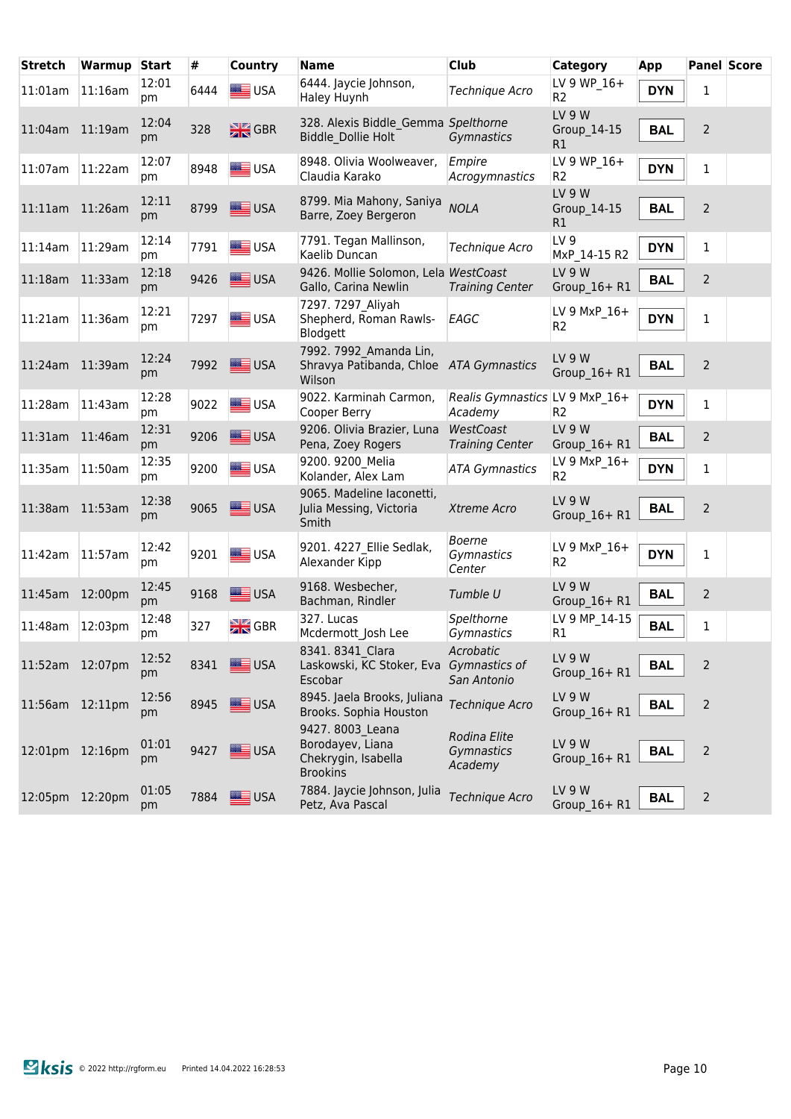| <b>Stretch</b>  | <b>Warmup Start</b> |             | #    | <b>Country</b>     | <b>Name</b>                                                                    | <b>Club</b>                               | Category                        | App        |                | <b>Panel Score</b> |
|-----------------|---------------------|-------------|------|--------------------|--------------------------------------------------------------------------------|-------------------------------------------|---------------------------------|------------|----------------|--------------------|
| 11:01am         | 11:16am             | 12:01<br>pm | 6444 | USA                | 6444. Jaycie Johnson,<br>Haley Huynh                                           | <b>Technique Acro</b>                     | LV 9 WP 16+<br>R <sub>2</sub>   | <b>DYN</b> | 1              |                    |
| 11:04am 11:19am |                     | 12:04<br>pm | 328  | $\frac{N}{2N}$ GBR | 328. Alexis Biddle Gemma Spelthorne<br>Biddle_Dollie Holt                      | Gymnastics                                | LV 9 W<br>Group 14-15<br>R1     | <b>BAL</b> | $\overline{2}$ |                    |
| 11:07am         | 11:22am             | 12:07<br>pm | 8948 | USA                | 8948. Olivia Woolweaver,<br>Claudia Karako                                     | Empire<br>Acrogymnastics                  | LV 9 WP 16+<br>R <sub>2</sub>   | <b>DYN</b> | $\mathbf{1}$   |                    |
| 11:11am 11:26am |                     | 12:11<br>pm | 8799 | USA                | 8799. Mia Mahony, Saniya<br>Barre, Zoey Bergeron                               | <b>NOLA</b>                               | LV 9 W<br>Group_14-15<br>R1     | <b>BAL</b> | $\overline{2}$ |                    |
| 11:14am         | 11:29am             | 12:14<br>pm | 7791 | <b>SEE</b> USA     | 7791. Tegan Mallinson,<br>Kaelib Duncan                                        | <b>Technique Acro</b>                     | LV <sub>9</sub><br>MxP_14-15 R2 | <b>DYN</b> | 1              |                    |
| 11:18am 11:33am |                     | 12:18<br>pm | 9426 | $\equiv$ USA       | 9426. Mollie Solomon, Lela WestCoast<br>Gallo, Carina Newlin                   | <b>Training Center</b>                    | LV 9 W<br>Group_16+ R1          | <b>BAL</b> | $\overline{2}$ |                    |
| $11:21$ am      | $ 11:36$ am         | 12:21<br>pm | 7297 | USA                | 7297. 7297 Aliyah<br>Shepherd, Roman Rawls-<br>Blodgett                        | EAGC                                      | LV 9 MxP 16+<br>R <sub>2</sub>  | <b>DYN</b> | $\mathbf{1}$   |                    |
| 11:24am 11:39am |                     | 12:24<br>pm | 7992 | <b>SEE</b> USA     | 7992. 7992 Amanda Lin,<br>Shravya Patibanda, Chloe ATA Gymnastics<br>Wilson    |                                           | <b>LV 9 W</b><br>Group 16+ R1   | <b>BAL</b> | $\overline{2}$ |                    |
| 11:28am         | 11:43am             | 12:28<br>pm | 9022 | USA                | 9022. Karminah Carmon,<br>Cooper Berry                                         | Realis Gymnastics LV 9 MxP 16+<br>Academy | R <sub>2</sub>                  | <b>DYN</b> | $\mathbf{1}$   |                    |
| 11:31am         | 11:46am             | 12:31<br>pm | 9206 | <b>SASSING</b> USA | 9206. Olivia Brazier, Luna<br>Pena, Zoey Rogers                                | WestCoast<br><b>Training Center</b>       | LV 9 W<br>Group $16 + R1$       | <b>BAL</b> | $\overline{2}$ |                    |
| 11:35am         | 11:50am             | 12:35<br>pm | 9200 | <b>USA</b>         | 9200. 9200 Melia<br>Kolander, Alex Lam                                         | <b>ATA Gymnastics</b>                     | LV 9 MxP 16+<br>R <sub>2</sub>  | <b>DYN</b> | 1              |                    |
| 11:38am 11:53am |                     | 12:38<br>pm | 9065 | USA                | 9065. Madeline laconetti,<br>Julia Messing, Victoria<br>Smith                  | Xtreme Acro                               | <b>LV 9 W</b><br>Group_16+ R1   | <b>BAL</b> | $\overline{2}$ |                    |
| 11:42am         | $ 11:57$ am         | 12:42<br>pm | 9201 | <b>SIM</b> USA     | 9201. 4227 Ellie Sedlak,<br>Alexander Kipp                                     | <b>Boerne</b><br>Gymnastics<br>Center     | LV 9 MxP 16+<br>R <sub>2</sub>  | <b>DYN</b> | $\mathbf{1}$   |                    |
| 11:45am         | 12:00pm             | 12:45<br>pm | 9168 | USA                | 9168. Wesbecher,<br>Bachman, Rindler                                           | Tumble U                                  | LV 9 W<br>Group_16+ R1          | <b>BAL</b> | $\overline{2}$ |                    |
| 11:48am         | 12:03pm             | 12:48<br>pm | 327  | $\frac{N}{2N}$ GBR | 327. Lucas<br>Mcdermott Josh Lee                                               | Spelthorne<br>Gymnastics                  | LV 9 MP 14-15<br>R1             | <b>BAL</b> | $\mathbf{1}$   |                    |
| 11:52am 12:07pm |                     | 12:52<br>pm | 8341 | <b>SEE</b> USA     | 8341.8341 Clara<br>Laskowski, KC Stoker, Eva<br>Escobar                        | Acrobatic<br>Gymnastics of<br>San Antonio | LV 9 W<br>Group_16+ R1          | <b>BAL</b> | $\overline{2}$ |                    |
| 11:56am 12:11pm |                     | 12:56<br>pm | 8945 | USA                | 8945. Jaela Brooks, Juliana<br>Brooks. Sophia Houston                          | Technique Acro                            | LV 9 W<br>Group 16+ R1          | <b>BAL</b> | $\overline{2}$ |                    |
| 12:01pm 12:16pm |                     | 01:01<br>pm | 9427 | USA                | 9427. 8003 Leana<br>Borodayev, Liana<br>Chekrygin, Isabella<br><b>Brookins</b> | Rodina Elite<br>Gymnastics<br>Academy     | LV 9 W<br>Group 16+ R1          | <b>BAL</b> | $\overline{2}$ |                    |
| 12:05pm 12:20pm |                     | 01:05<br>pm | 7884 | USA                | 7884. Jaycie Johnson, Julia<br>Petz, Ava Pascal                                | Technique Acro                            | LV 9 W<br>Group $16 + R1$       | <b>BAL</b> | $\overline{2}$ |                    |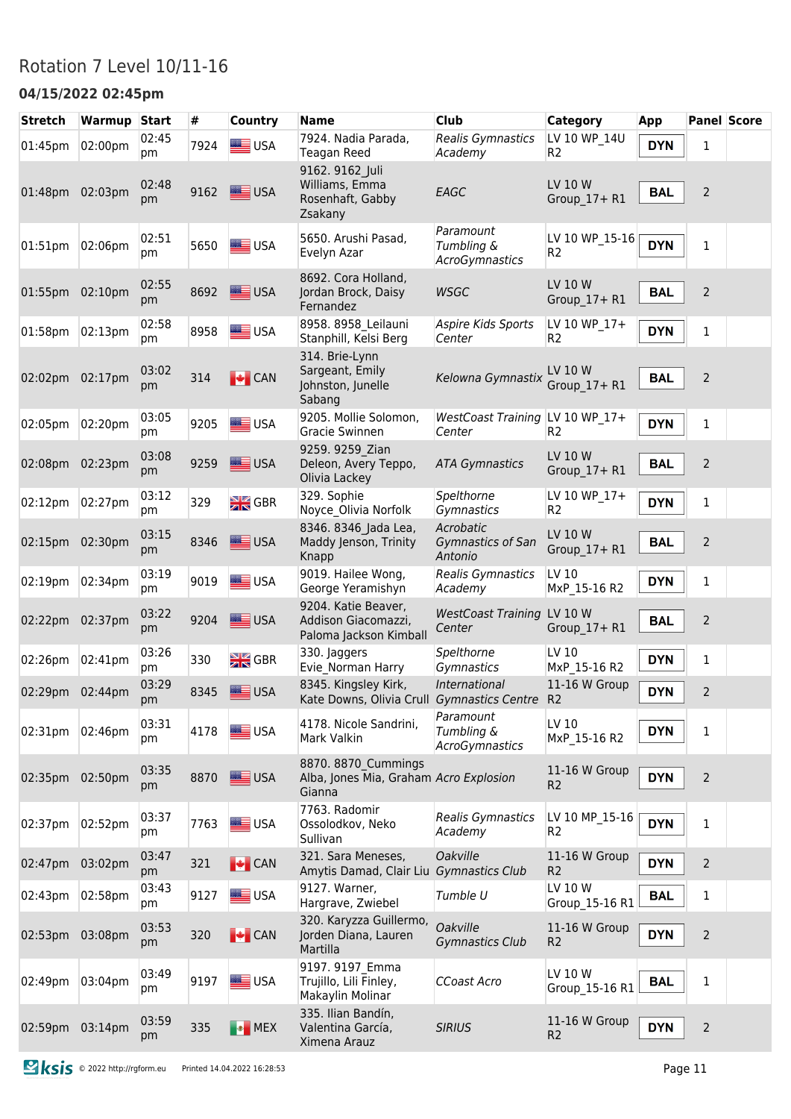### Rotation 7 Level 10/11-16

#### **04/15/2022 02:45pm**

| <b>Stretch</b>  | Warmup  | <b>Start</b> | #    | Country                   | <b>Name</b>                                                             | <b>Club</b>                               | <b>Category</b>                  | <b>App</b> |                | <b>Panel Score</b> |
|-----------------|---------|--------------|------|---------------------------|-------------------------------------------------------------------------|-------------------------------------------|----------------------------------|------------|----------------|--------------------|
| 01:45pm         | 02:00pm | 02:45<br>pm  | 7924 | USA                       | 7924. Nadia Parada,<br><b>Teagan Reed</b>                               | Realis Gymnastics<br>Academy              | LV 10 WP 14U<br>R <sub>2</sub>   | <b>DYN</b> | $1\,$          |                    |
| 01:48pm 02:03pm |         | 02:48<br>pm  | 9162 | USA                       | 9162. 9162 Juli<br>Williams, Emma<br>Rosenhaft, Gabby<br>Zsakany        | EAGC                                      | LV 10 W<br>Group 17+ R1          | <b>BAL</b> | $\overline{2}$ |                    |
| 01:51pm         | 02:06pm | 02:51<br>pm  | 5650 | USA                       | 5650. Arushi Pasad,<br>Evelyn Azar                                      | Paramount<br>Tumbling &<br>AcroGymnastics | LV 10 WP_15-16<br>R <sub>2</sub> | <b>DYN</b> | $\mathbf 1$    |                    |
| 01:55pm         | 02:10pm | 02:55<br>pm  | 8692 | USA                       | 8692. Cora Holland,<br>Jordan Brock, Daisy<br>Fernandez                 | <b>WSGC</b>                               | LV 10 W<br>Group 17+ R1          | <b>BAL</b> | $\overline{2}$ |                    |
| 01:58pm         | 02:13pm | 02:58<br>рm  | 8958 | <b>SEE</b> USA            | 8958. 8958 Leilauni<br>Stanphill, Kelsi Berg                            | Aspire Kids Sports<br>Center              | LV 10 WP_17+<br>R <sub>2</sub>   | <b>DYN</b> | 1              |                    |
| 02:02pm 02:17pm |         | 03:02<br>pm  | 314  | $\bigcup$ CAN             | 314. Brie-Lynn<br>Sargeant, Emily<br>Johnston, Junelle<br>Sabang        | Kelowna Gymnastix                         | LV 10 W<br>Group 17+ R1          | <b>BAL</b> | $\overline{2}$ |                    |
| 02:05pm         | 02:20pm | 03:05<br>pm  | 9205 | <b>SEE</b> USA            | 9205. Mollie Solomon,<br>Gracie Swinnen                                 | WestCoast Training LV 10 WP 17+<br>Center | R <sub>2</sub>                   | <b>DYN</b> | $\mathbf{1}$   |                    |
| 02:08pm         | 02:23pm | 03:08<br>pm  | 9259 | USA                       | 9259. 9259 Zian<br>Deleon, Avery Teppo,<br>Olivia Lackey                | <b>ATA Gymnastics</b>                     | LV 10 W<br>Group_17+R1           | <b>BAL</b> | $\overline{2}$ |                    |
| 02:12pm         | 02:27pm | 03:12<br>рm  | 329  | $\frac{N}{2N}$ GBR        | 329. Sophie<br>Noyce Olivia Norfolk                                     | Spelthorne<br>Gymnastics                  | LV 10 WP 17+<br>R <sub>2</sub>   | <b>DYN</b> | $\mathbf{1}$   |                    |
| 02:15pm         | 02:30pm | 03:15<br>pm  | 8346 | USA                       | 8346. 8346 Jada Lea,<br>Maddy Jenson, Trinity<br>Knapp                  | Acrobatic<br>Gymnastics of San<br>Antonio | LV 10 W<br>Group_17+ R1          | <b>BAL</b> | $\overline{2}$ |                    |
| 02:19pm         | 02:34pm | 03:19<br>pm  | 9019 | USA                       | 9019. Hailee Wong,<br>George Yeramishyn                                 | Realis Gymnastics<br>Academy              | LV 10<br>MxP 15-16 R2            | <b>DYN</b> | $\mathbf{1}$   |                    |
| 02:22pm         | 02:37pm | 03:22<br>pm  | 9204 | USA                       | 9204. Katie Beaver,<br>Addison Giacomazzi,<br>Paloma Jackson Kimball    | WestCoast Training LV 10 W<br>Center      | Group 17+ R1                     | <b>BAL</b> | $\overline{2}$ |                    |
| 02:26pm         | 02:41pm | 03:26<br>pm  | 330  | $\frac{N}{2N}$ GBR        | 330. Jaggers<br>Evie Norman Harry                                       | Spelthorne<br>Gymnastics                  | LV 10<br>MxP 15-16 R2            | <b>DYN</b> | $\mathbf 1$    |                    |
| 02:29pm 02:44pm |         | 03:29<br>pm  | 8345 | USA                       | 8345. Kingsley Kirk,<br>Kate Downs, Olivia Crull Gymnastics Centre      | International                             | 11-16 W Group<br>R <sub>2</sub>  | <b>DYN</b> | $\overline{2}$ |                    |
| 02:31pm         | 02:46pm | 03:31<br>pm  | 4178 | <b>SEE</b> USA            | 4178. Nicole Sandrini,<br>Mark Valkin                                   | Paramount<br>Tumbling &<br>AcroGymnastics | LV 10<br>MxP 15-16 R2            | <b>DYN</b> | $\mathbf 1$    |                    |
| 02:35pm         | 02:50pm | 03:35<br>pm  | 8870 | USA                       | 8870. 8870 Cummings<br>Alba, Jones Mia, Graham Acro Explosion<br>Gianna |                                           | 11-16 W Group<br>R <sub>2</sub>  | <b>DYN</b> | $\overline{2}$ |                    |
| 02:37pm         | 02:52pm | 03:37<br>pm  | 7763 | USA                       | 7763. Radomir<br>Ossolodkov, Neko<br>Sullivan                           | Realis Gymnastics<br>Academy              | LV 10 MP 15-16<br>R <sub>2</sub> | <b>DYN</b> | $\mathbf 1$    |                    |
| 02:47pm         | 03:02pm | 03:47<br>pm  | 321  | $\blacktriangleright$ CAN | 321. Sara Meneses,<br>Amytis Damad, Clair Liu                           | Oakville<br>Gymnastics Club               | 11-16 W Group<br>R <sub>2</sub>  | <b>DYN</b> | $\overline{2}$ |                    |
| 02:43pm         | 02:58pm | 03:43<br>pm  | 9127 | USA                       | 9127. Warner,<br>Hargrave, Zwiebel                                      | Tumble U                                  | LV 10 W<br>Group 15-16 R1        | <b>BAL</b> | $\mathbf 1$    |                    |
| 02:53pm         | 03:08pm | 03:53<br>pm  | 320  | $\bigcup$ CAN             | 320. Karyzza Guillermo,<br>Jorden Diana, Lauren<br>Martilla             | <b>Oakville</b><br><b>Gymnastics Club</b> | 11-16 W Group<br>R <sub>2</sub>  | <b>DYN</b> | $\overline{2}$ |                    |
| 02:49pm         | 03:04pm | 03:49<br>pm  | 9197 | USA                       | 9197. 9197 Emma<br>Trujillo, Lili Finley,<br>Makaylin Molinar           | CCoast Acro                               | LV 10 W<br>Group_15-16 R1        | <b>BAL</b> | $\mathbf 1$    |                    |
| 02:59pm         | 03:14pm | 03:59<br>pm  | 335  | <b>B</b> MEX              | 335. Ilian Bandín,<br>Valentina García,<br>Ximena Arauz                 | <b>SIRIUS</b>                             | 11-16 W Group<br>R <sub>2</sub>  | <b>DYN</b> | $\overline{2}$ |                    |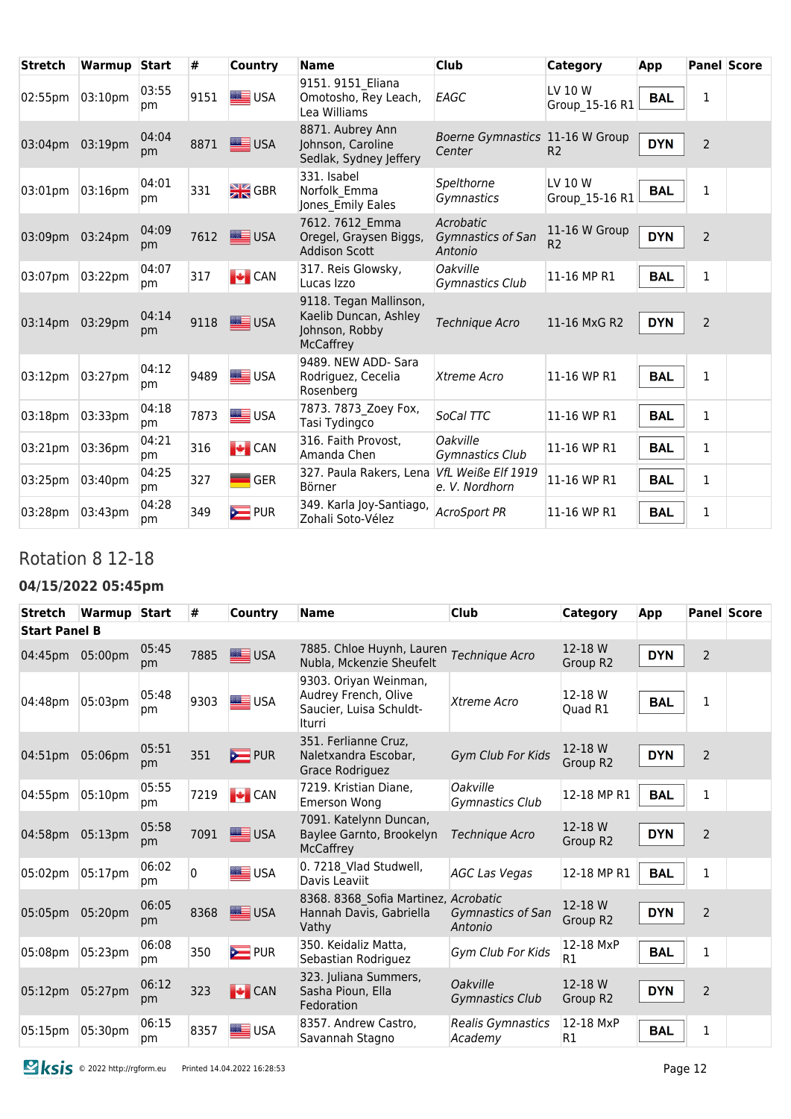| <b>Stretch</b> | Warmup Start |             | #    | Country            | <b>Name</b>                                                                           | <b>Club</b>                               | Category                        | App        |                | <b>Panel Score</b> |
|----------------|--------------|-------------|------|--------------------|---------------------------------------------------------------------------------------|-------------------------------------------|---------------------------------|------------|----------------|--------------------|
| 02:55pm        | 03:10pm      | 03:55<br>pm | 9151 | USA                | 9151. 9151 Eliana<br>Omotosho, Rey Leach,<br>Lea Williams                             | EAGC                                      | LV 10 W<br>Group 15-16 R1       | <b>BAL</b> | $\mathbf{1}$   |                    |
| 03:04pm        | 03:19pm      | 04:04<br>pm | 8871 | USA                | 8871. Aubrey Ann<br>Johnson, Caroline<br>Sedlak, Sydney Jeffery                       | Boerne Gymnastics 11-16 W Group<br>Center | R <sub>2</sub>                  | <b>DYN</b> | $\overline{2}$ |                    |
| 03:01pm        | 03:16pm      | 04:01<br>pm | 331  | $\frac{N}{2N}$ GBR | 331. Isabel<br>Norfolk Emma<br>Jones Emily Eales                                      | Spelthorne<br>Gymnastics                  | LV 10 W<br>Group 15-16 R1       | <b>BAL</b> | $\mathbf{1}$   |                    |
| 03:09pm        | 03:24pm      | 04:09<br>pm | 7612 | USA                | 7612. 7612 Emma<br>Oregel, Graysen Biggs,<br><b>Addison Scott</b>                     | Acrobatic<br>Gymnastics of San<br>Antonio | 11-16 W Group<br>R <sub>2</sub> | <b>DYN</b> | $\overline{2}$ |                    |
| 03:07pm        | 03:22pm      | 04:07<br>pm | 317  | $\bigcup$ CAN      | 317. Reis Glowsky,<br>Lucas Izzo                                                      | <b>Oakville</b><br>Gymnastics Club        | 11-16 MP R1                     | <b>BAL</b> | $\mathbf{1}$   |                    |
| $03:14$ pm     | 03:29pm      | 04:14<br>pm | 9118 | USA                | 9118. Tegan Mallinson,<br>Kaelib Duncan, Ashley<br>Johnson, Robby<br><b>McCaffrey</b> | Technique Acro                            | 11-16 MxG R2                    | <b>DYN</b> | 2              |                    |
| 03:12pm        | 03:27pm      | 04:12<br>pm | 9489 | USA                | 9489. NEW ADD- Sara<br>Rodriguez, Cecelia<br>Rosenberg                                | Xtreme Acro                               | 11-16 WP R1                     | <b>BAL</b> | $\mathbf{1}$   |                    |
| 03:18pm        | 03:33pm      | 04:18<br>pm | 7873 | <b>SEE</b> USA     | 7873. 7873 Zoey Fox,<br>Tasi Tydingco                                                 | SoCal TTC                                 | 11-16 WP R1                     | <b>BAL</b> | $\mathbf{1}$   |                    |
| 03:21pm        | 03:36pm      | 04:21<br>pm | 316  | $\bigcup$ CAN      | 316. Faith Provost,<br>Amanda Chen                                                    | <b>Oakville</b><br><b>Gymnastics Club</b> | 11-16 WP R1                     | <b>BAL</b> | 1              |                    |
| 03:25pm        | 03:40pm      | 04:25<br>pm | 327  | $\blacksquare$ GER | 327. Paula Rakers, Lena<br>Börner                                                     | VfL Weiße Elf 1919<br>e. V. Nordhorn      | 11-16 WP R1                     | <b>BAL</b> | 1              |                    |
| 03:28pm        | 03:43pm      | 04:28<br>pm | 349  | $\sum$ PUR         | 349. Karla Joy-Santiago,<br>Zohali Soto-Vélez                                         | <b>AcroSport PR</b>                       | 11-16 WP R1                     | <b>BAL</b> | 1              |                    |

### Rotation 8 12-18

#### **04/15/2022 05:45pm**

| Stretch              | <b>Warmup</b> Start |             | #        | Country       | <b>Name</b>                                                                        | Club                                | Category            | App        |                | <b>Panel Score</b> |
|----------------------|---------------------|-------------|----------|---------------|------------------------------------------------------------------------------------|-------------------------------------|---------------------|------------|----------------|--------------------|
| <b>Start Panel B</b> |                     |             |          |               |                                                                                    |                                     |                     |            |                |                    |
| 04:45pm              | 05:00pm             | 05:45<br>pm | 7885     | USA           | 7885. Chloe Huynh, Lauren<br>Nubla, Mckenzie Sheufelt                              | Technique Acro                      | 12-18 W<br>Group R2 | <b>DYN</b> | $\overline{2}$ |                    |
| 04:48pm              | 05:03pm             | 05:48<br>pm | 9303     | USA           | 9303. Oriyan Weinman,<br>Audrey French, Olive<br>Saucier, Luisa Schuldt-<br>Iturri | Xtreme Acro                         | 12-18 W<br>Quad R1  | <b>BAL</b> | 1              |                    |
| 04:51pm              | 05:06pm             | 05:51<br>pm | 351      | $\sum$ PUR    | 351. Ferlianne Cruz,<br>Naletxandra Escobar,<br>Grace Rodriguez                    | Gym Club For Kids                   | 12-18 W<br>Group R2 | <b>DYN</b> | $\overline{2}$ |                    |
| 04:55pm              | 05:10pm             | 05:55<br>pm | 7219     | $\bigcup$ CAN | 7219. Kristian Diane.<br><b>Emerson Wong</b>                                       | Oakville<br>Gymnastics Club         | 12-18 MP R1         | <b>BAL</b> | $\mathbf{1}$   |                    |
| 04:58pm              | 05:13pm             | 05:58<br>pm | 7091     | USA           | 7091. Katelynn Duncan,<br>Baylee Garnto, Brookelyn<br><b>McCaffrey</b>             | Technique Acro                      | 12-18 W<br>Group R2 | <b>DYN</b> | $\overline{2}$ |                    |
| 05:02pm              | 05:17pm             | 06:02<br>pm | $\Omega$ | $\equiv$ USA  | 0. 7218 Vlad Studwell,<br>Davis Leaviit                                            | <b>AGC Las Vegas</b>                | 12-18 MP R1         | <b>BAL</b> | $\mathbf{1}$   |                    |
| 05:05pm              | 05:20pm             | 06:05<br>pm | 8368     | USA           | 8368. 8368 Sofia Martinez, Acrobatic<br>Hannah Davis, Gabriella<br>Vathy           | Gymnastics of San<br>Antonio        | 12-18 W<br>Group R2 | <b>DYN</b> | $\overline{2}$ |                    |
| 05:08pm              | 05:23pm             | 06:08<br>pm | 350      | $\sum$ PUR    | 350. Keidaliz Matta,<br>Sebastian Rodriguez                                        | Gym Club For Kids                   | 12-18 MxP<br>R1     | <b>BAL</b> | $\mathbf{1}$   |                    |
| $05:12 \text{pm}$    | 05:27pm             | 06:12<br>pm | 323      | $\bigcup$ CAN | 323. Juliana Summers,<br>Sasha Pioun, Ella<br>Fedoration                           | Oakville<br><b>Gymnastics Club</b>  | 12-18 W<br>Group R2 | <b>DYN</b> | $\overline{2}$ |                    |
| 05:15pm              | 05:30pm             | 06:15<br>pm | 8357     | USA           | 8357. Andrew Castro,<br>Savannah Stagno                                            | <b>Realis Gymnastics</b><br>Academy | 12-18 MxP<br>R1     | <b>BAL</b> | $\mathbf{1}$   |                    |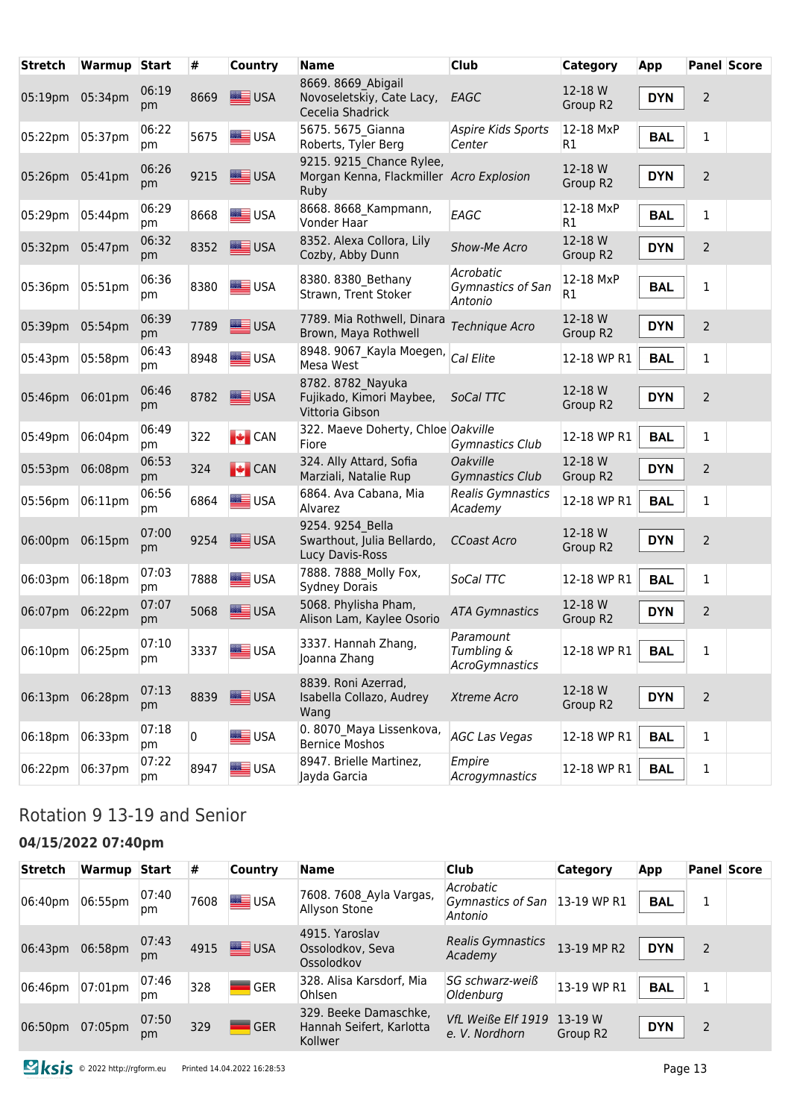| <b>Stretch</b>  | Warmup Start |             | #    | <b>Country</b>  | <b>Name</b>                                                                  | <b>Club</b>                               | Category            | App        |                | <b>Panel Score</b> |
|-----------------|--------------|-------------|------|-----------------|------------------------------------------------------------------------------|-------------------------------------------|---------------------|------------|----------------|--------------------|
| 05:19pm 05:34pm |              | 06:19<br>pm | 8669 | USA             | 8669. 8669 Abigail<br>Novoseletskiy, Cate Lacy,<br>Cecelia Shadrick          | EAGC                                      | 12-18 W<br>Group R2 | <b>DYN</b> | $\overline{2}$ |                    |
| 05:22pm         | 05:37pm      | 06:22<br>рm | 5675 | USA             | 5675. 5675 Gianna<br>Roberts, Tyler Berg                                     | Aspire Kids Sports<br>Center              | 12-18 MxP<br>R1     | <b>BAL</b> | $\mathbf 1$    |                    |
| 05:26pm 05:41pm |              | 06:26<br>рm | 9215 | USA             | 9215. 9215 Chance Rylee,<br>Morgan Kenna, Flackmiller Acro Explosion<br>Ruby |                                           | 12-18 W<br>Group R2 | <b>DYN</b> | $\mathbf 2$    |                    |
| 05:29pm         | 05:44pm      | 06:29<br>pm | 8668 | <b>SEE</b> USA  | 8668. 8668 Kampmann,<br>Vonder Haar                                          | EAGC                                      | 12-18 MxP<br>R1     | <b>BAL</b> | 1              |                    |
| 05:32pm 05:47pm |              | 06:32<br>pm | 8352 | USA             | 8352. Alexa Collora, Lily<br>Cozby, Abby Dunn                                | Show-Me Acro                              | 12-18 W<br>Group R2 | <b>DYN</b> | $\overline{2}$ |                    |
| 05:36pm         | 05:51pm      | 06:36<br>pm | 8380 | <b>SEE</b> USA  | 8380. 8380 Bethany<br>Strawn, Trent Stoker                                   | Acrobatic<br>Gymnastics of San<br>Antonio | 12-18 MxP<br>R1     | <b>BAL</b> | $\mathbf{1}$   |                    |
| 05:39pm         | 05:54pm      | 06:39<br>pm | 7789 | USA             | 7789. Mia Rothwell, Dinara<br>Brown, Maya Rothwell                           | Technique Acro                            | 12-18 W<br>Group R2 | <b>DYN</b> | 2              |                    |
| 05:43pm         | 05:58pm      | 06:43<br>pm | 8948 | USA             | 8948. 9067 Kayla Moegen,<br>Mesa West                                        | Cal Elite                                 | 12-18 WP R1         | <b>BAL</b> | 1              |                    |
| 05:46pm         | 06:01pm      | 06:46<br>pm | 8782 | USA             | 8782. 8782 Nayuka<br>Fujikado, Kimori Maybee,<br>Vittoria Gibson             | SoCal TTC                                 | 12-18 W<br>Group R2 | <b>DYN</b> | 2              |                    |
| 05:49pm         | 06:04pm      | 06:49<br>pm | 322  | $\bigcup$ CAN   | 322. Maeve Doherty, Chloe Oakville<br>Fiore                                  | Gymnastics Club                           | 12-18 WP R1         | <b>BAL</b> | 1              |                    |
| 05:53pm         | 06:08pm      | 06:53<br>pm | 324  | $\bigcup$ CAN   | 324. Ally Attard, Sofia<br>Marziali, Natalie Rup                             | <b>Oakville</b><br><b>Gymnastics Club</b> | 12-18 W<br>Group R2 | <b>DYN</b> | $\overline{2}$ |                    |
| 05:56pm         | 06:11pm      | 06:56<br>pm | 6864 | <b>SIME</b> USA | 6864. Ava Cabana, Mia<br>Alvarez                                             | Realis Gymnastics<br>Academy              | 12-18 WP R1         | <b>BAL</b> | 1              |                    |
| 06:00pm         | 06:15pm      | 07:00<br>pm | 9254 | <b>SEE USA</b>  | 9254. 9254 Bella<br>Swarthout, Julia Bellardo,<br>Lucy Davis-Ross            | <b>CCoast Acro</b>                        | 12-18 W<br>Group R2 | <b>DYN</b> | 2              |                    |
| 06:03pm         | 06:18pm      | 07:03<br>pm | 7888 | <b>ED</b> USA   | 7888. 7888 Molly Fox,<br><b>Sydney Dorais</b>                                | SoCal TTC                                 | 12-18 WP R1         | <b>BAL</b> | 1              |                    |
| 06:07pm         | 06:22pm      | 07:07<br>pm | 5068 | USA             | 5068. Phylisha Pham,<br>Alison Lam, Kaylee Osorio                            | <b>ATA Gymnastics</b>                     | 12-18 W<br>Group R2 | <b>DYN</b> | $\overline{2}$ |                    |
| 06:10pm         | $ 06:25$ pm  | 07:10<br>pm | 3337 | USA             | 3337. Hannah Zhang,<br>Joanna Zhang                                          | Paramount<br>Tumbling &<br>AcroGymnastics | 12-18 WP R1         | <b>BAL</b> | 1              |                    |
| 06:13pm         | 06:28pm      | 07:13<br>pm | 8839 | USA             | 8839. Roni Azerrad,<br>Isabella Collazo, Audrey<br>Wang                      | Xtreme Acro                               | 12-18 W<br>Group R2 | <b>DYN</b> | $\overline{2}$ |                    |
| 06:18pm         | 06:33pm      | 07:18<br>pm | 0    | USA             | 0.8070 Maya Lissenkova,<br><b>Bernice Moshos</b>                             | <b>AGC Las Vegas</b>                      | 12-18 WP R1         | <b>BAL</b> | $\mathbf{1}$   |                    |
| 06:22pm         | 06:37pm      | 07:22<br>pm | 8947 | USA             | 8947. Brielle Martinez,<br>Jayda Garcia                                      | Empire<br>Acrogymnastics                  | 12-18 WP R1         | <b>BAL</b> | $\mathbf{1}$   |                    |

# Rotation 9 13-19 and Senior

#### **04/15/2022 07:40pm**

| <b>Stretch</b>  | Warmup Start |             | #    | Country    | <b>Name</b>                                                  | <b>Club</b>                                           | <b>Category</b>                 | App        |                | <b>Panel Score</b> |
|-----------------|--------------|-------------|------|------------|--------------------------------------------------------------|-------------------------------------------------------|---------------------------------|------------|----------------|--------------------|
| 06:40pm         | 06:55pm      | 07:40<br>pm | 7608 | USA        | 7608. 7608 Ayla Vargas,<br>Allyson Stone                     | Acrobatic<br>Gymnastics of San 13-19 WP R1<br>Antonio |                                 | <b>BAL</b> | 1              |                    |
| 06:43pm 06:58pm |              | 07:43<br>pm |      | 4915 USA   | 4915. Yaroslav<br>Ossolodkov, Seva<br>Ossolodkov             | Realis Gymnastics<br>Academy                          | 13-19 MP R2                     | <b>DYN</b> | $\overline{2}$ |                    |
| 06:46pm         | 07:01pm      | 07:46<br>pm | 328  | <b>GER</b> | 328. Alisa Karsdorf, Mia<br>Ohlsen                           | SG schwarz-weiß<br>Oldenburg                          | 13-19 WP R1                     | <b>BAL</b> |                |                    |
| 06:50pm 07:05pm |              | 07:50<br>pm | 329  | <b>GER</b> | 329. Beeke Damaschke,<br>Hannah Seifert, Karlotta<br>Kollwer | VfL Weiße Elf 1919<br>e. V. Nordhorn                  | 13-19 W<br>Group R <sub>2</sub> | <b>DYN</b> | $\overline{2}$ |                    |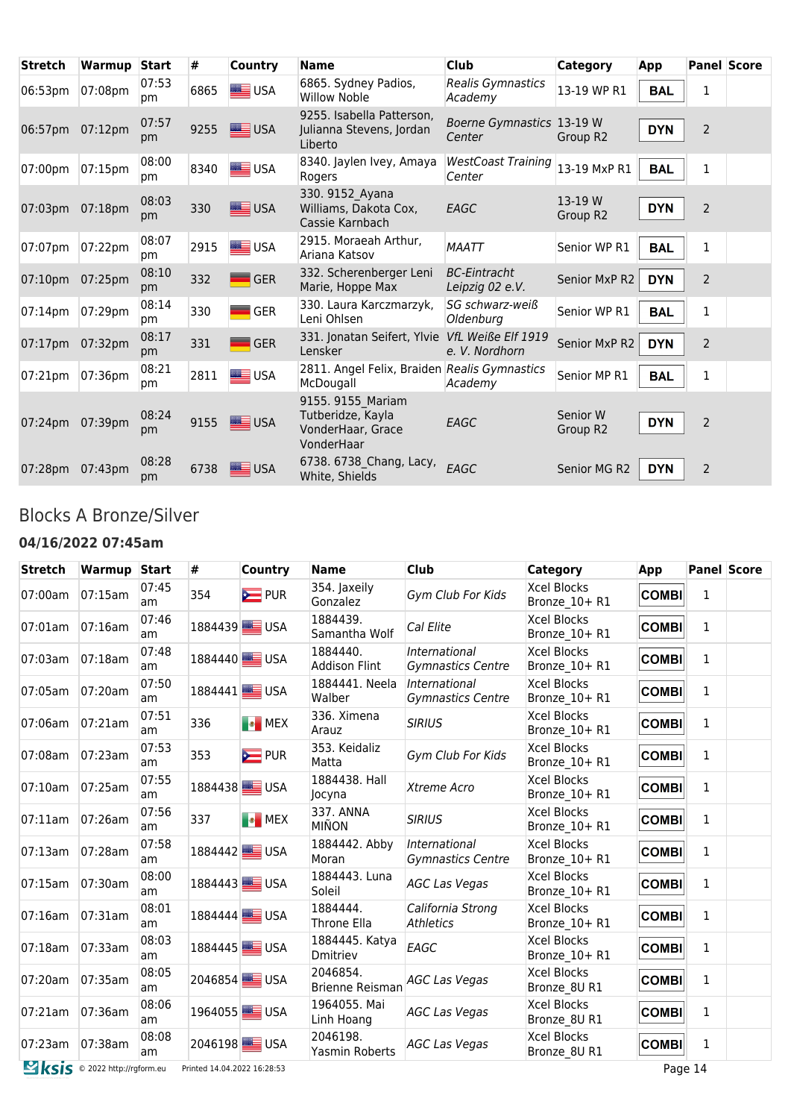| <b>Stretch</b>  | Warmup  | <b>Start</b> | #    | Country           | <b>Name</b>                                                               | <b>Club</b>                            | <b>Category</b>      | App        |                | <b>Panel Score</b> |
|-----------------|---------|--------------|------|-------------------|---------------------------------------------------------------------------|----------------------------------------|----------------------|------------|----------------|--------------------|
| 06:53pm         | 07:08pm | 07:53<br>pm  | 6865 | USA               | 6865. Sydney Padios,<br><b>Willow Noble</b>                               | Realis Gymnastics<br>Academy           | 13-19 WP R1          | <b>BAL</b> | 1              |                    |
| 06:57pm 07:12pm |         | 07:57<br>pm  | 9255 | <b>SEE USA</b>    | 9255. Isabella Patterson,<br>Julianna Stevens, Jordan<br>Liberto          | Boerne Gymnastics 13-19 W<br>Center    | Group R <sub>2</sub> | <b>DYN</b> | $\overline{2}$ |                    |
| 07:00pm         | 07:15pm | 08:00<br>pm  | 8340 | USA               | 8340. Jaylen Ivey, Amaya<br>Rogers                                        | <b>WestCoast Training</b><br>Center    | 13-19 MxP R1         | <b>BAL</b> | $\mathbf{1}$   |                    |
| 07:03pm         | 07:18pm | 08:03<br>pm  | 330  | USA               | 330. 9152 Ayana<br>Williams, Dakota Cox,<br>Cassie Karnbach               | EAGC                                   | 13-19 W<br>Group R2  | <b>DYN</b> | $\overline{2}$ |                    |
| 07:07pm         | 07:22pm | 08:07<br>pm  | 2915 | <b>SE</b> USA     | 2915. Moraeah Arthur,<br>Ariana Katsov                                    | <b>MAATT</b>                           | Senior WP R1         | <b>BAL</b> | $\mathbf 1$    |                    |
| 07:10pm         | 07:25pm | 08:10<br>pm  | 332  | <b>GER</b>        | 332. Scherenberger Leni<br>Marie, Hoppe Max                               | <b>BC-Eintracht</b><br>Leipzig 02 e.V. | Senior MxP R2        | <b>DYN</b> | $\overline{2}$ |                    |
| 07:14pm         | 07:29pm | 08:14<br>pm  | 330  | <b>GER</b>        | 330. Laura Karczmarzyk,<br>Leni Ohlsen                                    | SG schwarz-weiß<br>Oldenburg           | Senior WP R1         | <b>BAL</b> | 1              |                    |
| 07:17pm         | 07:32pm | 08:17<br>pm  | 331  | GER               | 331. Jonatan Seifert, Ylvie<br>Lensker                                    | VfL Weiße Elf 1919<br>e. V. Nordhorn   | Senior MxP R2        | <b>DYN</b> | $\overline{2}$ |                    |
| 07:21pm         | 07:36pm | 08:21<br>pm  | 2811 | USA               | 2811. Angel Felix, Braiden Realis Gymnastics<br>McDougall                 | Academy                                | Senior MP R1         | <b>BAL</b> | 1              |                    |
| 07:24pm         | 07:39pm | 08:24<br>pm  | 9155 | USA               | 9155. 9155 Mariam<br>Tutberidze, Kayla<br>VonderHaar, Grace<br>VonderHaar | EAGC                                   | Senior W<br>Group R2 | <b>DYN</b> | $\overline{2}$ |                    |
| 07:28pm         | 07:43pm | 08:28<br>pm  | 6738 | <del>■ </del> USA | 6738. 6738 Chang, Lacy,<br>White, Shields                                 | EAGC                                   | Senior MG R2         | <b>DYN</b> | $\overline{2}$ |                    |

#### Blocks A Bronze/Silver

#### **04/16/2022 07:45am**

| <b>Stretch</b> | Warmup Start                         |             | #                           | <b>Country</b>            | <b>Name</b>                        | <b>Club</b>                               | <b>Category</b>                     | App          |              | <b>Panel Score</b> |
|----------------|--------------------------------------|-------------|-----------------------------|---------------------------|------------------------------------|-------------------------------------------|-------------------------------------|--------------|--------------|--------------------|
| 07:00am        | 07:15am                              | 07:45<br>am | 354                         | $\sum$ PUR                | 354. Jaxeily<br>Gonzalez           | Gym Club For Kids                         | <b>Xcel Blocks</b><br>Bronze 10+ R1 | <b>COMBI</b> | $\mathbf{1}$ |                    |
| 07:01am        | 07:16am                              | 07:46<br>am |                             | 1884439 USA               | 1884439.<br>Samantha Wolf          | Cal Elite                                 | <b>Xcel Blocks</b><br>Bronze 10+ R1 | <b>COMBI</b> | 1            |                    |
| 07:03am        | 07:18am                              | 07:48<br>am |                             | 1884440 <sup>W</sup> /USA | 1884440.<br><b>Addison Flint</b>   | International<br>Gymnastics Centre        | Xcel Blocks<br>Bronze 10+ R1        | <b>COMBI</b> | $\mathbf{1}$ |                    |
| 07:05am        | 07:20am                              | 07:50<br>am |                             | 1884441 USA               | 1884441. Neela<br>Walber           | International<br><b>Gymnastics Centre</b> | <b>Xcel Blocks</b><br>Bronze_10+ R1 | <b>COMBI</b> | 1            |                    |
| 07:06am        | 07:21am                              | 07:51<br>am | 336                         | <b>B</b> MEX              | 336. Ximena<br>Arauz               | <b>SIRIUS</b>                             | <b>Xcel Blocks</b><br>Bronze 10+ R1 | <b>COMBI</b> | 1            |                    |
| 07:08am        | 07:23am                              | 07:53<br>am | 353                         | <b>E</b> PUR              | 353. Keidaliz<br>Matta             | Gym Club For Kids                         | <b>Xcel Blocks</b><br>Bronze 10+ R1 | <b>COMBI</b> | 1            |                    |
| 07:10am        | 07:25am                              | 07:55<br>am |                             | 1884438 USA               | 1884438. Hall<br>Jocyna            | Xtreme Acro                               | <b>Xcel Blocks</b><br>Bronze_10+R1  | <b>COMBI</b> | $\mathbf{1}$ |                    |
| 07:11am        | 07:26am                              | 07:56<br>am | 337                         | <b>Ex</b> MEX             | 337. ANNA<br><b>MIÑON</b>          | <b>SIRIUS</b>                             | <b>Xcel Blocks</b><br>Bronze 10+ R1 | <b>COMBI</b> | 1            |                    |
| 07:13am        | 07:28am                              | 07:58<br>am |                             | 1884442 USA               | 1884442. Abby<br>Moran             | International<br><b>Gymnastics Centre</b> | <b>Xcel Blocks</b><br>Bronze_10+ R1 | <b>COMBI</b> | 1            |                    |
| 07:15am        | 07:30am                              | 08:00<br>am |                             | 1884443 <sup>3</sup> USA  | 1884443. Luna<br>Soleil            | <b>AGC Las Vegas</b>                      | Xcel Blocks<br>Bronze 10+ R1        | <b>COMBI</b> | $\mathbf{1}$ |                    |
| $07:16$ am     | 07:31am                              | 08:01<br>am |                             | 1884444 <sup>3</sup>      | 1884444.<br>Throne Ella            | California Strong<br><b>Athletics</b>     | <b>Xcel Blocks</b><br>Bronze 10+ R1 | <b>COMBI</b> | 1            |                    |
| 07:18am        | 07:33am                              | 08:03<br>am |                             | 1884445 USA               | 1884445. Katya<br>Dmitriev         | EAGC                                      | <b>Xcel Blocks</b><br>Bronze 10+ R1 | <b>COMBI</b> | $\mathbf{1}$ |                    |
| 07:20am        | 07:35am                              | 08:05<br>am |                             | 2046854 USA               | 2046854.<br><b>Brienne Reisman</b> | <b>AGC Las Vegas</b>                      | <b>Xcel Blocks</b><br>Bronze 8U R1  | <b>COMBI</b> | 1            |                    |
| 07:21am        | 07:36am                              | 08:06<br>am |                             | 1964055 <sup>3</sup> USA  | 1964055. Mai<br>Linh Hoang         | <b>AGC Las Vegas</b>                      | <b>Xcel Blocks</b><br>Bronze 8U R1  | <b>COMBI</b> | 1            |                    |
| 07:23am        | 07:38am                              | 08:08<br>am |                             | 2046198 USA               | 2046198.<br>Yasmin Roberts         | <b>AGC Las Vegas</b>                      | <b>Xcel Blocks</b><br>Bronze 8U R1  | <b>COMBI</b> | $\mathbf{1}$ |                    |
|                | <b>Sksis</b> © 2022 http://rgform.eu |             | Printed 14.04.2022 16:28:53 |                           |                                    |                                           |                                     | Page 14      |              |                    |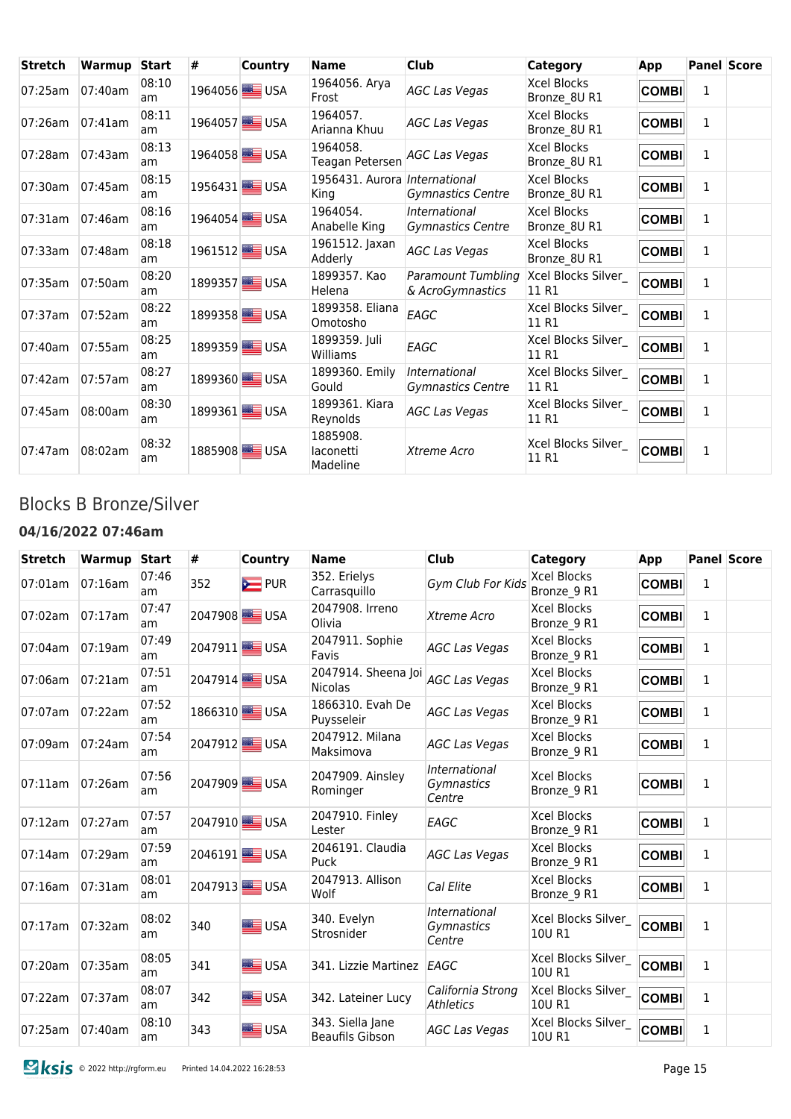| <b>Stretch</b> | Warmup Start |              | # | <b>Country</b>           | <b>Name</b>                           | <b>Club</b>                                   | <b>Category</b>                    | App          |   | <b>Panel Score</b> |
|----------------|--------------|--------------|---|--------------------------|---------------------------------------|-----------------------------------------------|------------------------------------|--------------|---|--------------------|
| 07:25am        | 07:40am      | 08:10<br>am  |   | 1964056 <sup>3</sup> USA | 1964056. Arya<br>Frost                | <b>AGC Las Vegas</b>                          | Xcel Blocks<br>Bronze 8U R1        | <b>COMBI</b> | 1 |                    |
| 07:26am        | $07:41$ am   | 08:11<br>am  |   | 1964057 <sup>3</sup> USA | 1964057.<br>Arianna Khuu              | <b>AGC Las Vegas</b>                          | Xcel Blocks<br>Bronze 8U R1        | <b>COMBI</b> | 1 |                    |
| 07:28am        | 07:43am      | 08:13<br>am  |   | 1964058 USA              | 1964058.<br>Teagan Petersen           | <b>AGC Las Vegas</b>                          | Xcel Blocks<br>Bronze_8U R1        | <b>COMBI</b> | 1 |                    |
| 07:30am        | 07:45am      | 08:15<br>am. |   | 1956431 USA              | 1956431. Aurora International<br>King | Gymnastics Centre                             | Xcel Blocks<br>Bronze_8U R1        | <b>COMBI</b> | 1 |                    |
| 07:31am        | 07:46am      | 08:16<br>am  |   | 1964054 <sup>3</sup>     | 1964054.<br>Anabelle King             | International<br><b>Gymnastics Centre</b>     | Xcel Blocks<br>Bronze_8U R1        | <b>COMBI</b> | 1 |                    |
| 07:33am        | 07:48am      | 08:18<br>am  |   | 1961512 <sup>3</sup> USA | 1961512. Jaxan<br>Adderly             | <b>AGC Las Vegas</b>                          | <b>Xcel Blocks</b><br>Bronze 8U R1 | <b>COMBI</b> | 1 |                    |
| 07:35am        | 07:50am      | 08:20<br>am  |   | 1899357 <sup>3</sup> USA | 1899357. Kao<br>Helena                | <b>Paramount Tumbling</b><br>& AcroGymnastics | Xcel Blocks Silver<br>11 R1        | <b>COMBI</b> | 1 |                    |
| 07:37am        | 07:52am      | 08:22<br>am  |   | 1899358 <sup>3</sup>     | 1899358. Eliana<br>Omotosho           | EAGC                                          | Xcel Blocks Silver<br>11 R1        | <b>COMBI</b> | 1 |                    |
| 07:40am        | 07:55am      | 08:25<br>am  |   | 1899359 <b>B</b> USA     | 1899359. Juli<br>Williams             | EAGC                                          | Xcel Blocks Silver<br>11 R1        | <b>COMBI</b> | 1 |                    |
| 07:42am        | 07:57am      | 08:27<br>am  |   | 1899360 <sup>W</sup> USA | 1899360. Emily<br>Gould               | International<br>Gymnastics Centre            | Xcel Blocks Silver<br>11 R1        | <b>COMBI</b> | 1 |                    |
| 07:45am        | 08:00am      | 08:30<br>am  |   | 1899361 <sup>3</sup>     | 1899361. Kiara<br>Reynolds            | <b>AGC Las Vegas</b>                          | Xcel Blocks Silver<br>11 R1        | <b>COMBI</b> | 1 |                    |
| 07:47am        | 08:02am      | 08:32<br>am  |   | 1885908 USA              | 1885908.<br>laconetti<br>Madeline     | Xtreme Acro                                   | Xcel Blocks Silver<br>11R1         | <b>COMBI</b> | 1 |                    |

# Blocks B Bronze/Silver

#### **04/16/2022 07:46am**

| <b>Stretch</b> | Warmup  | <b>Start</b> | #   | Country                    | <b>Name</b>                                | <b>Club</b>                           | Category                          | App          |              | <b>Panel Score</b> |
|----------------|---------|--------------|-----|----------------------------|--------------------------------------------|---------------------------------------|-----------------------------------|--------------|--------------|--------------------|
| 07:01am        | 07:16am | 07:46<br>am  | 352 | <b>E</b> PUR               | 352. Erielys<br>Carrasquillo               | Gym Club For Kids                     | <b>Xcel Blocks</b><br>Bronze 9 R1 | <b>COMBI</b> | 1            |                    |
| 07:02am        | 07:17am | 07:47<br>am  |     | 2047908 USA                | 2047908. Irreno<br>Olivia                  | Xtreme Acro                           | Xcel Blocks<br>Bronze 9 R1        | <b>COMBI</b> | 1            |                    |
| 07:04am        | 07:19am | 07:49<br>am  |     | 2047911 <sup>3</sup> USA   | 2047911. Sophie<br>Favis                   | <b>AGC Las Vegas</b>                  | <b>Xcel Blocks</b><br>Bronze 9 R1 | <b>COMBI</b> | $\mathbf{1}$ |                    |
| 07:06am        | 07:21am | 07:51<br>am  |     | 2047914 <sup>W</sup> WEUSA | 2047914. Sheena Joi<br><b>Nicolas</b>      | <b>AGC Las Vegas</b>                  | <b>Xcel Blocks</b><br>Bronze 9 R1 | <b>COMBI</b> | 1            |                    |
| 07:07am        | 07:22am | 07:52<br>am  |     | 1866310 USA                | 1866310. Evah De<br>Puysseleir             | <b>AGC Las Vegas</b>                  | <b>Xcel Blocks</b><br>Bronze 9 R1 | <b>COMBI</b> | 1            |                    |
| 07:09am        | 07:24am | 07:54<br>am  |     | 2047912 <sup>3</sup> USA   | 2047912. Milana<br>Maksimova               | <b>AGC Las Vegas</b>                  | <b>Xcel Blocks</b><br>Bronze 9 R1 | <b>COMBI</b> | $\mathbf{1}$ |                    |
| 07:11am        | 07:26am | 07:56<br>am  |     | 2047909 USA                | 2047909. Ainsley<br>Rominger               | International<br>Gymnastics<br>Centre | <b>Xcel Blocks</b><br>Bronze 9 R1 | <b>COMBI</b> | 1            |                    |
| 07:12am        | 07:27am | 07:57<br>am  |     | 2047910 <sup>W</sup> USA   | 2047910. Finley<br>Lester                  | EAGC                                  | <b>Xcel Blocks</b><br>Bronze 9 R1 | <b>COMBI</b> | $\mathbf{1}$ |                    |
| 07:14am        | 07:29am | 07:59<br>am  |     | 2046191 <sub>5</sub> USA   | 2046191. Claudia<br>Puck                   | <b>AGC Las Vegas</b>                  | <b>Xcel Blocks</b><br>Bronze 9 R1 | <b>COMBI</b> | 1            |                    |
| 07:16am        | 07:31am | 08:01<br>am  |     | 2047913 <sub>3</sub> USA   | 2047913. Allison<br>Wolf                   | Cal Elite                             | <b>Xcel Blocks</b><br>Bronze 9 R1 | <b>COMBI</b> | $\mathbf{1}$ |                    |
| 07:17am        | 07:32am | 08:02<br>am  | 340 | <b>SEE</b> USA             | 340. Evelyn<br>Strosnider                  | International<br>Gymnastics<br>Centre | Xcel Blocks Silver<br>10U R1      | <b>COMBI</b> | 1            |                    |
| 07:20am        | 07:35am | 08:05<br>am  | 341 | <b>SEE</b> USA             | 341. Lizzie Martinez                       | EAGC                                  | Xcel Blocks Silver<br>10U R1      | <b>COMBI</b> | $\mathbf{1}$ |                    |
| 07:22am        | 07:37am | 08:07<br>am  | 342 | USA                        | 342. Lateiner Lucy                         | California Strong<br><b>Athletics</b> | Xcel Blocks Silver<br>10U R1      | <b>COMBI</b> | $\mathbf{1}$ |                    |
| 07:25am        | 07:40am | 08:10<br>am  | 343 | USA                        | 343. Siella Jane<br><b>Beaufils Gibson</b> | <b>AGC Las Vegas</b>                  | Xcel Blocks Silver<br>10U R1      | <b>COMBI</b> | $\mathbf{1}$ |                    |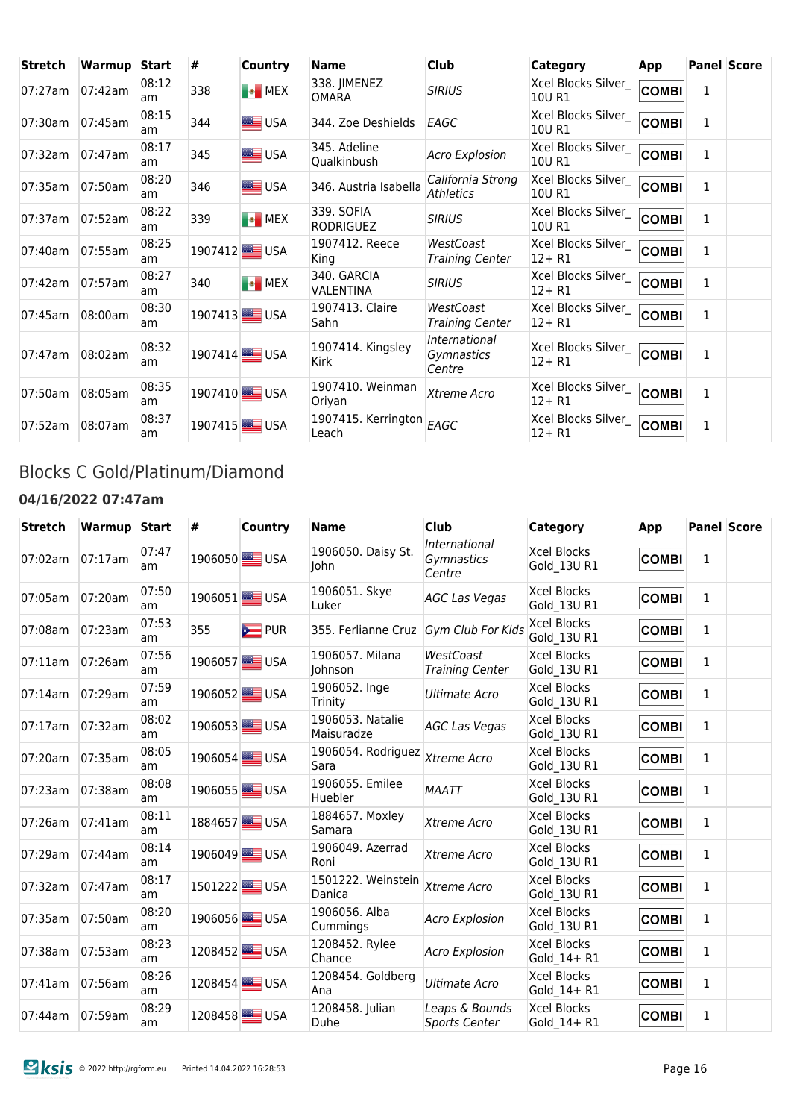| <b>Stretch</b> | Warmup  | <b>Start</b> | #   | <b>Country</b>            | <b>Name</b>                    | <b>Club</b>                           | <b>Category</b>                  | App          |   | <b>Panel Score</b> |
|----------------|---------|--------------|-----|---------------------------|--------------------------------|---------------------------------------|----------------------------------|--------------|---|--------------------|
| 07:27am        | 07:42am | 08:12<br>am  | 338 | <b>B</b> MEX              | 338. JIMENEZ<br><b>OMARA</b>   | <b>SIRIUS</b>                         | Xcel Blocks Silver<br>10U R1     | <b>COMBI</b> | 1 |                    |
| 07:30am        | 07:45am | 08:15<br>am  | 344 | USA                       | 344. Zoe Deshields             | EAGC                                  | Xcel Blocks Silver_<br>10U R1    | <b>COMBI</b> | 1 |                    |
| 07:32am        | 07:47am | 08:17<br>am  | 345 | USA                       | 345. Adeline<br>Qualkinbush    | <b>Acro Explosion</b>                 | Xcel Blocks Silver_<br>10U R1    | <b>COMBI</b> | 1 |                    |
| 07:35am        | 07:50am | 08:20<br>am  | 346 | <b>SEE</b> USA            | 346. Austria Isabella          | California Strong<br>Athletics        | Xcel Blocks Silver<br>10U R1     | <b>COMBI</b> | 1 |                    |
| 07:37am        | 07:52am | 08:22<br>am  | 339 | <b>B</b> MEX              | 339. SOFIA<br><b>RODRIGUEZ</b> | <b>SIRIUS</b>                         | Xcel Blocks Silver<br>10U R1     | <b>COMBI</b> | 1 |                    |
| 07:40am        | 07:55am | 08:25<br>am  |     | 1907412 <sup>3</sup> USA  | 1907412. Reece<br>King         | WestCoast<br><b>Training Center</b>   | Xcel Blocks Silver<br>$12 + R1$  | <b>COMBI</b> | 1 |                    |
| 07:42am        | 07:57am | 08:27<br>am  | 340 | <b>EX</b><br>MEX          | 340. GARCIA<br>VALENTINA       | <b>SIRIUS</b>                         | Xcel Blocks Silver<br>$12 + R1$  | <b>COMBI</b> | 1 |                    |
| 07:45am        | 08:00am | 08:30<br>am  |     | 1907413 USA               | 1907413. Claire<br>Sahn        | WestCoast<br><b>Training Center</b>   | Xcel Blocks Silver<br>$12 + R1$  | <b>COMBI</b> | 1 |                    |
| 07:47am        | 08:02am | 08:32<br>am  |     | 1907414 <sup>W</sup> WUSA | 1907414. Kingsley<br>Kirk      | International<br>Gymnastics<br>Centre | Xcel Blocks Silver<br>$12 + R1$  | <b>COMBI</b> | 1 |                    |
| 07:50am        | 08:05am | 08:35<br>am  |     | 1907410 <sup>W</sup> USA  | 1907410. Weinman<br>Oriyan     | Xtreme Acro                           | Xcel Blocks Silver_<br>$12 + R1$ | <b>COMBI</b> | 1 |                    |
| 07:52am        | 08:07am | 08:37<br>am  |     | 1907415 USA               | 1907415. Kerrington<br>Leach   | EAGC                                  | Xcel Blocks Silver<br>$12 + R1$  | <b>COMBI</b> | 1 |                    |

# Blocks C Gold/Platinum/Diamond

### **04/16/2022 07:47am**

| <b>Stretch</b> | <b>Warmup Start</b> |             | #   | <b>Country</b>             | <b>Name</b>                           | <b>Club</b>                            | <b>Category</b>                   | App          |              | <b>Panel Score</b> |
|----------------|---------------------|-------------|-----|----------------------------|---------------------------------------|----------------------------------------|-----------------------------------|--------------|--------------|--------------------|
| 07:02am        | 07:17am             | 07:47<br>am |     | 1906050 <sup>3</sup> USA   | 1906050. Daisy St.<br>John            | International<br>Gymnastics<br>Centre  | Xcel Blocks<br>Gold 13U R1        | <b>COMBI</b> | 1            |                    |
| 07:05am        | 07:20am             | 07:50<br>am |     | 1906051 <sub>8</sub> 88USA | 1906051. Skye<br>Luker                | <b>AGC Las Vegas</b>                   | <b>Xcel Blocks</b><br>Gold 13U R1 | <b>COMBI</b> | 1            |                    |
| 07:08am        | 07:23am             | 07:53<br>am | 355 | <b>EXECUTE</b> PUR         | 355. Ferlianne Cruz Gym Club For Kids |                                        | Xcel Blocks<br>Gold 13U R1        | <b>COMBI</b> | $\mathbf{1}$ |                    |
| 07:11am        | 07:26am             | 07:56<br>am |     | 1906057 <sup>3</sup> USA   | 1906057. Milana<br>Johnson            | WestCoast<br><b>Training Center</b>    | Xcel Blocks<br>Gold 13U R1        | <b>COMBI</b> | 1            |                    |
| 07:14am        | 07:29am             | 07:59<br>am |     | 1906052 USA                | 1906052. Inge<br>Trinity              | <b>Ultimate Acro</b>                   | <b>Xcel Blocks</b><br>Gold_13U R1 | <b>COMBI</b> | 1            |                    |
| 07:17am        | 07:32am             | 08:02<br>am |     | 1906053 USA                | 1906053. Natalie<br>Maisuradze        | <b>AGC Las Vegas</b>                   | <b>Xcel Blocks</b><br>Gold 13U R1 | <b>COMBI</b> | $\mathbf{1}$ |                    |
| 07:20am        | 07:35am             | 08:05<br>am |     | 1906054 USA                | 1906054. Rodriguez<br>Sara            | Xtreme Acro                            | <b>Xcel Blocks</b><br>Gold 13U R1 | <b>COMBI</b> | $\mathbf{1}$ |                    |
| 07:23am        | 07:38am             | 08:08<br>am |     | 1906055 <sup>3</sup> USA   | 1906055. Emilee<br>Huebler            | <b>MAATT</b>                           | <b>Xcel Blocks</b><br>Gold 13U R1 | <b>COMBI</b> | 1            |                    |
| 07:26am        | 07:41am             | 08:11<br>am |     | 1884657 <sup>3</sup>       | 1884657. Moxley<br>Samara             | Xtreme Acro                            | <b>Xcel Blocks</b><br>Gold 13U R1 | <b>COMBI</b> | 1            |                    |
| 07:29am        | 07:44am             | 08:14<br>am |     | 1906049 USA                | 1906049. Azerrad<br>Roni              | Xtreme Acro                            | <b>Xcel Blocks</b><br>Gold 13U R1 | <b>COMBI</b> | 1            |                    |
| 07:32am        | 07:47am             | 08:17<br>am |     | 1501222 <sup>3</sup> USA   | 1501222. Weinstein<br>Danica          | Xtreme Acro                            | <b>Xcel Blocks</b><br>Gold 13U R1 | <b>COMBI</b> | 1            |                    |
| 07:35am        | 07:50am             | 08:20<br>am |     | 1906056 USA                | 1906056. Alba<br>Cummings             | <b>Acro Explosion</b>                  | <b>Xcel Blocks</b><br>Gold 13U R1 | <b>COMBI</b> | 1            |                    |
| 07:38am        | 07:53am             | 08:23<br>am |     | 1208452 USA                | 1208452. Rylee<br>Chance              | <b>Acro Explosion</b>                  | <b>Xcel Blocks</b><br>Gold 14+ R1 | <b>COMBI</b> | 1            |                    |
| $07:41$ am     | 07:56am             | 08:26<br>am |     | 1208454 USA                | 1208454. Goldberg<br>Ana              | <b>Ultimate Acro</b>                   | <b>Xcel Blocks</b><br>Gold 14+ R1 | <b>COMBI</b> | $\mathbf{1}$ |                    |
| 07:44am        | 07:59am             | 08:29<br>am |     | 1208458 USA                | 1208458. Julian<br>Duhe               | Leaps & Bounds<br><b>Sports Center</b> | <b>Xcel Blocks</b><br>Gold 14+ R1 | <b>COMBI</b> | 1            |                    |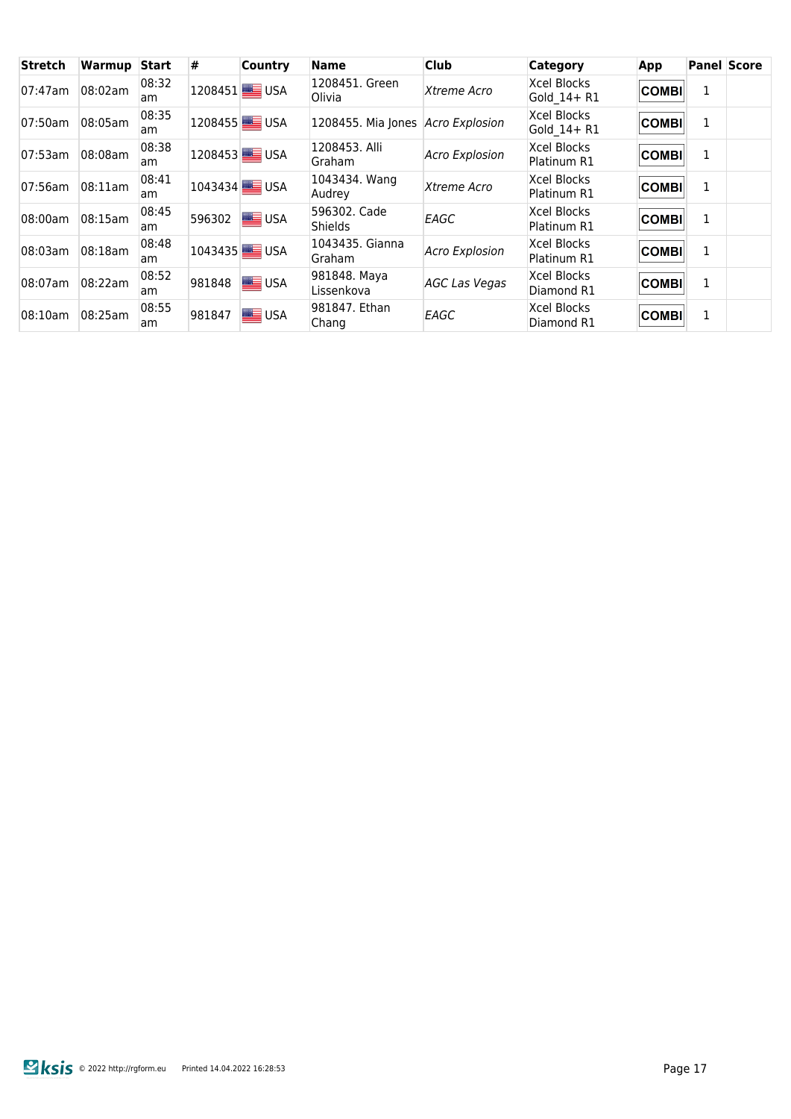| <b>Stretch</b> | Warmup  | <b>Start</b> | #      | <b>Country</b>           | Name                              | <b>Club</b>           | <b>Category</b>                   | App          |   | <b>Panel Score</b> |
|----------------|---------|--------------|--------|--------------------------|-----------------------------------|-----------------------|-----------------------------------|--------------|---|--------------------|
| 07:47am        | 08:02am | 08:32<br>am  |        | 1208451 <b>B</b> USA     | 1208451. Green<br>Olivia          | Xtreme Acro           | Xcel Blocks<br>Gold 14+ R1        | <b>COMBI</b> | 1 |                    |
| 07:50am        | 08:05am | 08:35<br>am  |        | 1208455 <sup>3</sup> USA | 1208455. Mia Jones Acro Explosion |                       | Xcel Blocks<br>Gold 14+ R1        | <b>COMBI</b> | 1 |                    |
| 07:53am        | 08:08am | 08:38<br>am  |        | 1208453 <sup>3</sup> USA | 1208453. Alli<br>Graham           | <b>Acro Explosion</b> | <b>Xcel Blocks</b><br>Platinum R1 | <b>COMBI</b> | 1 |                    |
| 07:56am        | 08:11am | 08:41<br>am  |        | 1043434 <sup>3</sup>     | 1043434. Wang<br>Audrey           | Xtreme Acro           | Xcel Blocks<br>Platinum R1        | <b>COMBI</b> | 1 |                    |
| 08:00am        | 08:15am | 08:45<br>am  | 596302 | <b>SEE</b> USA           | 596302. Cade<br>Shields           | EAGC                  | Xcel Blocks<br>Platinum R1        | <b>COMBI</b> | 1 |                    |
| 08:03am        | 08:18am | 08:48<br>am. |        | 1043435 <sup>3</sup> USA | 1043435. Gianna<br>Graham         | <b>Acro Explosion</b> | Xcel Blocks<br>Platinum R1        | <b>COMBI</b> | 1 |                    |
| 08:07am        | 08:22am | 08:52<br>am  | 981848 | $\equiv$ USA             | 981848. Maya<br>Lissenkova        | <b>AGC Las Vegas</b>  | Xcel Blocks<br>Diamond R1         | <b>COMBI</b> | 1 |                    |
| 08:10am        | 08:25am | 08:55<br>am  | 981847 | $\equiv$ USA             | 981847. Ethan<br>Chang            | EAGC                  | Xcel Blocks<br>Diamond R1         | <b>COMBI</b> | 1 |                    |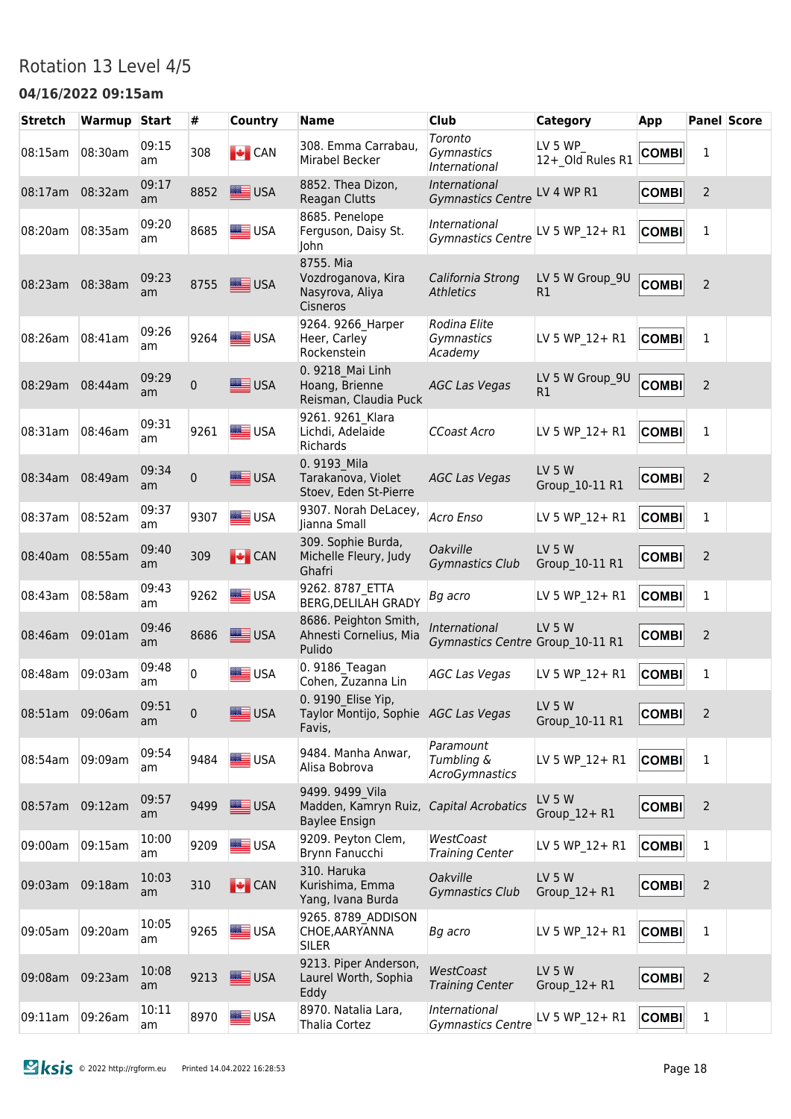### Rotation 13 Level 4/5

#### **04/16/2022 09:15am**

| <b>Stretch</b>  | Warmup Start |             | #            | <b>Country</b>  | <b>Name</b>                                                          | <b>Club</b>                                       | Category                        | App          |                | <b>Panel Score</b> |
|-----------------|--------------|-------------|--------------|-----------------|----------------------------------------------------------------------|---------------------------------------------------|---------------------------------|--------------|----------------|--------------------|
| 08:15am         | 08:30am      | 09:15<br>am | 308          | $\bigcup$ CAN   | 308. Emma Carrabau,<br>Mirabel Becker                                | Toronto<br>Gymnastics<br>International            | LV 5 WP<br>12+ Old Rules R1     | <b>COMBI</b> | 1              |                    |
| 08:17am         | 08:32am      | 09:17<br>am | 8852         | USA             | 8852. Thea Dizon,<br>Reagan Clutts                                   | International<br><b>Gymnastics Centre</b>         | LV 4 WP R1                      | <b>COMBI</b> | $\overline{2}$ |                    |
| 08:20am         | 08:35am      | 09:20<br>am | 8685         | USA             | 8685. Penelope<br>Ferguson, Daisy St.<br>John                        | International<br><b>Gymnastics Centre</b>         | LV 5 WP 12+ R1                  | <b>COMBI</b> | 1              |                    |
| 08:23am         | 08:38am      | 09:23<br>am | 8755         | USA             | 8755. Mia<br>Vozdroganova, Kira<br>Nasyrova, Aliya<br>Cisneros       | California Strong<br><b>Athletics</b>             | LV 5 W Group_9U<br>R1           | <b>COMBI</b> | $\overline{2}$ |                    |
| 08:26am         | 08:41am      | 09:26<br>am | 9264         | USA             | 9264. 9266 Harper<br>Heer, Carley<br>Rockenstein                     | Rodina Elite<br>Gymnastics<br>Academy             | LV 5 WP 12+ R1                  | <b>COMBI</b> | 1              |                    |
| 08:29am         | 08:44am      | 09:29<br>am | $\mathbf{0}$ | USA             | 0. 9218 Mai Linh<br>Hoang, Brienne<br>Reisman, Claudia Puck          | <b>AGC Las Vegas</b>                              | LV 5 W Group 9U<br>R1           | <b>COMBI</b> | $\overline{2}$ |                    |
| 08:31am         | 08:46am      | 09:31<br>am | 9261         | <b>SALE</b> USA | 9261. 9261 Klara<br>Lichdi, Adelaide<br>Richards                     | CCoast Acro                                       | LV 5 WP 12+ R1                  | <b>COMBI</b> | 1              |                    |
| 08:34am         | 08:49am      | 09:34<br>am | 0            | $\equiv$ USA    | 0.9193 Mila<br>Tarakanova, Violet<br>Stoev, Eden St-Pierre           | <b>AGC Las Vegas</b>                              | <b>LV 5 W</b><br>Group 10-11 R1 | <b>COMBI</b> | $\overline{2}$ |                    |
| 08:37am         | 08:52am      | 09:37<br>am | 9307         | USA             | 9307. Norah DeLacey,<br>Jianna Small                                 | Acro Enso                                         | LV 5 WP 12+ R1                  | <b>COMBI</b> | $\mathbf{1}$   |                    |
| 08:40am         | 08:55am      | 09:40<br>am | 309          | $\bigcup$ CAN   | 309. Sophie Burda,<br>Michelle Fleury, Judy<br>Ghafri                | Oakville<br><b>Gymnastics Club</b>                | <b>LV 5 W</b><br>Group 10-11 R1 | <b>COMBI</b> | $\overline{2}$ |                    |
| 08:43am         | 08:58am      | 09:43<br>am | 9262         | USA             | 9262.8787 ETTA<br><b>BERG, DELILAH GRADY</b>                         | Bg acro                                           | LV 5 WP 12+ R1                  | <b>COMBI</b> | $\mathbf{1}$   |                    |
| 08:46am         | 09:01am      | 09:46<br>am | 8686         | USA             | 8686. Peighton Smith,<br>Ahnesti Cornelius, Mia<br>Pulido            | International<br>Gymnastics Centre Group 10-11 R1 | <b>LV 5 W</b>                   | <b>COMBI</b> | $\overline{2}$ |                    |
| 08:48am         | 09:03am      | 09:48<br>am | 0            | <b>SEE USA</b>  | 0. 9186 Teagan<br>Cohen, Zuzanna Lin                                 | <b>AGC Las Vegas</b>                              | LV 5 WP 12+ R1                  | <b>COMBI</b> | $\mathbf{1}$   |                    |
| 08:51am 09:06am |              | 09:51<br>am | 0            | ≣ USA           | 0. 9190 Elise Yip,<br>Taylor Montijo, Sophie AGC Las Vegas<br>Favis, |                                                   | LV 5 W<br>Group 10-11 R1        | <b>COMBI</b> | $\overline{2}$ |                    |
| 08:54am         | 09:09am      | 09:54<br>am | 9484         | $\equiv$ USA    | 9484. Manha Anwar,<br>Alisa Bobrova                                  | Paramount<br>Tumbling &<br><b>AcroGymnastics</b>  | LV 5 WP 12+ R1                  | <b>COMBI</b> | 1              |                    |
| 08:57am         | 09:12am      | 09:57<br>am | 9499         | USA             | 9499. 9499 Vila<br>Madden, Kamryn Ruiz,<br><b>Baylee Ensign</b>      | Capital Acrobatics                                | LV 5 W<br>Group 12+R1           | <b>COMBI</b> | $\overline{2}$ |                    |
| 09:00am         | 09:15am      | 10:00<br>am | 9209         | USA             | 9209. Peyton Clem,<br>Brynn Fanucchi                                 | WestCoast<br><b>Training Center</b>               | LV 5 WP_12+ R1                  | <b>COMBI</b> | $\mathbf 1$    |                    |
| 09:03am         | 09:18am      | 10:03<br>am | 310          | <b>EXECAN</b>   | 310. Haruka<br>Kurishima, Emma<br>Yang, Ivana Burda                  | Oakville<br><b>Gymnastics Club</b>                | <b>LV 5 W</b><br>Group_12+R1    | <b>COMBI</b> | $\overline{2}$ |                    |
| 09:05am         | 09:20am      | 10:05<br>am | 9265         | USA             | 9265. 8789 ADDISON<br>CHOE, AARYANNA<br><b>SILER</b>                 | Bg acro                                           | LV 5 WP 12+ R1                  | <b>COMBI</b> | $\mathbf{1}$   |                    |
| 09:08am         | 09:23am      | 10:08<br>am | 9213         | $\equiv$ USA    | 9213. Piper Anderson,<br>Laurel Worth, Sophia<br>Eddy                | WestCoast<br><b>Training Center</b>               | <b>LV 5 W</b><br>Group_12+R1    | <b>COMBI</b> | $\overline{2}$ |                    |
| 09:11am         | 09:26am      | 10:11<br>am | 8970         | USA             | 8970. Natalia Lara,<br>Thalia Cortez                                 | International<br><b>Gymnastics Centre</b>         | LV 5 WP 12+ R1                  | <b>COMBI</b> | $\mathbf{1}$   |                    |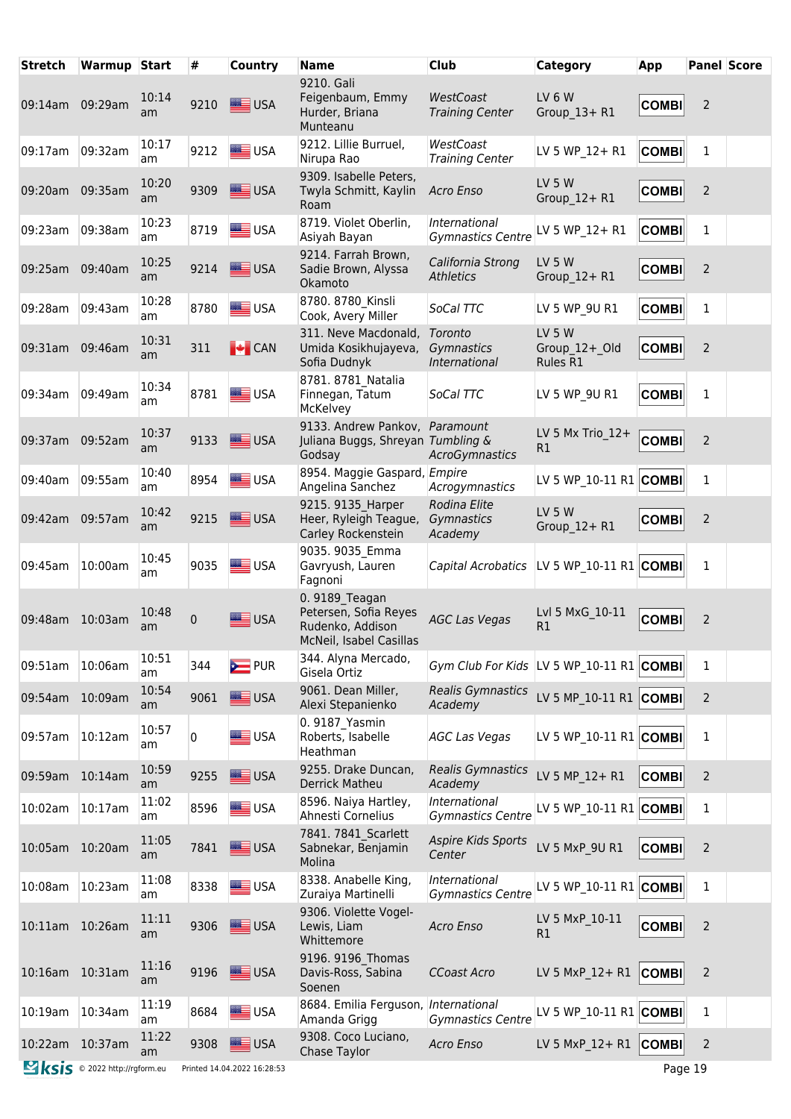| <b>Stretch</b>  | Warmup Start                  |             | #    | <b>Country</b>              | <b>Name</b>                                                                            | <b>Club</b>                                | Category                                   | App          |                | <b>Panel Score</b> |
|-----------------|-------------------------------|-------------|------|-----------------------------|----------------------------------------------------------------------------------------|--------------------------------------------|--------------------------------------------|--------------|----------------|--------------------|
| 09:14am 09:29am |                               | 10:14<br>am | 9210 | USA                         | 9210. Gali<br>Feigenbaum, Emmy<br>Hurder, Briana<br>Munteanu                           | WestCoast<br><b>Training Center</b>        | LV 6 W<br>Group 13+R1                      | <b>COMBI</b> | $\overline{2}$ |                    |
| 09:17am         | 09:32am                       | 10:17<br>am | 9212 | USA                         | 9212. Lillie Burruel,<br>Nirupa Rao                                                    | WestCoast<br><b>Training Center</b>        | LV 5 WP_12+ R1                             | <b>COMBI</b> | 1              |                    |
| 09:20am         | 09:35am                       | 10:20<br>am | 9309 | $\equiv$ USA                | 9309. Isabelle Peters,<br>Twyla Schmitt, Kaylin<br>Roam                                | Acro Enso                                  | <b>LV 5 W</b><br>Group 12+R1               | <b>COMBI</b> | $\overline{2}$ |                    |
| 09:23am         | 09:38am                       | 10:23<br>am | 8719 | USA                         | 8719. Violet Oberlin,<br>Asiyah Bayan                                                  | International<br><b>Gymnastics Centre</b>  | LV 5 WP 12+ R1                             | <b>COMBI</b> | 1              |                    |
| 09:25am         | 09:40am                       | 10:25<br>am | 9214 | <b>SALE</b> USA             | 9214. Farrah Brown,<br>Sadie Brown, Alyssa<br>Okamoto                                  | California Strong<br><b>Athletics</b>      | <b>LV 5 W</b><br>Group 12+R1               | <b>COMBI</b> | $\overline{2}$ |                    |
| 09:28am         | 09:43am                       | 10:28<br>am | 8780 | USA                         | 8780. 8780 Kinsli<br>Cook, Avery Miller                                                | SoCal TTC                                  | LV 5 WP 9U R1                              | <b>COMBI</b> | 1              |                    |
| 09:31am         | 09:46am                       | 10:31<br>am | 311  | $\bigcup$ CAN               | 311. Neve Macdonald,<br>Umida Kosikhujayeva,<br>Sofia Dudnyk                           | Toronto<br>Gymnastics<br>International     | <b>LV 5 W</b><br>Group 12+ Old<br>Rules R1 | <b>COMBI</b> | $\overline{2}$ |                    |
| 09:34am         | 09:49am                       | 10:34<br>am | 8781 | USA                         | 8781.8781 Natalia<br>Finnegan, Tatum<br>McKelvey                                       | SoCal TTC                                  | LV 5 WP 9U R1                              | <b>COMBI</b> | $\mathbf{1}$   |                    |
| 09:37am         | 09:52am                       | 10:37<br>am | 9133 | USA                         | 9133. Andrew Pankov, Paramount<br>Juliana Buggs, Shreyan Tumbling &<br>Godsay          | AcroGymnastics                             | LV 5 Mx Trio 12+<br>R1                     | <b>COMBI</b> | $\overline{2}$ |                    |
| 09:40am         | 09:55am                       | 10:40<br>am | 8954 | <b>SEE</b> USA              | 8954. Maggie Gaspard, Empire<br>Angelina Sanchez                                       | Acrogymnastics                             | LV 5 WP_10-11 R1 COMBI                     |              | $\mathbf{1}$   |                    |
| 09:42am         | 09:57am                       | 10:42<br>am | 9215 | USA                         | 9215. 9135 Harper<br>Heer, Ryleigh Teague,<br>Carley Rockenstein                       | Rodina Elite<br>Gymnastics<br>Academy      | <b>LV 5 W</b><br>Group 12+R1               | <b>COMBI</b> | $\overline{2}$ |                    |
| 09:45am         | 10:00am                       | 10:45<br>am | 9035 | USA                         | 9035. 9035 Emma<br>Gavryush, Lauren<br>Fagnoni                                         | Capital Acrobatics  LV 5 WP 10-11 R1 COMBI |                                            |              | $\mathbf{1}$   |                    |
| 09:48am 10:03am |                               | 10:48<br>am | 0    | <b>SASSING</b> USA          | 0. 9189 Teagan<br>Petersen, Sofia Reyes<br>Rudenko, Addison<br>McNeil, Isabel Casillas | <b>AGC Las Vegas</b>                       | Lvl 5 MxG 10-11<br>R1                      | <b>COMBI</b> | 2              |                    |
| 09:51am         | 10:06am                       | 10:51<br>am | 344  | <b>E</b> PUR                | 344. Alyna Mercado,<br>Gisela Ortiz                                                    | Gym Club For Kids LV 5 WP 10-11 R1 COMBI   |                                            |              | 1              |                    |
| 09:54am         | 10:09am                       | 10:54<br>am | 9061 | USA                         | 9061. Dean Miller,<br>Alexi Stepanienko                                                | <b>Realis Gymnastics</b><br>Academy        | LV 5 MP 10-11 R1 COMBI                     |              | $\overline{2}$ |                    |
| 09:57am         | 10:12am                       | 10:57<br>am | 0    | USA                         | 0. 9187 Yasmin<br>Roberts, Isabelle<br>Heathman                                        | <b>AGC Las Vegas</b>                       | LV 5 WP 10-11 R1 COMBI                     |              | $\mathbf 1$    |                    |
| 09:59am         | 10:14am                       | 10:59<br>am | 9255 | USA                         | 9255. Drake Duncan,<br><b>Derrick Matheu</b>                                           | Realis Gymnastics<br>Academy               | LV 5 MP 12+ R1                             | <b>COMBI</b> | $\overline{2}$ |                    |
| 10:02am         | 10:17am                       | 11:02<br>am | 8596 | <b>SEE</b> USA              | 8596. Naiya Hartley,<br>Ahnesti Cornelius                                              | International<br><b>Gymnastics Centre</b>  | LV 5 WP 10-11 $R1$ COMBI                   |              | $\mathbf 1$    |                    |
| 10:05am 10:20am |                               | 11:05<br>am | 7841 | USA                         | 7841. 7841 Scarlett<br>Sabnekar, Benjamin<br>Molina                                    | <b>Aspire Kids Sports</b><br>Center        | LV 5 MxP 9U R1                             | <b>COMBI</b> | $\overline{2}$ |                    |
| 10:08am         | 10:23am                       | 11:08<br>am | 8338 | USA                         | 8338. Anabelle King,<br>Zuraiya Martinelli                                             | International<br><b>Gymnastics Centre</b>  | LV 5 WP 10-11 R1 COMBI                     |              | $\mathbf{1}$   |                    |
| 10:11am 10:26am |                               | 11:11<br>am | 9306 | USA                         | 9306. Violette Vogel-<br>Lewis, Liam<br>Whittemore                                     | Acro Enso                                  | LV 5 MxP 10-11<br>R1                       | <b>COMBI</b> | $\overline{2}$ |                    |
| 10:16am 10:31am |                               | 11:16<br>am | 9196 | USA                         | 9196. 9196 Thomas<br>Davis-Ross, Sabina<br>Soenen                                      | CCoast Acro                                | LV 5 MxP 12+ R1                            | <b>COMBI</b> | $\overline{2}$ |                    |
| 10:19am         | 10:34am                       | 11:19<br>am | 8684 | USA                         | 8684. Emilia Ferguson, International<br>Amanda Grigg                                   | <b>Gymnastics Centre</b>                   | LV 5 WP 10-11 R1 COMBI                     |              | $\mathbf{1}$   |                    |
| 10:22am 10:37am |                               | 11:22<br>am | 9308 | USA                         | 9308. Coco Luciano,<br>Chase Taylor                                                    | Acro Enso                                  | LV 5 MxP 12+ R1                            | <b>COMBI</b> | $\overline{2}$ |                    |
|                 | Sksis © 2022 http://rgform.eu |             |      | Printed 14.04.2022 16:28:53 |                                                                                        |                                            |                                            | Page 19      |                |                    |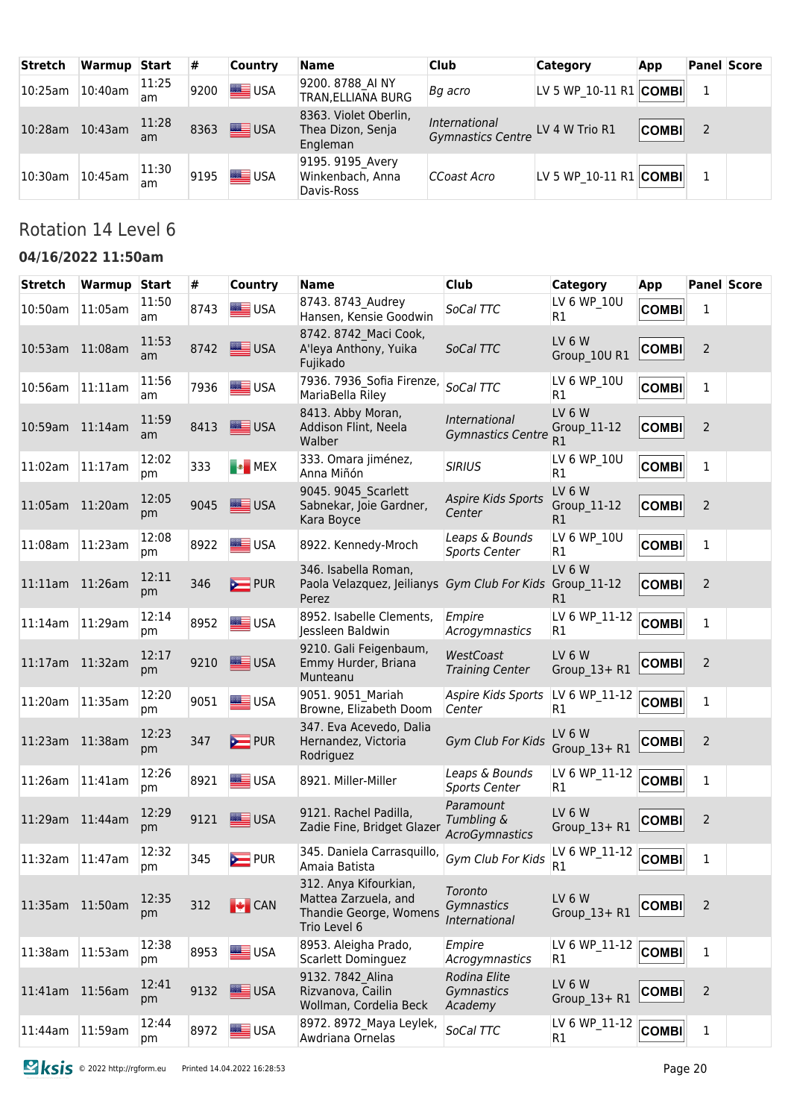| <b>Stretch</b>  | Warmup  | Start       | #    | <b>Country</b> | <b>Name</b>                                            | <b>Club</b>                                       | <b>Category</b>                | App          |   | <b>Panel Score</b> |
|-----------------|---------|-------------|------|----------------|--------------------------------------------------------|---------------------------------------------------|--------------------------------|--------------|---|--------------------|
| 10:25am         | 10:40am | 11:25<br>am | 9200 | USA            | 9200. 8788 AI NY<br>TRAN, ELLIANA BURG                 | Bg acro                                           | LV 5 WP 10-11 R1 $ COMBI $     |              |   |                    |
| 10:28am 10:43am |         | 11:28<br>am | 8363 | <b>SEE</b> USA | 8363. Violet Oberlin,<br>Thea Dizon, Senja<br>Engleman | International<br>Gymnastics Centre LV 4 W Trio R1 |                                | <b>COMBI</b> | 2 |                    |
| 10:30am         | 10:45am | 11:30<br>am | 9195 | USA            | 9195. 9195 Avery<br>Winkenbach, Anna<br>Davis-Ross     | CCoast Acro                                       | LV 5 WP 10-11 R1 $ $ COMBI $ $ |              |   |                    |

# Rotation 14 Level 6

#### **04/16/2022 11:50am**

| <b>Stretch</b>  | Warmup     | <b>Start</b> | #    | Country            | <b>Name</b>                                                                             | <b>Club</b>                               | Category                          | App          |                | <b>Panel Score</b> |
|-----------------|------------|--------------|------|--------------------|-----------------------------------------------------------------------------------------|-------------------------------------------|-----------------------------------|--------------|----------------|--------------------|
| 10:50am         | 11:05am    | 11:50<br>am  | 8743 | $\equiv$ USA       | 8743. 8743 Audrey<br>Hansen, Kensie Goodwin                                             | SoCal TTC                                 | LV 6 WP 10U<br>R1                 | <b>COMBI</b> | 1              |                    |
| 10:53am 11:08am |            | 11:53<br>am  | 8742 | <b>SEE USA</b>     | 8742. 8742 Maci Cook,<br>A'leya Anthony, Yuika<br>Fujikado                              | SoCal TTC                                 | LV 6 W<br>Group 10U R1            | <b>COMBI</b> | 2              |                    |
| 10:56am         | $11:11$ am | 11:56<br>am  | 7936 | USA                | 7936. 7936 Sofia Firenze,<br>MariaBella Riley                                           | SoCal TTC                                 | LV 6 WP 10U<br>R1                 | <b>COMBI</b> | $\mathbf{1}$   |                    |
| 10:59am         | 11:14am    | 11:59<br>am  | 8413 | USA                | 8413. Abby Moran,<br>Addison Flint, Neela<br>Walber                                     | International<br><b>Gymnastics Centre</b> | LV 6 W<br>Group_11-12<br>R1       | <b>COMBI</b> | $\overline{2}$ |                    |
| 11:02am         | 11:17am    | 12:02<br>рm  | 333  | <b>B</b> MEX       | 333. Omara jiménez,<br>Anna Miñón                                                       | <b>SIRIUS</b>                             | LV 6 WP_10U<br>R <sub>1</sub>     | <b>COMBI</b> | $\mathbf{1}$   |                    |
| 11:05am         | 11:20am    | 12:05<br>pm  | 9045 | USA                | 9045. 9045 Scarlett<br>Sabnekar, Joie Gardner,<br>Kara Boyce                            | <b>Aspire Kids Sports</b><br>Center       | LV 6 W<br>Group_11-12<br>R1       | <b>COMBI</b> | $\overline{2}$ |                    |
| 11:08am         | 11:23am    | 12:08<br>pm  | 8922 | <b>SEE</b> USA     | 8922. Kennedy-Mroch                                                                     | Leaps & Bounds<br><b>Sports Center</b>    | LV 6 WP 10U<br>R <sub>1</sub>     | <b>COMBI</b> | 1              |                    |
| 11:11am         | 11:26am    | 12:11<br>pm  | 346  | <b>EXAMPLE</b> PUR | 346. Isabella Roman,<br>Paola Velazquez, Jeilianys<br>Perez                             | Gym Club For Kids Group_11-12             | LV 6 W<br>R1                      | <b>COMBI</b> | $\overline{2}$ |                    |
| $11:14$ am      | 11:29am    | 12:14<br>pm  | 8952 | USA                | 8952. Isabelle Clements,<br>Jessleen Baldwin                                            | Empire<br>Acrogymnastics                  | LV 6 WP_11-12<br>R <sub>1</sub>   | <b>COMBI</b> | $\mathbf{1}$   |                    |
| 11:17am 11:32am |            | 12:17<br>pm  | 9210 | USA                | 9210. Gali Feigenbaum,<br>Emmy Hurder, Briana<br>Munteanu                               | WestCoast<br><b>Training Center</b>       | LV 6 W<br>Group 13+ R1            | <b>COMBI</b> | $\overline{2}$ |                    |
| 11:20am         | 11:35am    | 12:20<br>pm  | 9051 | <b>SEE</b> USA     | 9051. 9051 Mariah<br>Browne, Elizabeth Doom                                             | Aspire Kids Sports<br>Center              | LV 6 WP_11-12<br>R1               | <b>COMBI</b> | $\mathbf 1$    |                    |
| 11:23am 11:38am |            | 12:23<br>рm  | 347  | $\sum$ PUR         | 347. Eva Acevedo, Dalia<br>Hernandez, Victoria<br>Rodriguez                             | Gym Club For Kids                         | LV <sub>6</sub> W<br>Group_13+ R1 | <b>COMBI</b> | $\overline{2}$ |                    |
| 11:26am         | 11:41am    | 12:26<br>pm  | 8921 | <b>SEE</b> USA     | 8921. Miller-Miller                                                                     | Leaps & Bounds<br><b>Sports Center</b>    | LV 6 WP_11-12<br>R1               | <b>COMBI</b> | 1              |                    |
| 11:29am         | 11:44am    | 12:29<br>pm  | 9121 | USA                | 9121. Rachel Padilla,<br>Zadie Fine, Bridget Glazer                                     | Paramount<br>Tumbling &<br>AcroGymnastics | LV 6 W<br>Group 13+ R1            | <b>COMBI</b> | 2              |                    |
| 11:32am         | 11:47am    | 12:32<br>рm  | 345  | <b>PUR</b>         | 345. Daniela Carrasquillo,<br>Amaia Batista                                             | Gym Club For Kids                         | LV 6 WP_11-12<br>R1               | <b>COMBI</b> | 1              |                    |
| 11:35am 11:50am |            | 12:35<br>pm  | 312  | <b>EXECAN</b>      | 312. Anya Kifourkian,<br>Mattea Zarzuela, and<br>Thandie George, Womens<br>Trio Level 6 | Toronto<br>Gymnastics<br>International    | LV 6 W<br>Group 13+ R1            | <b>COMBI</b> | $\overline{2}$ |                    |
| 11:38am         | 11:53am    | 12:38<br>pm  | 8953 | USA                | 8953. Aleigha Prado,<br><b>Scarlett Dominguez</b>                                       | Empire<br>Acrogymnastics                  | LV 6 WP 11-12<br>R1               | <b>COMBI</b> | $\mathbf 1$    |                    |
| $11:41$ am      | 11:56am    | 12:41<br>pm  | 9132 | USA                | 9132. 7842 Alina<br>Rizvanova, Cailin<br>Wollman, Cordelia Beck                         | Rodina Elite<br>Gymnastics<br>Academy     | LV 6 W<br>Group_13+ R1            | <b>COMBI</b> | $\overline{2}$ |                    |
| 11:44am         | 11:59am    | 12:44<br>pm  | 8972 | <b>SEE</b> USA     | 8972. 8972 Maya Leylek,<br>Awdriana Ornelas                                             | SoCal TTC                                 | LV 6 WP_11-12<br>R1               | <b>COMBI</b> | $\mathbf{1}$   |                    |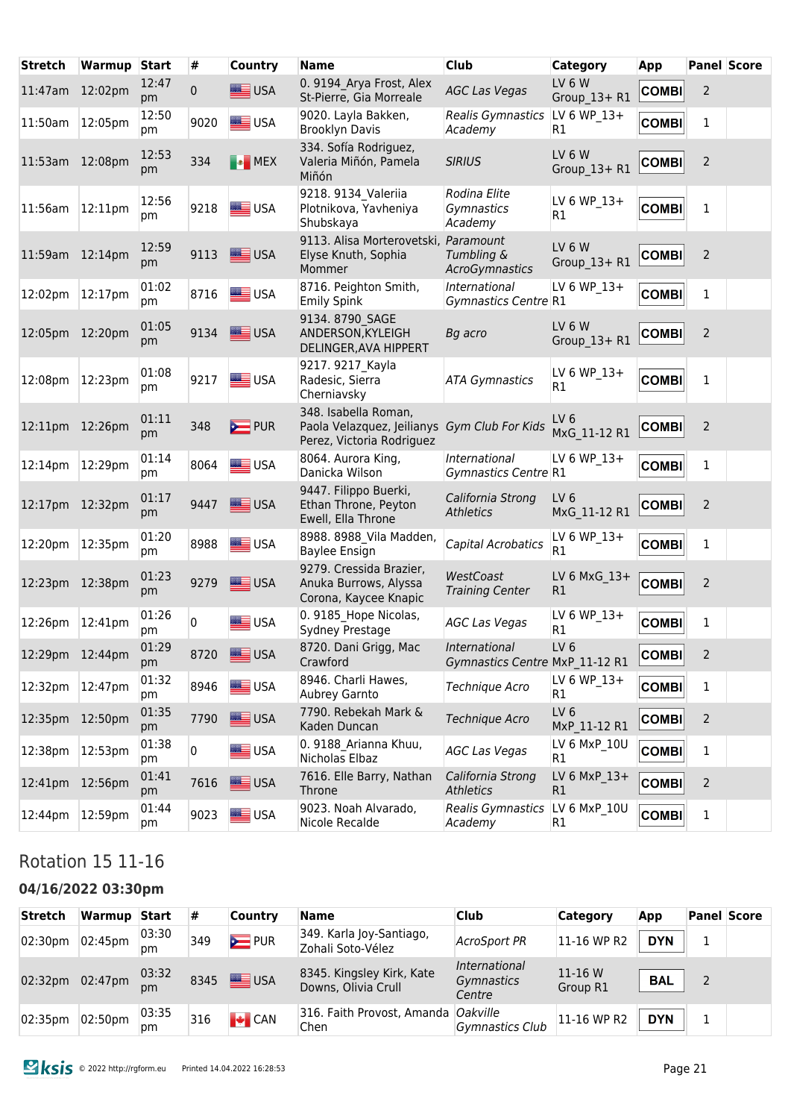| <b>Stretch</b>  | <b>Warmup Start</b> |             | #            | <b>Country</b>     | <b>Name</b>                                                                                       | <b>Club</b>                                      | <b>Category</b>                 | App               |                | <b>Panel Score</b> |
|-----------------|---------------------|-------------|--------------|--------------------|---------------------------------------------------------------------------------------------------|--------------------------------------------------|---------------------------------|-------------------|----------------|--------------------|
| 11:47am         | 12:02pm             | 12:47<br>pm | $\mathbf{0}$ | USA                | 0. 9194 Arya Frost, Alex<br>St-Pierre, Gia Morreale                                               | <b>AGC Las Vegas</b>                             | LV 6 W<br>Group_13+ R1          | <b>COMBI</b>      | $\overline{2}$ |                    |
| 11:50am         | 12:05pm             | 12:50<br>pm | 9020         | <b>SIER</b> USA    | 9020. Layla Bakken,<br><b>Brooklyn Davis</b>                                                      | Realis Gymnastics<br>Academy                     | LV 6 WP 13+<br>R <sub>1</sub>   | <b>COMBI</b>      | 1              |                    |
| 11:53am         | 12:08pm             | 12:53<br>pm | 334          | <b>B</b> MEX       | 334. Sofía Rodriguez,<br>Valeria Miñón, Pamela<br>Miñón                                           | <b>SIRIUS</b>                                    | LV 6 W<br>Group 13+R1           | <b>COMBI</b>      | $\overline{2}$ |                    |
| 11:56am         | $ 12:11$ pm         | 12:56<br>pm | 9218         | <b>SEE</b> USA     | 9218. 9134 Valeriia<br>Plotnikova, Yavheniya<br>Shubskaya                                         | Rodina Elite<br>Gymnastics<br>Academy            | LV 6 WP 13+<br>R1               | <b>COMBI</b>      | $\mathbf{1}$   |                    |
| 11:59am 12:14pm |                     | 12:59<br>pm | 9113         | <b>SASSING</b> USA | 9113. Alisa Morterovetski,<br>Elyse Knuth, Sophia<br>Mommer                                       | Paramount<br>Tumbling &<br><b>AcroGymnastics</b> | <b>LV 6 W</b><br>Group 13+ R1   | <b>COMBI</b>      | 2              |                    |
| 12:02pm         | 12:17pm             | 01:02<br>pm | 8716         | USA                | 8716. Peighton Smith,<br><b>Emily Spink</b>                                                       | International<br>Gymnastics Centre R1            | LV 6 WP 13+                     | <b>COMBI</b>      | 1              |                    |
| 12:05pm 12:20pm |                     | 01:05<br>pm | 9134         | USA                | 9134.8790 SAGE<br>ANDERSON, KYLEIGH<br>DELINGER, AVA HIPPERT                                      | Bg acro                                          | <b>LV 6 W</b><br>Group 13+ R1   | <b>COMBI</b>      | 2              |                    |
| 12:08pm         | 12:23pm             | 01:08<br>рm | 9217         | USA                | 9217. 9217 Kayla<br>Radesic, Sierra<br>Cherniavsky                                                | <b>ATA Gymnastics</b>                            | LV 6 WP 13+<br>R1               | <b>COMBI</b>      | $\mathbf{1}$   |                    |
| 12:11pm 12:26pm |                     | 01:11<br>pm | 348          | $\sum$ PUR         | 348. Isabella Roman,<br>Paola Velazquez, Jeilianys Gym Club For Kids<br>Perez, Victoria Rodriguez |                                                  | LV <sub>6</sub><br>MxG_11-12 R1 | <b>COMBI</b>      | $\overline{2}$ |                    |
| 12:14pm         | 12:29pm             | 01:14<br>рm | 8064         | USA                | 8064. Aurora King,<br>Danicka Wilson                                                              | International<br>Gymnastics Centre R1            | LV 6 WP 13+                     | <b>COMBI</b>      | $\mathbf{1}$   |                    |
| 12:17pm 12:32pm |                     | 01:17<br>pm | 9447         | USA                | 9447. Filippo Buerki,<br>Ethan Throne, Peyton<br>Ewell, Ella Throne                               | California Strong<br><b>Athletics</b>            | LV <sub>6</sub><br>MxG 11-12 R1 | <b>COMBI</b>      | $\overline{2}$ |                    |
| 12:20pm         | 12:35pm             | 01:20<br>pm | 8988         | USA                | 8988. 8988 Vila Madden,<br>Baylee Ensign                                                          | Capital Acrobatics                               | LV 6 WP 13+<br>R1               | <b>COMBI</b>      | 1              |                    |
| 12:23pm 12:38pm |                     | 01:23<br>pm | 9279         | USA                | 9279. Cressida Brazier,<br>Anuka Burrows, Alyssa<br>Corona, Kaycee Knapic                         | WestCoast<br><b>Training Center</b>              | LV 6 MxG 13+<br>R1              | <b>COMBI</b>      | $\overline{2}$ |                    |
| 12:26pm         | 12:41pm             | 01:26<br>pm | $\mathbf{0}$ | <u>■ USA</u>       | 0. 9185 Hope Nicolas,<br>Sydney Prestage                                                          | <b>AGC Las Vegas</b>                             | LV 6 WP_13+<br>R1               | <b>COMBI</b>      | 1              |                    |
| 12:29pm 12:44pm |                     | 01:29<br>pm | 8720         | USA                | 8720. Dani Grigg, Mac International<br>Crawford                                                   | Gymnastics Centre MxP_11-12 R1                   | LV <sub>6</sub>                 | ┍<br><b>COMBI</b> | $\overline{2}$ |                    |
| 12:32pm 12:47pm |                     | 01:32<br>pm | 8946         | USA                | 8946. Charli Hawes,<br>Aubrey Garnto                                                              | Technique Acro                                   | LV 6 WP_13+<br>R1               | <b>COMBI</b>      | $\mathbf 1$    |                    |
| 12:35pm 12:50pm |                     | 01:35<br>pm | 7790         | USA                | 7790. Rebekah Mark &<br>Kaden Duncan                                                              | Technique Acro                                   | LV <sub>6</sub><br>MxP 11-12 R1 | <b>COMBI</b>      | 2              |                    |
| 12:38pm         | 12:53pm             | 01:38<br>pm | 0            | USA                | 0. 9188 Arianna Khuu,<br>Nicholas Elbaz                                                           | <b>AGC Las Vegas</b>                             | LV 6 MxP 10U<br>R1              | <b>COMBI</b>      | $\mathbf{1}$   |                    |
| 12:41pm 12:56pm |                     | 01:41<br>pm | 7616         | USA                | 7616. Elle Barry, Nathan<br>Throne                                                                | California Strong<br><b>Athletics</b>            | LV 6 MxP_13+<br>R1              | <b>COMBI</b>      | $\overline{2}$ |                    |
| 12:44pm         | 12:59pm             | 01:44<br>pm | 9023         | <b>SEE</b> USA     | 9023. Noah Alvarado,<br>Nicole Recalde                                                            | Realis Gymnastics LV 6 MxP 10U<br>Academy        | R1                              | <b>COMBI</b>      | $\mathbf{1}$   |                    |

# Rotation 15 11-16

#### **04/16/2022 03:30pm**

| <b>Stretch</b> | Warmup                                 | <b>Start</b> | #   | <b>Country</b>             | <b>Name</b>                                        | <b>Club</b>                           | <b>Category</b>     | App        |   | <b>Panel Score</b> |
|----------------|----------------------------------------|--------------|-----|----------------------------|----------------------------------------------------|---------------------------------------|---------------------|------------|---|--------------------|
| 02:30pm        | 02:45pm                                | 03:30 <br>pm | 349 | <b>E</b> PUR               | 349. Karla Joy-Santiago,<br>Zohali Soto-Vélez      | AcroSport PR                          | 11-16 WP R2         | <b>DYN</b> |   |                    |
|                | 02:32pm 02:47pm $^{03:32}_{\text{pm}}$ |              |     | 8345 <b>Strategies</b> USA | 8345. Kingsley Kirk, Kate<br>Downs, Olivia Crull   | International<br>Gymnastics<br>Centre | 11-16 W<br>Group R1 | <b>BAL</b> | 2 |                    |
| 02:35pm        | 02:50pm                                | 03:35 <br>pm | 316 | $\bigcup$ CAN              | 316. Faith Provost, Amanda <i>Oakville</i><br>Chen | Gymnastics Club                       | 11-16 WP R2         | <b>DYN</b> |   |                    |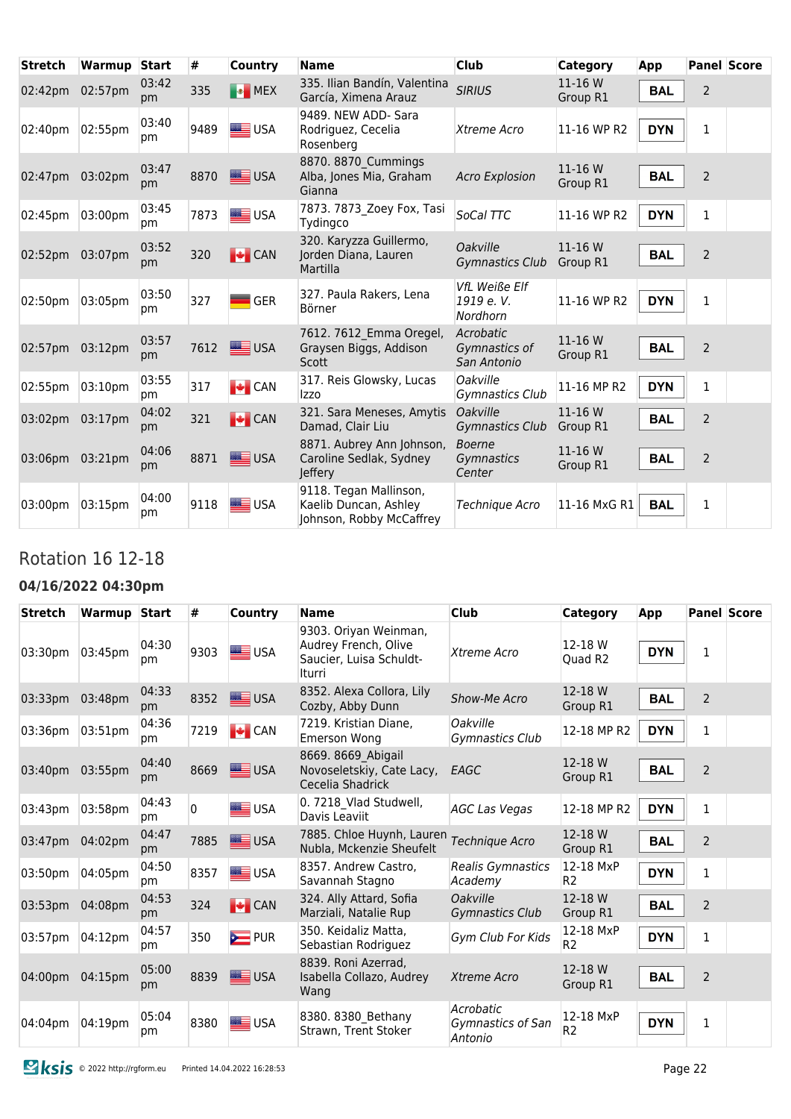| <b>Stretch</b>  | Warmup Start |             | #    | Country        | <b>Name</b>                                                                 | <b>Club</b>                                   | Category            | App        |                | <b>Panel Score</b> |
|-----------------|--------------|-------------|------|----------------|-----------------------------------------------------------------------------|-----------------------------------------------|---------------------|------------|----------------|--------------------|
| 02:42pm         | 02:57pm      | 03:42<br>pm | 335  | <b>Ex</b> MEX  | 335. Ilian Bandín, Valentina<br>García, Ximena Arauz                        | <b>SIRIUS</b>                                 | 11-16 W<br>Group R1 | <b>BAL</b> | $\overline{2}$ |                    |
| 02:40pm         | 02:55pm      | 03:40<br>pm | 9489 | <b>SEE</b> USA | 9489. NEW ADD- Sara<br>Rodriguez, Cecelia<br>Rosenberg                      | Xtreme Acro                                   | 11-16 WP R2         | <b>DYN</b> | 1              |                    |
| 02:47pm 03:02pm |              | 03:47<br>pm | 8870 | <b>LE</b> USA  | 8870. 8870 Cummings<br>Alba, Jones Mia, Graham<br>Gianna                    | <b>Acro Explosion</b>                         | 11-16 W<br>Group R1 | <b>BAL</b> | $\overline{2}$ |                    |
| 02:45pm         | 03:00pm      | 03:45<br>pm | 7873 | <b>SIE</b> USA | 7873. 7873 Zoey Fox, Tasi<br>Tydingco                                       | SoCal TTC                                     | 11-16 WP R2         | <b>DYN</b> | 1              |                    |
| 02:52pm         | 03:07pm      | 03:52<br>pm | 320  | $\bigcup$ CAN  | 320. Karyzza Guillermo,<br>Jorden Diana, Lauren<br>Martilla                 | Oakville<br><b>Gymnastics Club</b>            | 11-16 W<br>Group R1 | <b>BAL</b> | $\overline{2}$ |                    |
| 02:50pm         | 03:05pm      | 03:50<br>pm | 327  | <b>GER</b>     | 327. Paula Rakers, Lena<br>Börner                                           | <b>VfL Weiße Elf</b><br>1919 e.V.<br>Nordhorn | 11-16 WP R2         | <b>DYN</b> | $\mathbf{1}$   |                    |
| 02:57pm         | 03:12pm      | 03:57<br>pm | 7612 | <u>≝</u> USA   | 7612. 7612 Emma Oregel,<br>Graysen Biggs, Addison<br><b>Scott</b>           | Acrobatic<br>Gymnastics of<br>San Antonio     | 11-16 W<br>Group R1 | <b>BAL</b> | 2              |                    |
| 02:55pm         | 03:10pm      | 03:55<br>pm | 317  | $\bigcup$ CAN  | 317. Reis Glowsky, Lucas<br>Izzo                                            | <i><b>Oakville</b></i><br>Gymnastics Club     | 11-16 MP R2         | <b>DYN</b> | $\mathbf{1}$   |                    |
| 03:02pm         | 03:17pm      | 04:02<br>pm | 321  | $\bigcup$ CAN  | 321. Sara Meneses, Amytis<br>Damad, Clair Liu                               | <b>Oakville</b><br><b>Gymnastics Club</b>     | 11-16 W<br>Group R1 | <b>BAL</b> | 2              |                    |
| 03:06pm 03:21pm |              | 04:06<br>pm | 8871 | <b>LEE</b> USA | 8871. Aubrey Ann Johnson,<br>Caroline Sedlak, Sydney<br>Jeffery             | <b>Boerne</b><br>Gymnastics<br>Center         | 11-16 W<br>Group R1 | <b>BAL</b> | $\overline{2}$ |                    |
| 03:00pm         | 03:15pm      | 04:00<br>pm | 9118 | USA            | 9118. Tegan Mallinson,<br>Kaelib Duncan, Ashley<br>Johnson, Robby McCaffrey | Technique Acro                                | 11-16 MxG R1        | <b>BAL</b> | $\mathbf{1}$   |                    |

### Rotation 16 12-18

#### **04/16/2022 04:30pm**

| <b>Stretch</b> | Warmup Start |              | #    | Country        | <b>Name</b>                                                                        | Club                                      | <b>Category</b>             | App        |                | <b>Panel Score</b> |
|----------------|--------------|--------------|------|----------------|------------------------------------------------------------------------------------|-------------------------------------------|-----------------------------|------------|----------------|--------------------|
| 03:30pm        | 03:45pm      | 04:30<br>pm  | 9303 | USA            | 9303. Oriyan Weinman,<br>Audrey French, Olive<br>Saucier, Luisa Schuldt-<br>Iturri | Xtreme Acro                               | 12-18 W<br>Quad R2          | <b>DYN</b> | 1              |                    |
| 03:33pm        | 03:48pm      | 04:33<br>pm  | 8352 | USA            | 8352. Alexa Collora, Lily<br>Cozby, Abby Dunn                                      | Show-Me Acro                              | 12-18 W<br>Group R1         | <b>BAL</b> | $\overline{2}$ |                    |
| 03:36pm        | 03:51pm      | 04:36<br>pm  | 7219 | $\bigcup$ CAN  | 7219. Kristian Diane.<br><b>Emerson Wong</b>                                       | Oakville<br>Gymnastics Club               | 12-18 MP R2                 | <b>DYN</b> | $\mathbf{1}$   |                    |
| 03:40pm        | 03:55pm      | 04:40<br>pm  | 8669 | $\equiv$ USA   | 8669. 8669 Abigail<br>Novoseletskiy, Cate Lacy,<br>Cecelia Shadrick                | EAGC                                      | 12-18 W<br>Group R1         | <b>BAL</b> | $\overline{2}$ |                    |
| 03:43pm        | 03:58pm      | 04:43<br>pm  | 0    | <b>SEE</b> USA | 0. 7218 Vlad Studwell,<br>Davis Leaviit                                            | AGC Las Vegas                             | 12-18 MP R2                 | <b>DYN</b> | $\mathbf{1}$   |                    |
| 03:47pm        | 04:02pm      | 04:47<br>pm  | 7885 | USA            | 7885. Chloe Huynh, Lauren<br>Nubla, Mckenzie Sheufelt                              | Technique Acro                            | 12-18 W<br>Group R1         | <b>BAL</b> | $\overline{2}$ |                    |
| 03:50pm        | 04:05pm      | 04:50<br> pm | 8357 | USA            | 8357. Andrew Castro,<br>Savannah Stagno                                            | <b>Realis Gymnastics</b><br>Academy       | 12-18 MxP<br>R <sub>2</sub> | <b>DYN</b> | 1              |                    |
| 03:53pm        | 04:08pm      | 04:53<br>pm  | 324  | $\bigcup$ CAN  | 324. Ally Attard, Sofia<br>Marziali, Natalie Rup                                   | <b>Oakville</b><br><b>Gymnastics Club</b> | 12-18 W<br>Group R1         | <b>BAL</b> | $\overline{2}$ |                    |
| 03:57pm        | 04:12pm      | 04:57<br>pm  | 350  | <b>E</b> PUR   | 350. Keidaliz Matta.<br>Sebastian Rodriguez                                        | Gym Club For Kids                         | 12-18 MxP<br>R <sub>2</sub> | <b>DYN</b> | $\mathbf{1}$   |                    |
| 04:00pm        | 04:15pm      | 05:00<br>pm  | 8839 | USA            | 8839. Roni Azerrad,<br>Isabella Collazo, Audrey<br>Wang                            | Xtreme Acro                               | 12-18 W<br>Group R1         | <b>BAL</b> | $\overline{2}$ |                    |
| 04:04pm        | 04:19pm      | 05:04<br>pm  | 8380 | <b>ED</b> USA  | 8380. 8380 Bethany<br>Strawn, Trent Stoker                                         | Acrobatic<br>Gymnastics of San<br>Antonio | 12-18 MxP<br>R <sub>2</sub> | <b>DYN</b> | $\mathbf{1}$   |                    |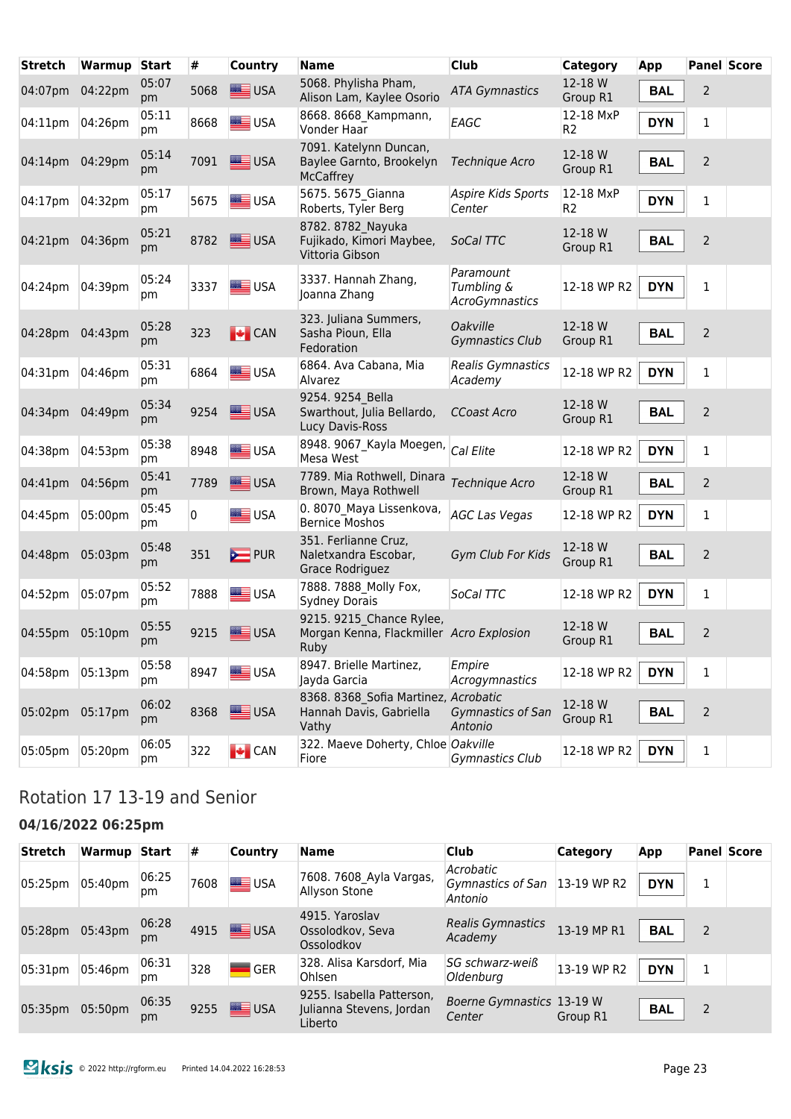| <b>Stretch</b> | Warmup  | <b>Start</b> | #    | <b>Country</b>  | <b>Name</b>                                                                         | <b>Club</b>                                      | Category                    | App        |                | <b>Panel Score</b> |
|----------------|---------|--------------|------|-----------------|-------------------------------------------------------------------------------------|--------------------------------------------------|-----------------------------|------------|----------------|--------------------|
| 04:07pm        | 04:22pm | 05:07<br>pm  | 5068 | <b>SEE</b> USA  | 5068. Phylisha Pham,<br>Alison Lam, Kaylee Osorio                                   | <b>ATA Gymnastics</b>                            | 12-18 W<br>Group R1         | <b>BAL</b> | $\overline{2}$ |                    |
| 04:11pm        | 04:26pm | 05:11<br>pm  | 8668 | USA             | 8668. 8668 Kampmann,<br>Vonder Haar                                                 | EAGC                                             | 12-18 MxP<br>R <sub>2</sub> | <b>DYN</b> | $\mathbf{1}$   |                    |
| 04:14pm        | 04:29pm | 05:14<br>pm  | 7091 | USA             | 7091. Katelynn Duncan,<br>Baylee Garnto, Brookelyn<br><b>McCaffrey</b>              | Technique Acro                                   | 12-18 W<br>Group R1         | <b>BAL</b> | $\overline{2}$ |                    |
| 04:17pm        | 04:32pm | 05:17<br>pm  | 5675 | <b>SEE</b> USA  | 5675. 5675 Gianna<br>Roberts, Tyler Berg                                            | Aspire Kids Sports<br>Center                     | 12-18 MxP<br>R <sub>2</sub> | <b>DYN</b> | $\mathbf{1}$   |                    |
| 04:21pm        | 04:36pm | 05:21<br>pm  | 8782 | USA             | 8782. 8782 Nayuka<br>Fujikado, Kimori Maybee,<br>Vittoria Gibson                    | SoCal TTC                                        | 12-18 W<br>Group R1         | <b>BAL</b> | $\overline{2}$ |                    |
| 04:24pm        | 04:39pm | 05:24<br>pm  | 3337 | <b>SEE</b> USA  | 3337. Hannah Zhang,<br>Joanna Zhang                                                 | Paramount<br>Tumbling &<br><b>AcroGymnastics</b> | 12-18 WP R2                 | <b>DYN</b> | $\mathbf{1}$   |                    |
| 04:28pm        | 04:43pm | 05:28<br>pm  | 323  | $\bigcup$ CAN   | 323. Juliana Summers,<br>Sasha Pioun, Ella<br>Fedoration                            | <b>Oakville</b><br>Gymnastics Club               | 12-18 W<br>Group R1         | <b>BAL</b> | $\overline{2}$ |                    |
| 04:31pm        | 04:46pm | 05:31<br>pm  | 6864 | <b>SIER</b> USA | 6864. Ava Cabana, Mia<br>Alvarez                                                    | <b>Realis Gymnastics</b><br>Academy              | 12-18 WP R2                 | <b>DYN</b> | $\mathbf{1}$   |                    |
| 04:34pm        | 04:49pm | 05:34<br>pm  | 9254 | USA             | 9254. 9254 Bella<br>Swarthout, Julia Bellardo,<br>Lucy Davis-Ross                   | <b>CCoast Acro</b>                               | 12-18 W<br>Group R1         | <b>BAL</b> | $\overline{2}$ |                    |
| 04:38pm        | 04:53pm | 05:38<br>pm  | 8948 | <b>SEE</b> USA  | 8948. 9067 Kayla Moegen,<br>Mesa West                                               | Cal Elite                                        | 12-18 WP R2                 | <b>DYN</b> | $\mathbf{1}$   |                    |
| 04:41pm        | 04:56pm | 05:41<br>pm  | 7789 | USA             | 7789. Mia Rothwell, Dinara<br>Brown, Maya Rothwell                                  | Technique Acro                                   | 12-18 W<br>Group R1         | <b>BAL</b> | $\overline{2}$ |                    |
| 04:45pm        | 05:00pm | 05:45<br>pm  | 0    | USA             | 0.8070 Maya Lissenkova,<br><b>Bernice Moshos</b>                                    | <b>AGC Las Vegas</b>                             | 12-18 WP R2                 | <b>DYN</b> | 1              |                    |
| 04:48pm        | 05:03pm | 05:48<br>pm  | 351  | $\sum$ PUR      | 351. Ferlianne Cruz,<br>Naletxandra Escobar,<br>Grace Rodriguez                     | Gym Club For Kids                                | 12-18 W<br>Group R1         | <b>BAL</b> | $\overline{2}$ |                    |
| 04:52pm        | 05:07pm | 05:52<br>pm  | 7888 | USA             | 7888. 7888 Molly Fox,<br><b>Sydney Dorais</b>                                       | SoCal TTC                                        | 12-18 WP R2                 | <b>DYN</b> | $\mathbf{1}$   |                    |
| 04:55pm        | 05:10pm | 05:55<br>pm  | 9215 | USA             | 9215. 9215 Chance Rylee,<br>Morgan Kenna, Flackmiller Acro Explosion<br><b>Ruby</b> |                                                  | 12-18 W<br>Group R1         | <b>BAL</b> | $\overline{2}$ |                    |
| 04:58pm        | 05:13pm | 05:58<br>pm  | 8947 | <b>SIM</b> USA  | 8947. Brielle Martinez,<br>Jayda Garcia                                             | Empire<br>Acrogymnastics                         | 12-18 WP R2                 | <b>DYN</b> | $\mathbf{1}$   |                    |
| 05:02pm        | 05:17pm | 06:02<br>pm  | 8368 | USA             | 8368. 8368 Sofia Martinez, Acrobatic<br>Hannah Davis, Gabriella<br>Vathy            | Gymnastics of San<br>Antonio                     | 12-18 W<br>Group R1         | <b>BAL</b> | $\sqrt{2}$     |                    |
| 05:05pm        | 05:20pm | 06:05<br>pm  | 322  | $\bigcup$ CAN   | 322. Maeve Doherty, Chloe Oakville<br>Fiore                                         | Gymnastics Club                                  | 12-18 WP R2                 | <b>DYN</b> | $\mathbf 1$    |                    |

### Rotation 17 13-19 and Senior

# **04/16/2022 06:25pm**

| <b>Stretch</b>  | Warmup Start |             | ∣#   | <b>Country</b> | <b>Name</b>                                                      | <b>Club</b>                                           | <b>Category</b> | App        |   | <b>Panel Score</b> |
|-----------------|--------------|-------------|------|----------------|------------------------------------------------------------------|-------------------------------------------------------|-----------------|------------|---|--------------------|
| 05:25pm         | 05:40pm      | 06:25<br>pm | 7608 | USA            | 7608. 7608 Ayla Vargas,<br>Allyson Stone                         | Acrobatic<br>Gymnastics of San 13-19 WP R2<br>Antonio |                 | <b>DYN</b> | 1 |                    |
| 05:28pm 05:43pm |              | 06:28<br>pm |      | 4915 USA       | 4915. Yaroslav<br>Ossolodkov, Seva<br>Ossolodkov                 | <b>Realis Gymnastics</b><br>Academy                   | 13-19 MP R1     | <b>BAL</b> | 2 |                    |
| 05:31pm         | 05:46pm      | 06:31<br>pm | 328  | <b>GER</b>     | 328. Alisa Karsdorf, Mia<br>Ohlsen                               | SG schwarz-weiß<br>Oldenburg                          | 13-19 WP R2     | <b>DYN</b> | 1 |                    |
| 05:35pm 05:50pm |              | 06:35<br>pm | 9255 | USA            | 9255. Isabella Patterson,<br>Julianna Stevens, Jordan<br>Liberto | Boerne Gymnastics 13-19 W<br>Center                   | Group R1        | <b>BAL</b> | 2 |                    |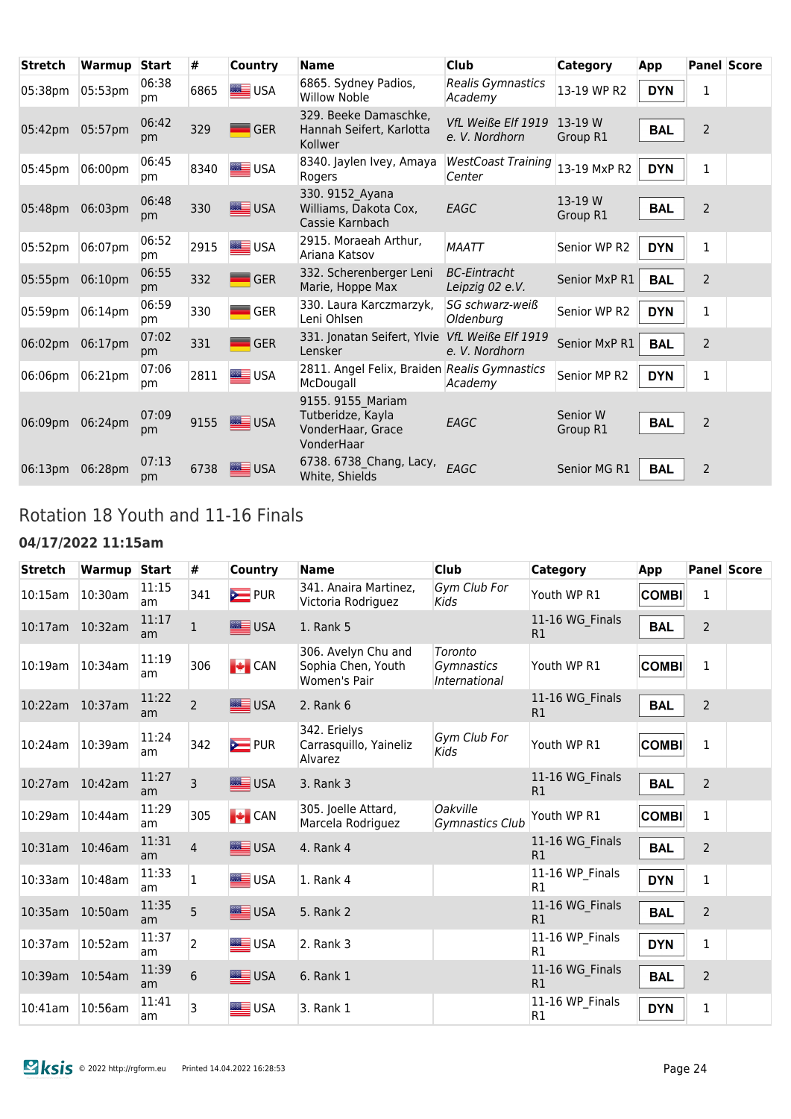| <b>Stretch</b>  | Warmup  | <b>Start</b> | #    | Country         | <b>Name</b>                                                               | <b>Club</b>                            | Category             | App        |                | <b>Panel Score</b> |
|-----------------|---------|--------------|------|-----------------|---------------------------------------------------------------------------|----------------------------------------|----------------------|------------|----------------|--------------------|
| 05:38pm         | 05:53pm | 06:38<br>pm  | 6865 | <b>SEE</b> USA  | 6865. Sydney Padios,<br><b>Willow Noble</b>                               | Realis Gymnastics<br>Academy           | 13-19 WP R2          | <b>DYN</b> | 1              |                    |
| 05:42pm 05:57pm |         | 06:42<br>pm  | 329  | <b>GER</b>      | 329. Beeke Damaschke,<br>Hannah Seifert, Karlotta<br>Kollwer              | VfL Weiße Elf 1919<br>e. V. Nordhorn   | 13-19 W<br>Group R1  | <b>BAL</b> | $\overline{2}$ |                    |
| 05:45pm         | 06:00pm | 06:45<br>pm  | 8340 | <b>SIER</b> USA | 8340. Jaylen Ivey, Amaya<br>Rogers                                        | <b>WestCoast Training</b><br>Center    | 13-19 MxP R2         | <b>DYN</b> | $\mathbf 1$    |                    |
| 05:48pm         | 06:03pm | 06:48<br>pm  | 330  | USA             | 330. 9152 Ayana<br>Williams, Dakota Cox,<br>Cassie Karnbach               | EAGC                                   | 13-19 W<br>Group R1  | <b>BAL</b> | $\overline{2}$ |                    |
| 05:52pm         | 06:07pm | 06:52<br>pm  | 2915 | USA             | 2915. Moraeah Arthur.<br>Ariana Katsov                                    | <b>MAATT</b>                           | Senior WP R2         | <b>DYN</b> | 1              |                    |
| 05:55pm         | 06:10pm | 06:55<br>pm  | 332  | <b>GER</b>      | 332. Scherenberger Leni<br>Marie, Hoppe Max                               | <b>BC-Eintracht</b><br>Leipzig 02 e.V. | Senior MxP R1        | <b>BAL</b> | $\overline{2}$ |                    |
| 05:59pm         | 06:14pm | 06:59<br>pm  | 330  | <b>GER</b>      | 330. Laura Karczmarzyk,<br>Leni Ohlsen                                    | SG schwarz-weiß<br>Oldenburg           | Senior WP R2         | <b>DYN</b> | 1              |                    |
| 06:02pm         | 06:17pm | 07:02<br>pm  | 331  | <b>GER</b>      | 331. Jonatan Seifert, Ylvie<br>Lensker                                    | VfL Weiße Elf 1919<br>e. V. Nordhorn   | Senior MxP R1        | <b>BAL</b> | $\overline{2}$ |                    |
| 06:06pm         | 06:21pm | 07:06<br>pm  | 2811 | <b>E</b> USA    | 2811. Angel Felix, Braiden Realis Gymnastics<br>McDougall                 | Academy                                | Senior MP R2         | <b>DYN</b> | 1              |                    |
| 06:09pm         | 06:24pm | 07:09<br>pm  | 9155 | ≣∪SA            | 9155. 9155 Mariam<br>Tutberidze, Kayla<br>VonderHaar, Grace<br>VonderHaar | EAGC                                   | Senior W<br>Group R1 | <b>BAL</b> | $\overline{2}$ |                    |
| 06:13pm         | 06:28pm | 07:13<br>pm  | 6738 | <b>USA</b>      | 6738. 6738 Chang, Lacy,<br>White, Shields                                 | EAGC                                   | Senior MG R1         | <b>BAL</b> | $\overline{2}$ |                    |

### Rotation 18 Youth and 11-16 Finals

#### **04/17/2022 11:15am**

| <b>Stretch</b>  | Warmup Start |             | #              | Country                      | <b>Name</b>                                               | <b>Club</b>                               | <b>Category</b>       | App          |                | <b>Panel Score</b> |
|-----------------|--------------|-------------|----------------|------------------------------|-----------------------------------------------------------|-------------------------------------------|-----------------------|--------------|----------------|--------------------|
| 10:15am         | 10:30am      | 11:15<br>am | 341            | <b>E</b> PUR                 | 341. Anaira Martinez,<br>Victoria Rodriguez               | Gym Club For<br>Kids                      | Youth WP R1           | <b>COMBI</b> | 1              |                    |
| 10:17am         | 10:32am      | 11:17<br>am | $\mathbf{1}$   | USA                          | 1. Rank 5                                                 |                                           | 11-16 WG_Finals<br>R1 | <b>BAL</b>   | $\overline{2}$ |                    |
| 10:19am         | 10:34am      | 11:19<br>am | 306            | $\blacktriangleright$ CAN    | 306. Avelyn Chu and<br>Sophia Chen, Youth<br>Women's Pair | Toronto<br>Gymnastics<br>International    | Youth WP R1           | <b>COMBI</b> | $\mathbf{1}$   |                    |
| 10:22am 10:37am |              | 11:22<br>am | $\overline{2}$ | <b>SEE</b> USA               | 2. Rank 6                                                 |                                           | 11-16 WG_Finals<br>R1 | <b>BAL</b>   | $\overline{2}$ |                    |
| 10:24am         | 10:39am      | 11:24<br>am | 342            | <b>E</b> PUR                 | 342. Erielys<br>Carrasquillo, Yaineliz<br>Alvarez         | Gym Club For<br>Kids                      | Youth WP R1           | <b>COMBI</b> | 1              |                    |
| 10:27am         | 10:42am      | 11:27<br>am | 3              | $\equiv$ USA                 | 3. Rank 3                                                 |                                           | 11-16 WG Finals<br>R1 | <b>BAL</b>   | $\overline{2}$ |                    |
| 10:29am         | 10:44am      | 11:29<br>am | 305            | $\left  \bullet \right $ CAN | 305. Joelle Attard,<br>Marcela Rodriguez                  | <b>Oakville</b><br><b>Gymnastics Club</b> | Youth WP R1           | <b>COMBI</b> | 1              |                    |
| 10:31am         | 10:46am      | 11:31<br>am | $\overline{4}$ | USA                          | 4. Rank 4                                                 |                                           | 11-16 WG_Finals<br>R1 | <b>BAL</b>   | $\overline{2}$ |                    |
| 10:33am         | 10:48am      | 11:33<br>am | $\mathbf{1}$   | USA                          | 1. Rank 4                                                 |                                           | 11-16 WP Finals<br>R1 | <b>DYN</b>   | 1              |                    |
| 10:35am         | 10:50am      | 11:35<br>am | 5              | USA                          | 5. Rank 2                                                 |                                           | 11-16 WG Finals<br>R1 | <b>BAL</b>   | $\overline{2}$ |                    |
| 10:37am         | 10:52am      | 11:37<br>am | $\overline{2}$ | USA                          | 2. Rank 3                                                 |                                           | 11-16 WP Finals<br>R1 | <b>DYN</b>   | 1              |                    |
| 10:39am         | 10:54am      | 11:39<br>am | 6              | USA                          | 6. Rank 1                                                 |                                           | 11-16 WG_Finals<br>R1 | <b>BAL</b>   | $\overline{2}$ |                    |
| $10:41$ am      | 10:56am      | 11:41<br>am | 3              | USA                          | 3. Rank 1                                                 |                                           | 11-16 WP Finals<br>R1 | <b>DYN</b>   | 1              |                    |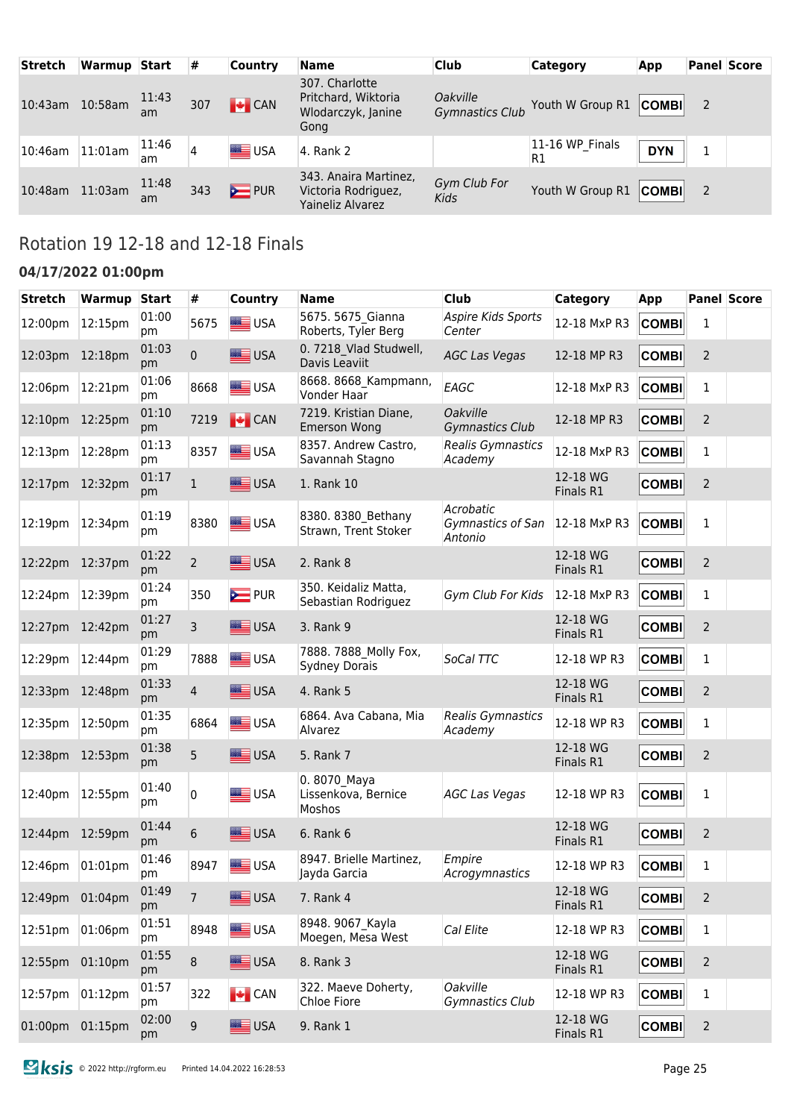| <b>Stretch</b> | Warmup Start |             | #   | Country       | <b>Name</b>                                                         | <b>Club</b>                               | <b>Category</b>       | <b>App</b> | <b>Panel Score</b> |  |
|----------------|--------------|-------------|-----|---------------|---------------------------------------------------------------------|-------------------------------------------|-----------------------|------------|--------------------|--|
| $10:43$ am     | 10:58am      | 11:43<br>am | 307 | $\bigcup$ CAN | 307. Charlotte<br>Pritchard, Wiktoria<br>Wlodarczyk, Janine<br>Gong | <i>Oakville</i><br><b>Gymnastics Club</b> | Youth W Group R1      | COMBI      | 2                  |  |
| 10:46am        | 11:01am      | 11:46<br>am |     | USA           | 4. Rank 2                                                           |                                           | 11-16 WP Finals<br>R1 | <b>DYN</b> |                    |  |
| 10:48am        | 11:03am      | 11:48<br>am | 343 | $\sum$ PUR    | 343. Anaira Martinez,<br>Victoria Rodriguez,<br>Yaineliz Alvarez    | Gym Club For<br><b>Kids</b>               | Youth W Group R1      | COMBI      | 2                  |  |

# Rotation 19 12-18 and 12-18 Finals

#### **04/17/2022 01:00pm**

| <b>Stretch</b>  | <b>Warmup</b>       | <b>Start</b> | #              | Country                      | <b>Name</b>                                         | <b>Club</b>                               | <b>Category</b>       | App          |                | <b>Panel Score</b> |
|-----------------|---------------------|--------------|----------------|------------------------------|-----------------------------------------------------|-------------------------------------------|-----------------------|--------------|----------------|--------------------|
| 12:00pm         | 12:15pm             | 01:00<br>pm  | 5675           | USA                          | 5675. 5675 Gianna<br>Roberts, Tyler Berg            | Aspire Kids Sports<br>Center              | 12-18 MxP R3          | <b>COMBI</b> | 1              |                    |
| 12:03pm         | 12:18 <sub>pm</sub> | 01:03<br>pm  | 0              | USA                          | 0. 7218 Vlad Studwell,<br>Davis Leaviit             | <b>AGC Las Vegas</b>                      | 12-18 MP R3           | <b>COMBI</b> | 2              |                    |
| 12:06pm         | 12:21pm             | 01:06<br>pm  | 8668           | USA                          | 8668. 8668 Kampmann,<br>Vonder Haar                 | EAGC                                      | 12-18 MxP R3          | <b>COMBI</b> | 1              |                    |
| 12:10pm         | 12:25pm             | 01:10<br>pm  | 7219           | $\bigcup$ CAN                | 7219. Kristian Diane,<br><b>Emerson Wong</b>        | <b>Oakville</b><br><b>Gymnastics Club</b> | 12-18 MP R3           | <b>COMBI</b> | 2              |                    |
| 12:13pm         | 12:28pm             | 01:13<br>pm  | 8357           | USA                          | 8357. Andrew Castro,<br>Savannah Stagno             | Realis Gymnastics<br>Academy              | 12-18 MxP R3          | <b>COMBI</b> | 1              |                    |
| 12:17pm         | 12:32pm             | 01:17<br>pm  | 1              | USA                          | 1. Rank 10                                          |                                           | 12-18 WG<br>Finals R1 | <b>COMBI</b> | 2              |                    |
| 12:19pm         | 12:34pm             | 01:19<br>pm  | 8380           | <b>SEE</b> USA               | 8380. 8380_Bethany<br>Strawn, Trent Stoker          | Acrobatic<br>Gymnastics of San<br>Antonio | 12-18 MxP R3          | <b>COMBI</b> | 1              |                    |
| 12:22pm         | 12:37pm             | 01:22<br>pm  | $\overline{2}$ | USA                          | 2. Rank 8                                           |                                           | 12-18 WG<br>Finals R1 | <b>COMBI</b> | 2              |                    |
| 12:24pm         | 12:39pm             | 01:24<br>pm  | 350            | $\sum$ PUR                   | 350. Keidaliz Matta,<br>Sebastian Rodriguez         | Gym Club For Kids                         | 12-18 MxP R3          | <b>COMBI</b> | 1              |                    |
| 12:27pm         | $12:42$ pm          | 01:27<br>pm  | 3              | USA                          | 3. Rank 9                                           |                                           | 12-18 WG<br>Finals R1 | <b>COMBI</b> | 2              |                    |
| 12:29pm         | 12:44pm             | 01:29<br>pm  | 7888           | <b>SEE</b> USA               | 7888. 7888 Molly Fox,<br><b>Sydney Dorais</b>       | SoCal TTC                                 | 12-18 WP R3           | <b>COMBI</b> | 1              |                    |
| 12:33pm         | 12:48pm             | 01:33<br>pm  | $\overline{4}$ | <b>SEE USA</b>               | 4. Rank 5                                           |                                           | 12-18 WG<br>Finals R1 | <b>COMBI</b> | 2              |                    |
| 12:35pm         | 12:50pm             | 01:35<br>pm  | 6864           | USA                          | 6864. Ava Cabana, Mia<br>Alvarez                    | Realis Gymnastics<br>Academy              | 12-18 WP R3           | <b>COMBI</b> | 1              |                    |
| 12:38pm 12:53pm |                     | 01:38<br>pm  | 5              | USA                          | 5. Rank 7                                           |                                           | 12-18 WG<br>Finals R1 | <b>COMBI</b> | 2              |                    |
| 12:40pm         | 12:55pm             | 01:40<br>pm  | 0              | USA                          | 0.8070 Maya<br>Lissenkova, Bernice<br><b>Moshos</b> | <b>AGC Las Vegas</b>                      | 12-18 WP R3           | <b>COMBI</b> | 1              |                    |
| 12:44pm         | 12:59pm             | 01:44<br>pm  | 6              | <b>LEE</b> USA               | 6. Rank 6                                           |                                           | 12-18 WG<br>Finals R1 | <b>COMBI</b> | 2              |                    |
| 12:46pm         | 01:01pm             | 01:46<br>pm  | 8947           | USA                          | 8947. Brielle Martinez,<br>Jayda Garcia             | Empire<br>Acrogymnastics                  | 12-18 WP R3           | <b>COMBI</b> | 1              |                    |
| 12:49pm         | 01:04pm             | 01:49<br>pm  | 7              | USA                          | 7. Rank 4                                           |                                           | 12-18 WG<br>Finals R1 | <b>COMBI</b> | $\overline{c}$ |                    |
| 12:51pm         | 01:06pm             | 01:51<br>pm  | 8948           | <b>SEE</b> USA               | 8948. 9067 Kayla<br>Moegen, Mesa West               | Cal Elite                                 | 12-18 WP R3           | <b>COMBI</b> | $\mathbf 1$    |                    |
| 12:55pm         | 01:10pm             | 01:55<br>pm  | 8              | USA                          | 8. Rank 3                                           |                                           | 12-18 WG<br>Finals R1 | ∣COMBI∣      | $\overline{2}$ |                    |
| 12:57pm         | 01:12pm             | 01:57<br>pm  | 322            | $\left  \bullet \right $ CAN | 322. Maeve Doherty,<br>Chloe Fiore                  | <b>Oakville</b><br>Gymnastics Club        | 12-18 WP R3           | <b>COMBI</b> | 1              |                    |
| 01:00pm 01:15pm |                     | 02:00<br>pm  | 9              | USA                          | 9. Rank 1                                           |                                           | 12-18 WG<br>Finals R1 | <b>COMBI</b> | $\overline{2}$ |                    |